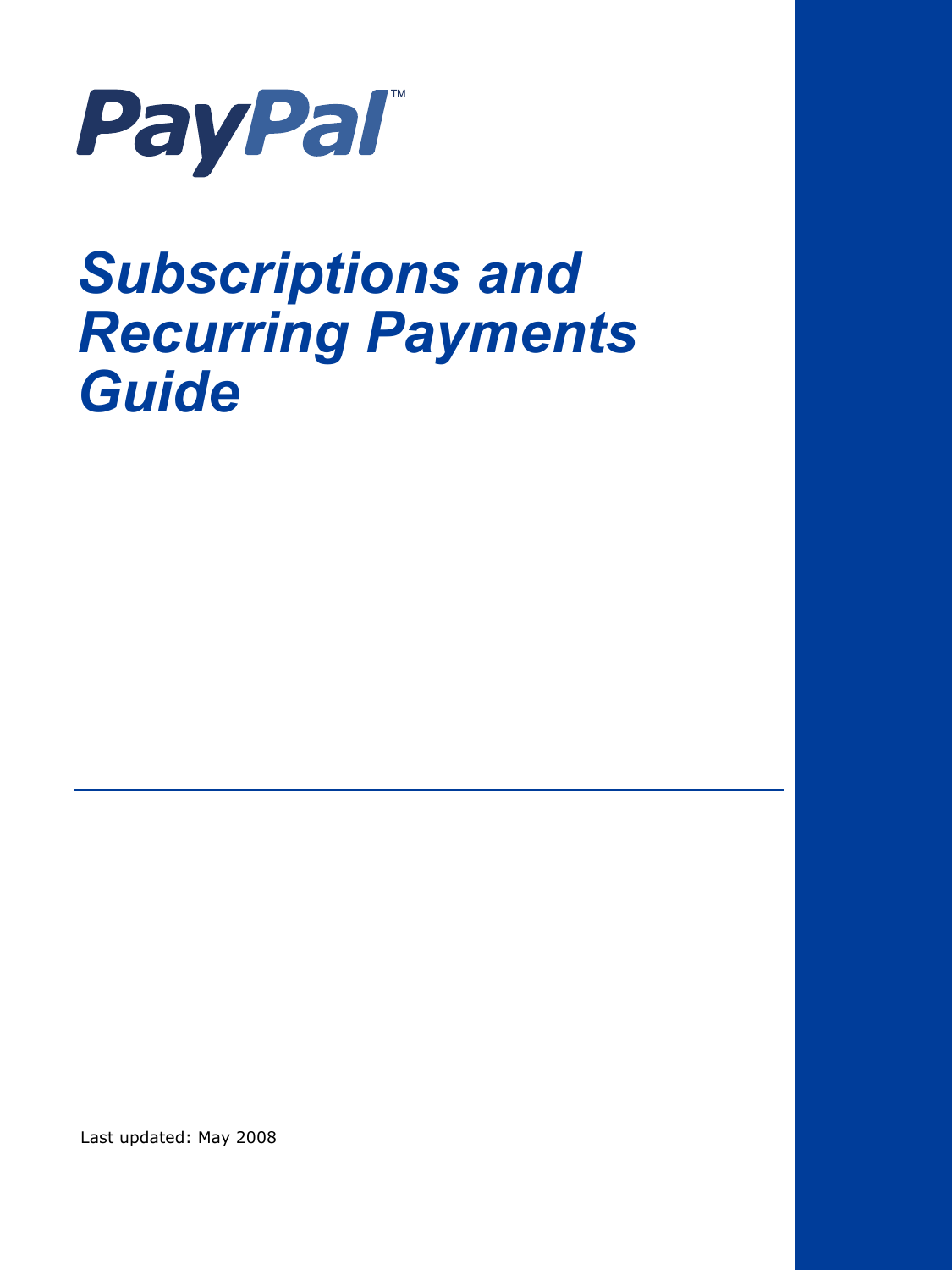

# *Subscriptions and Recurring Payments Guide*

Last updated: May 2008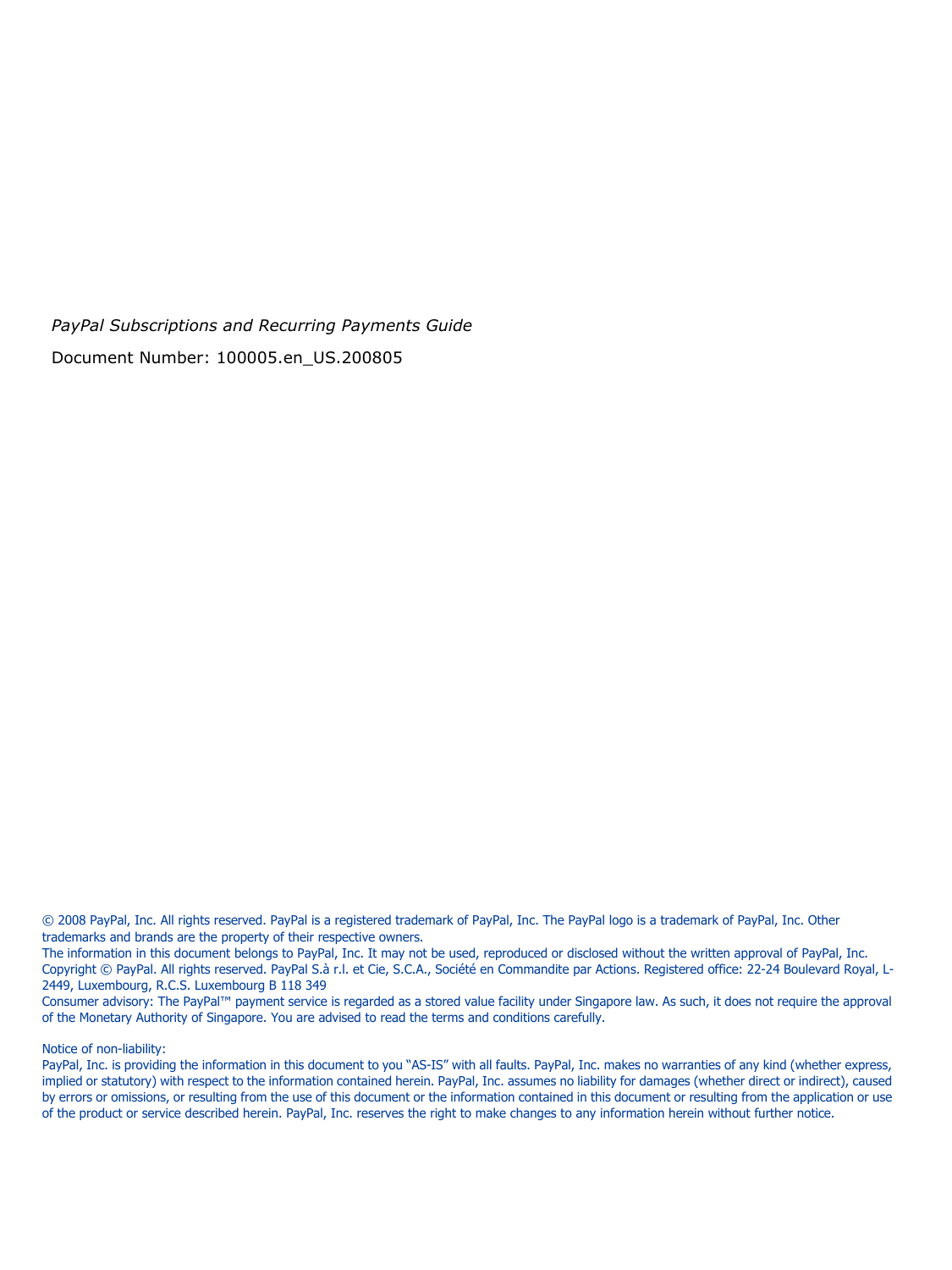*PayPal Subscriptions and Recurring Payments Guide* Document Number: 100005.en\_US.200805

© 2008 PayPal, Inc. All rights reserved. PayPal is a registered trademark of PayPal, Inc. The PayPal logo is a trademark of PayPal, Inc. Other trademarks and brands are the property of their respective owners.

The information in this document belongs to PayPal, Inc. It may not be used, reproduced or disclosed without the written approval of PayPal, Inc. Copyright © PayPal. All rights reserved. PayPal S.à r.l. et Cie, S.C.A., Société en Commandite par Actions. Registered office: 22-24 Boulevard Royal, L-2449, Luxembourg, R.C.S. Luxembourg B 118 349

Consumer advisory: The PayPal™ payment service is regarded as a stored value facility under Singapore law. As such, it does not require the approval of the Monetary Authority of Singapore. You are advised to read the terms and conditions carefully.

Notice of non-liability:

PayPal, Inc. is providing the information in this document to you "AS-IS" with all faults. PayPal, Inc. makes no warranties of any kind (whether express, implied or statutory) with respect to the information contained herein. PayPal, Inc. assumes no liability for damages (whether direct or indirect), caused by errors or omissions, or resulting from the use of this document or the information contained in this document or resulting from the application or use of the product or service described herein. PayPal, Inc. reserves the right to make changes to any information herein without further notice.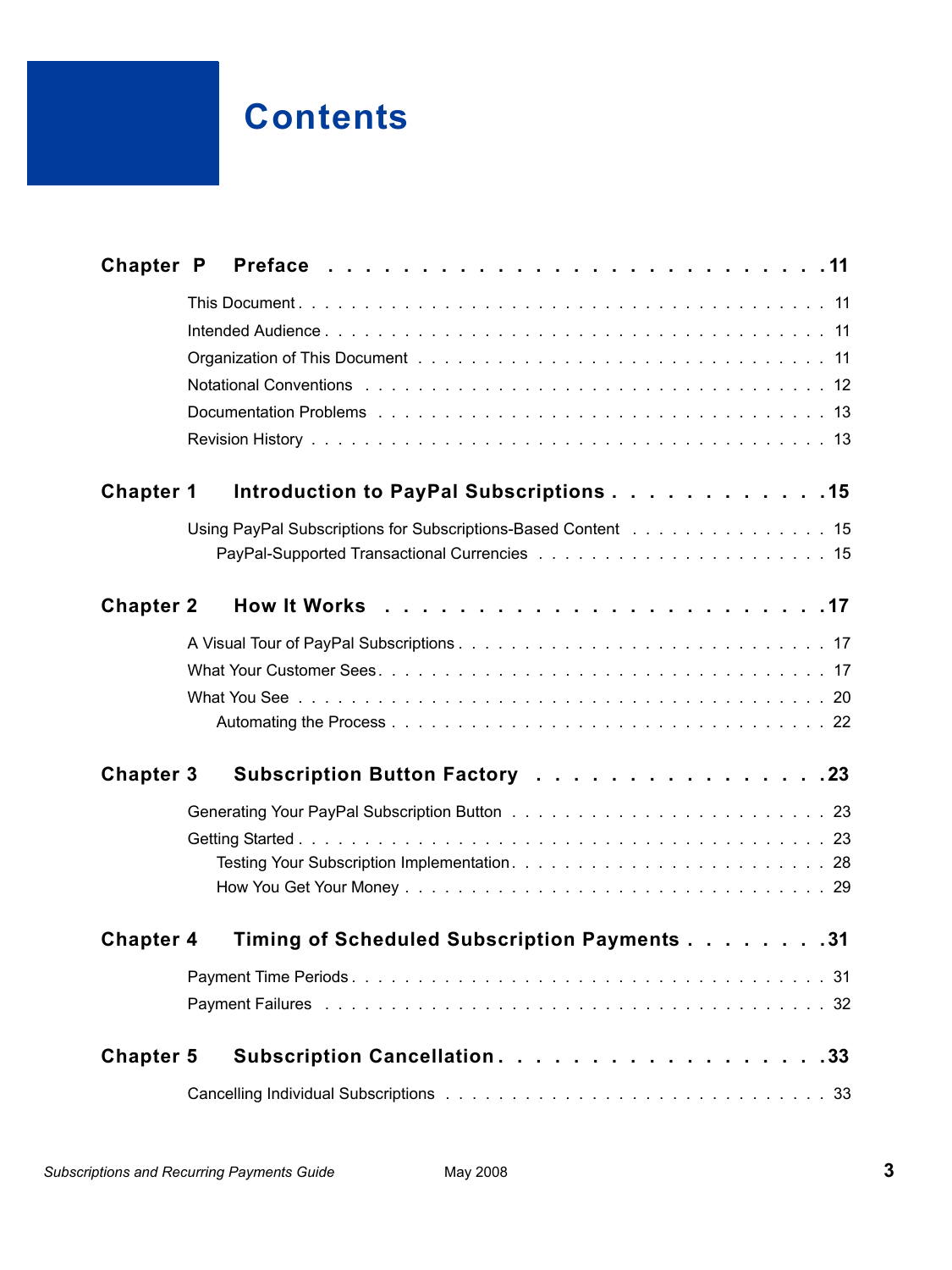# **Contents**

| Chapter P        |                                                                                                                |  |
|------------------|----------------------------------------------------------------------------------------------------------------|--|
|                  |                                                                                                                |  |
|                  |                                                                                                                |  |
|                  |                                                                                                                |  |
|                  | Notational Conventions et al., and a series and a series and a series and a series and a series and a series o |  |
|                  |                                                                                                                |  |
|                  |                                                                                                                |  |
| <b>Chapter 1</b> | Introduction to PayPal Subscriptions 15                                                                        |  |
|                  | Using PayPal Subscriptions for Subscriptions-Based Content 15                                                  |  |
|                  |                                                                                                                |  |
| <b>Chapter 2</b> |                                                                                                                |  |
|                  |                                                                                                                |  |
|                  |                                                                                                                |  |
|                  |                                                                                                                |  |
|                  |                                                                                                                |  |
| <b>Chapter 3</b> | Subscription Button Factory 23                                                                                 |  |
|                  |                                                                                                                |  |
|                  |                                                                                                                |  |
|                  |                                                                                                                |  |
|                  |                                                                                                                |  |
| <b>Chapter 4</b> | Timing of Scheduled Subscription Payments 31                                                                   |  |
|                  |                                                                                                                |  |
|                  |                                                                                                                |  |
| <b>Chapter 5</b> | Subscription Cancellation. 33                                                                                  |  |
|                  |                                                                                                                |  |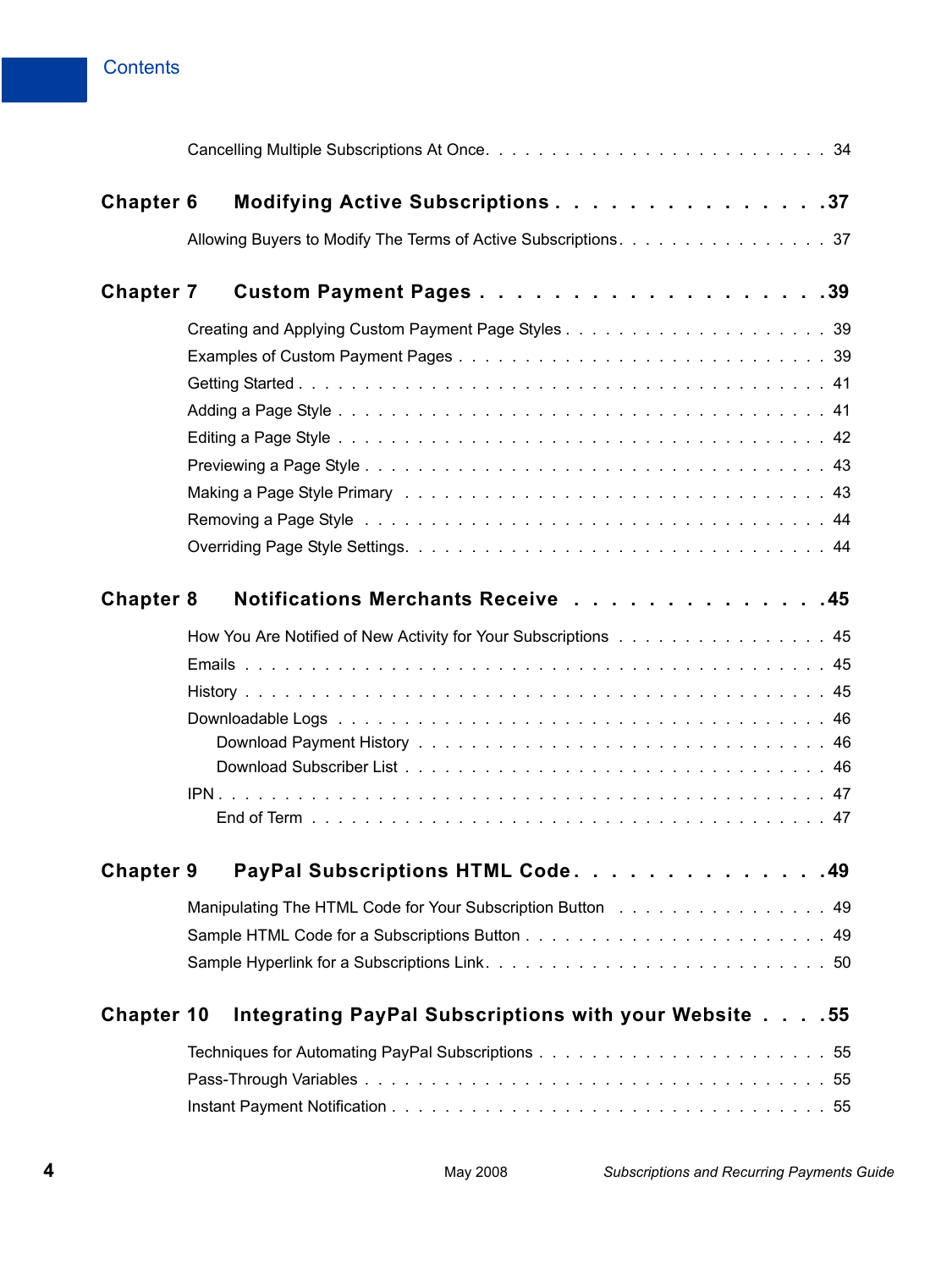| <b>Chapter 6</b>  | Modifying Active Subscriptions 37                                                                                                               |
|-------------------|-------------------------------------------------------------------------------------------------------------------------------------------------|
|                   | Allowing Buyers to Modify The Terms of Active Subscriptions. 37                                                                                 |
| <b>Chapter 7</b>  |                                                                                                                                                 |
|                   |                                                                                                                                                 |
|                   |                                                                                                                                                 |
|                   |                                                                                                                                                 |
|                   |                                                                                                                                                 |
|                   |                                                                                                                                                 |
|                   |                                                                                                                                                 |
|                   | Making a Page Style Primary research of the contract of the contract of the contract of the contract of the contract of the Making and Page 343 |
|                   |                                                                                                                                                 |
|                   |                                                                                                                                                 |
| <b>Chapter 8</b>  | Notifications Merchants Receive  45                                                                                                             |
|                   | How You Are Notified of New Activity for Your Subscriptions 45                                                                                  |
|                   |                                                                                                                                                 |
|                   |                                                                                                                                                 |
|                   |                                                                                                                                                 |
|                   |                                                                                                                                                 |
|                   |                                                                                                                                                 |
|                   |                                                                                                                                                 |
|                   |                                                                                                                                                 |
| <b>Chapter 9</b>  | PayPal Subscriptions HTML Code. 49                                                                                                              |
|                   |                                                                                                                                                 |
|                   |                                                                                                                                                 |
|                   |                                                                                                                                                 |
| <b>Chapter 10</b> | Integrating PayPal Subscriptions with your Website 55                                                                                           |
|                   |                                                                                                                                                 |
|                   |                                                                                                                                                 |
|                   |                                                                                                                                                 |
|                   |                                                                                                                                                 |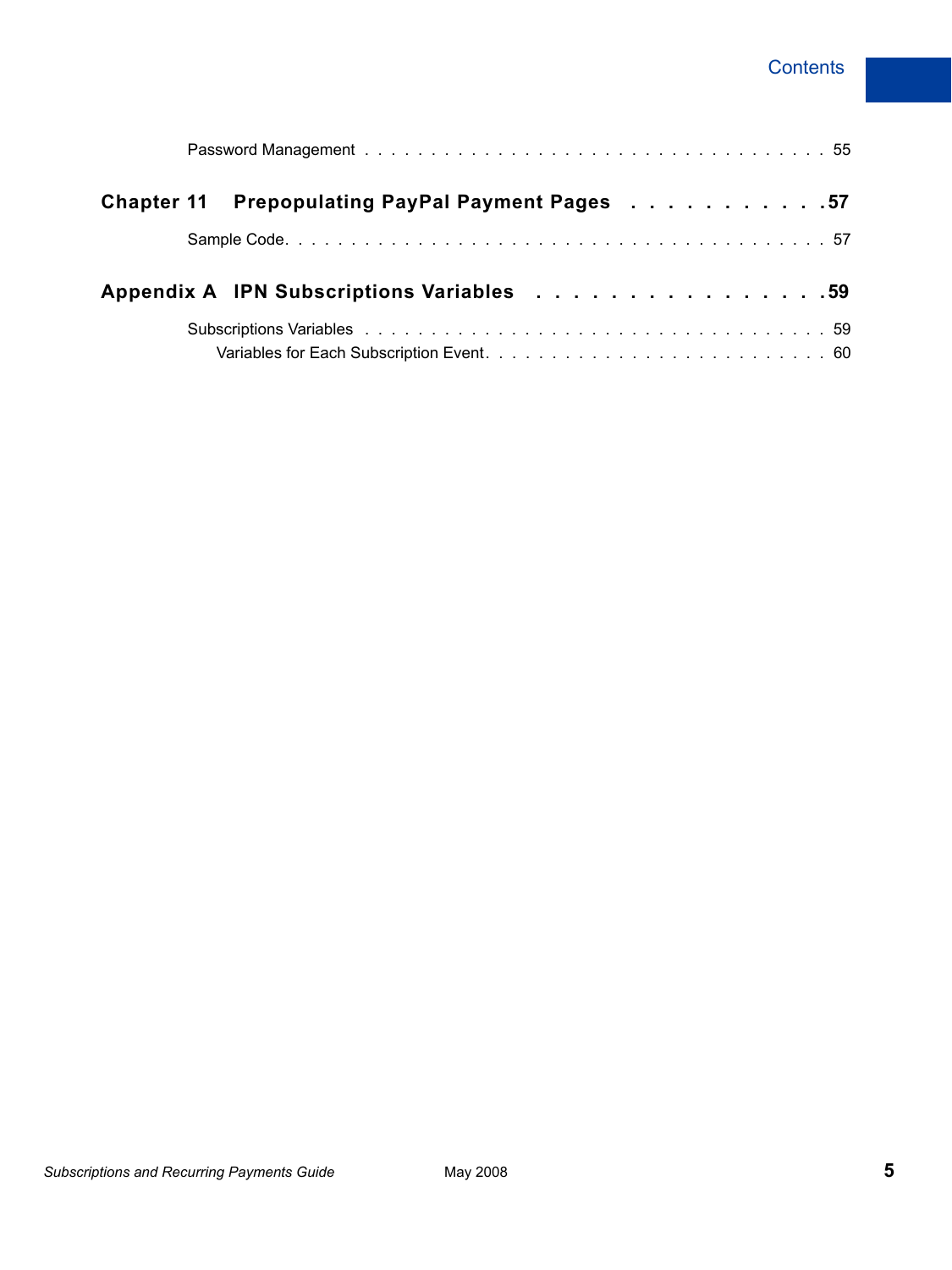## **Contents**

|  | Chapter 11 Prepopulating PayPal Payment Pages 57 |  |
|--|--------------------------------------------------|--|
|  |                                                  |  |
|  | Appendix A IPN Subscriptions Variables 59        |  |
|  |                                                  |  |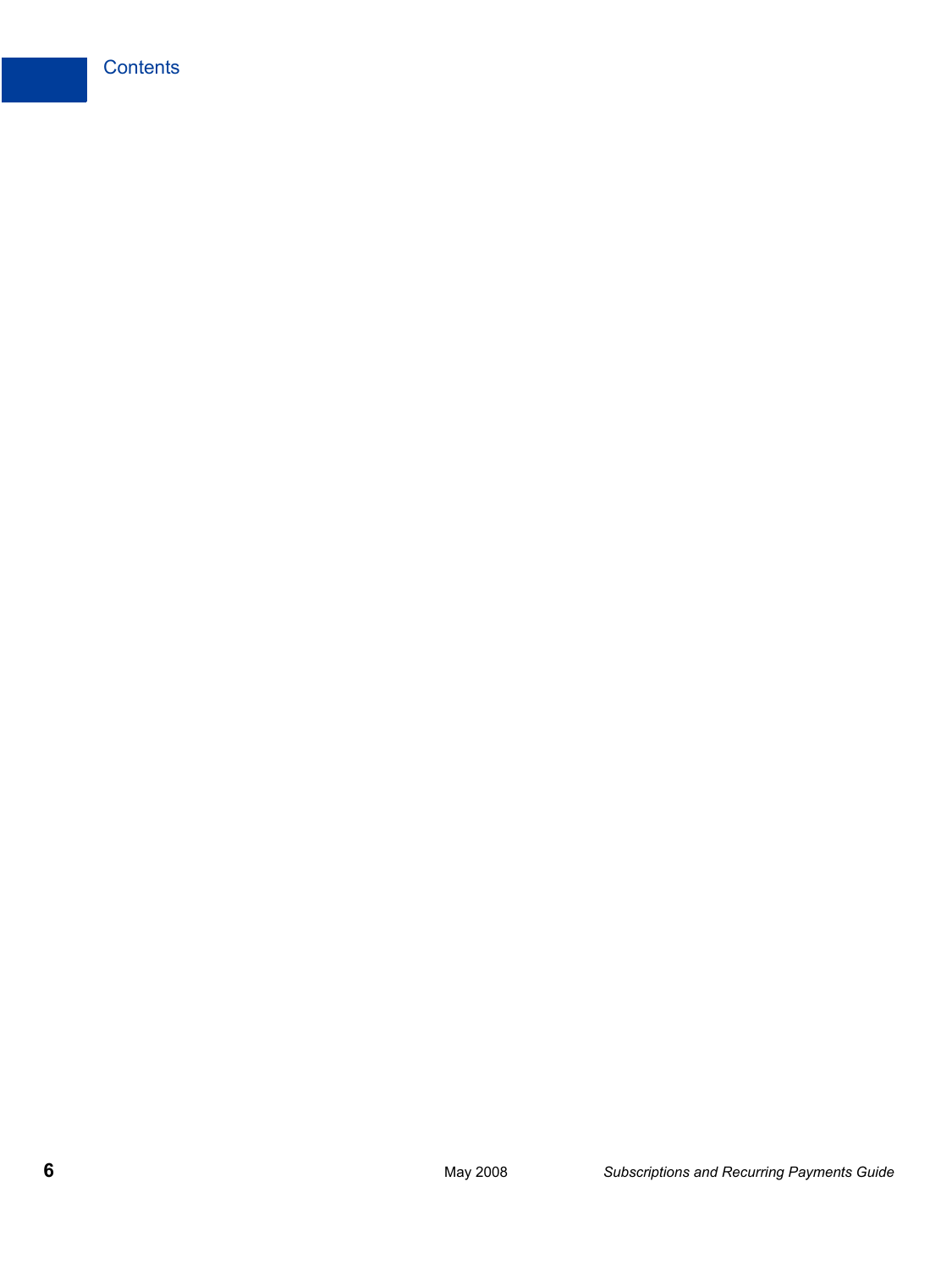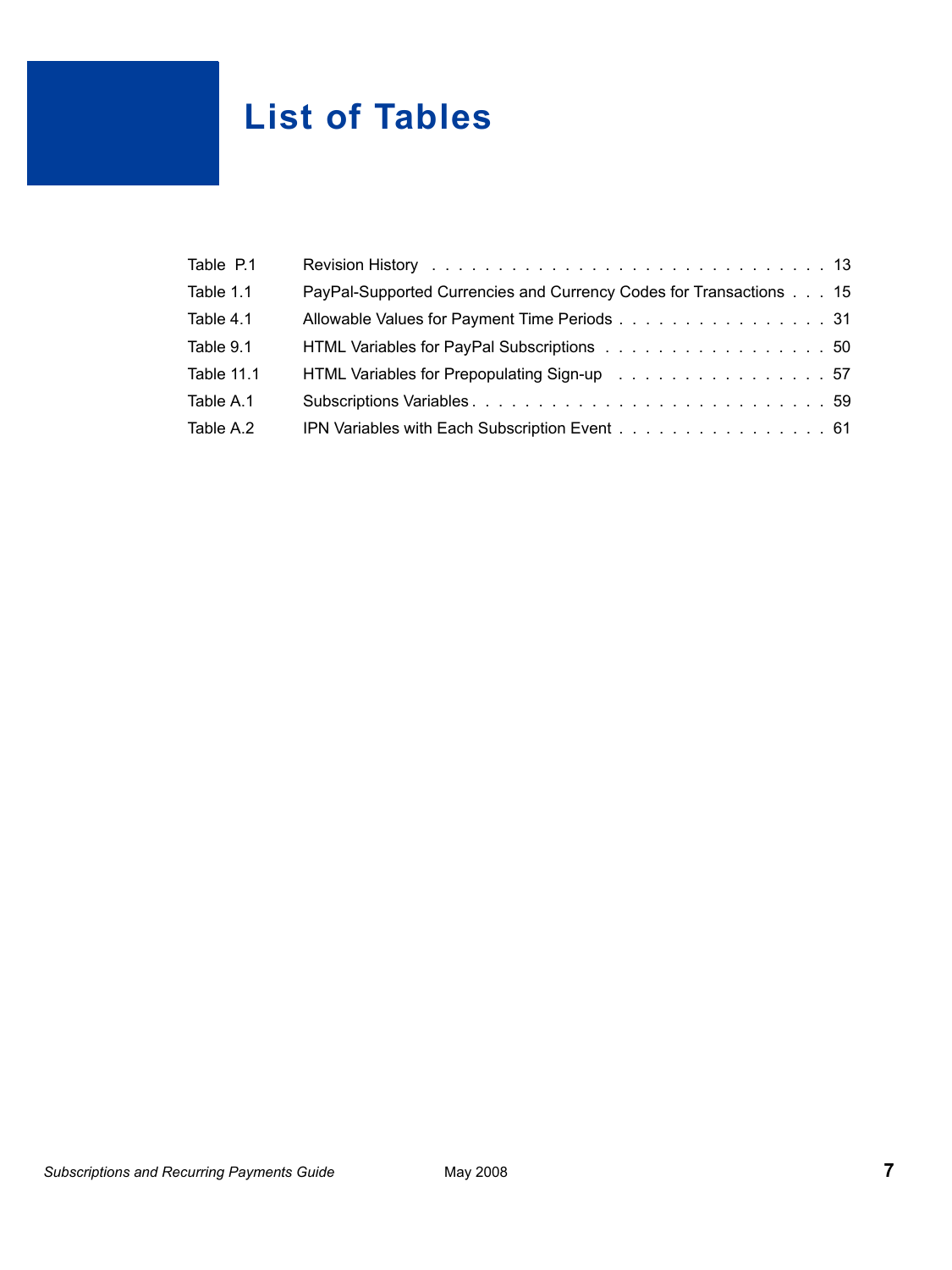# **List of Tables**

| Table P.1  |                                                                    |
|------------|--------------------------------------------------------------------|
| Table 1.1  | PayPal-Supported Currencies and Currency Codes for Transactions 15 |
| Table 4.1  | Allowable Values for Payment Time Periods 31                       |
| Table 9.1  | HTML Variables for PayPal Subscriptions 50                         |
| Table 11.1 | HTML Variables for Prepopulating Sign-up 57                        |
| Table A.1  |                                                                    |
| Table A.2  | IPN Variables with Each Subscription Event 61                      |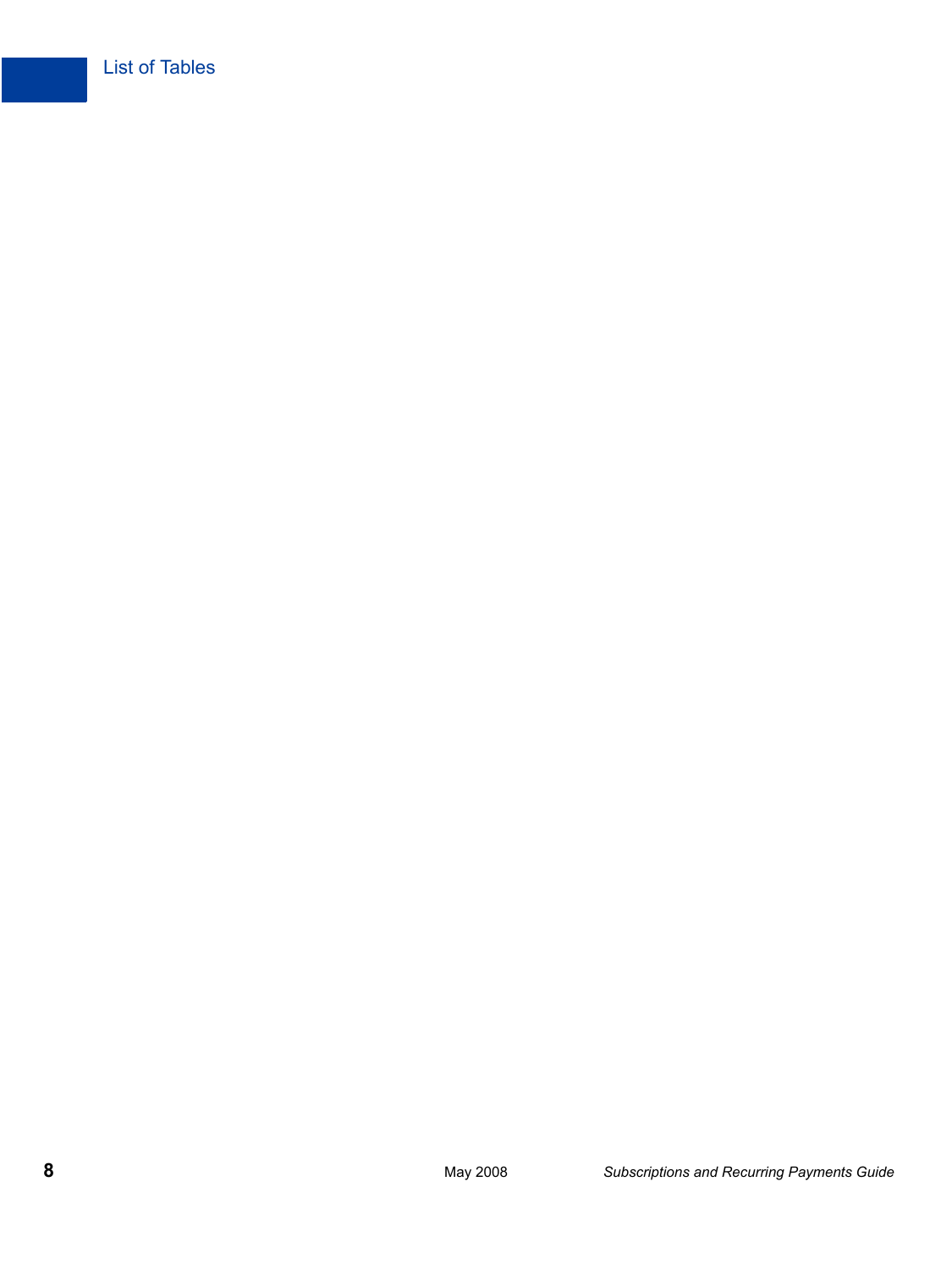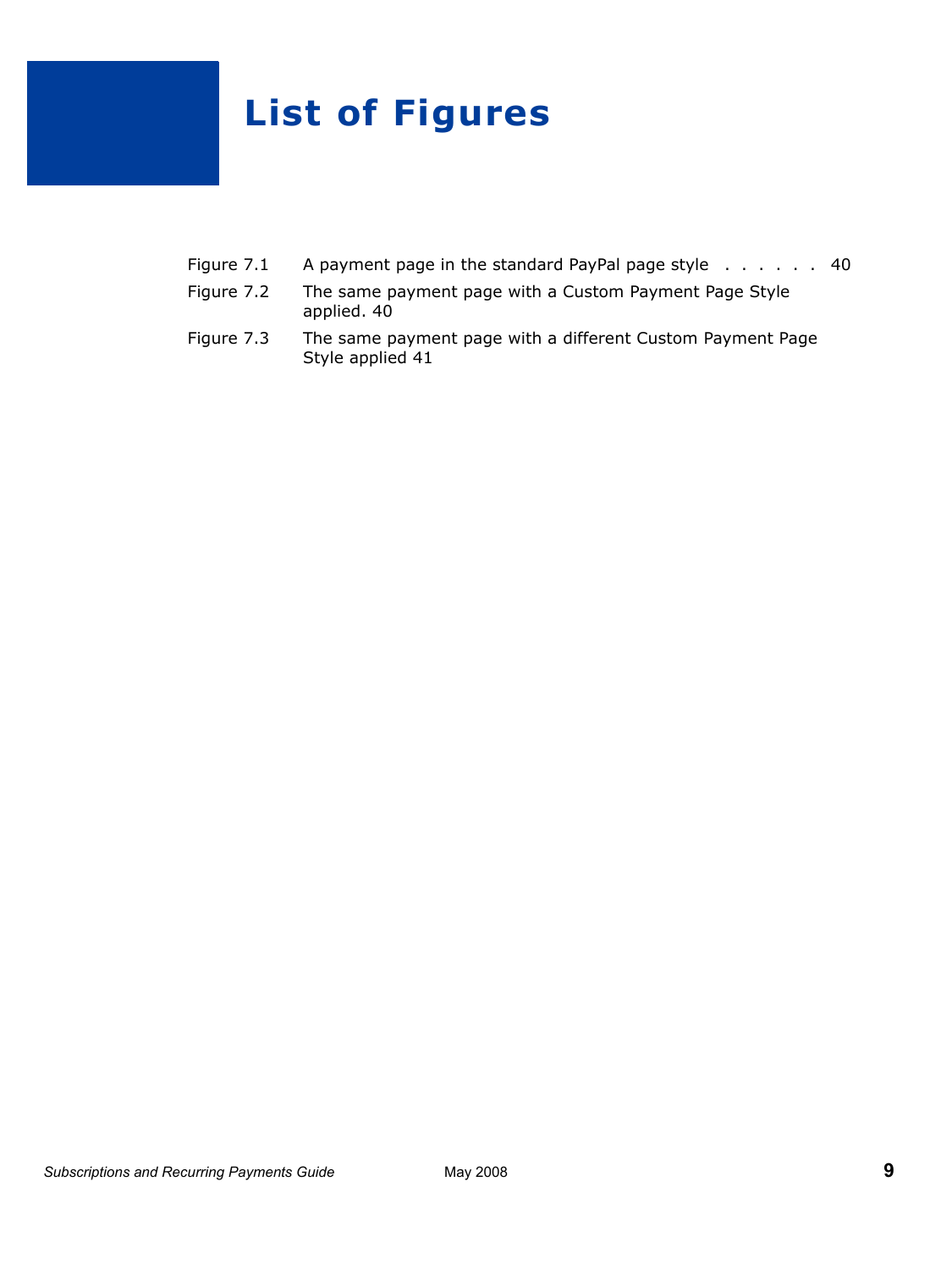# **List of Figures**

- [Figure 7.1 A payment page in the standard PayPal page style . . . . . . 40](#page-39-0)
- [Figure 7.2 The same payment page with a Custom Payment Page Style](#page-39-1)  applied. 40
- [Figure 7.3 The same payment page with a different Custom Payment Page](#page-40-2)  [Style applied 41](#page-40-2)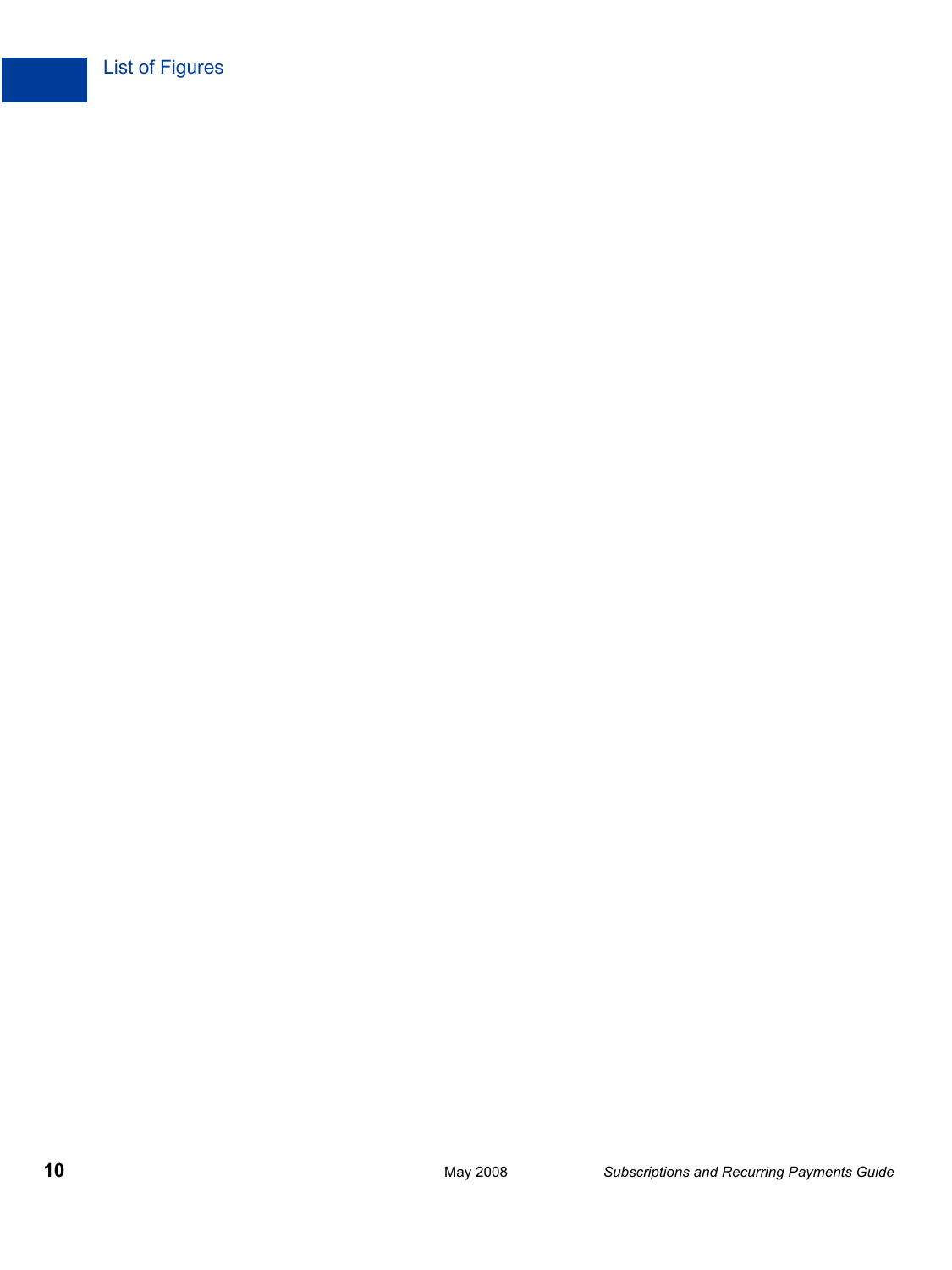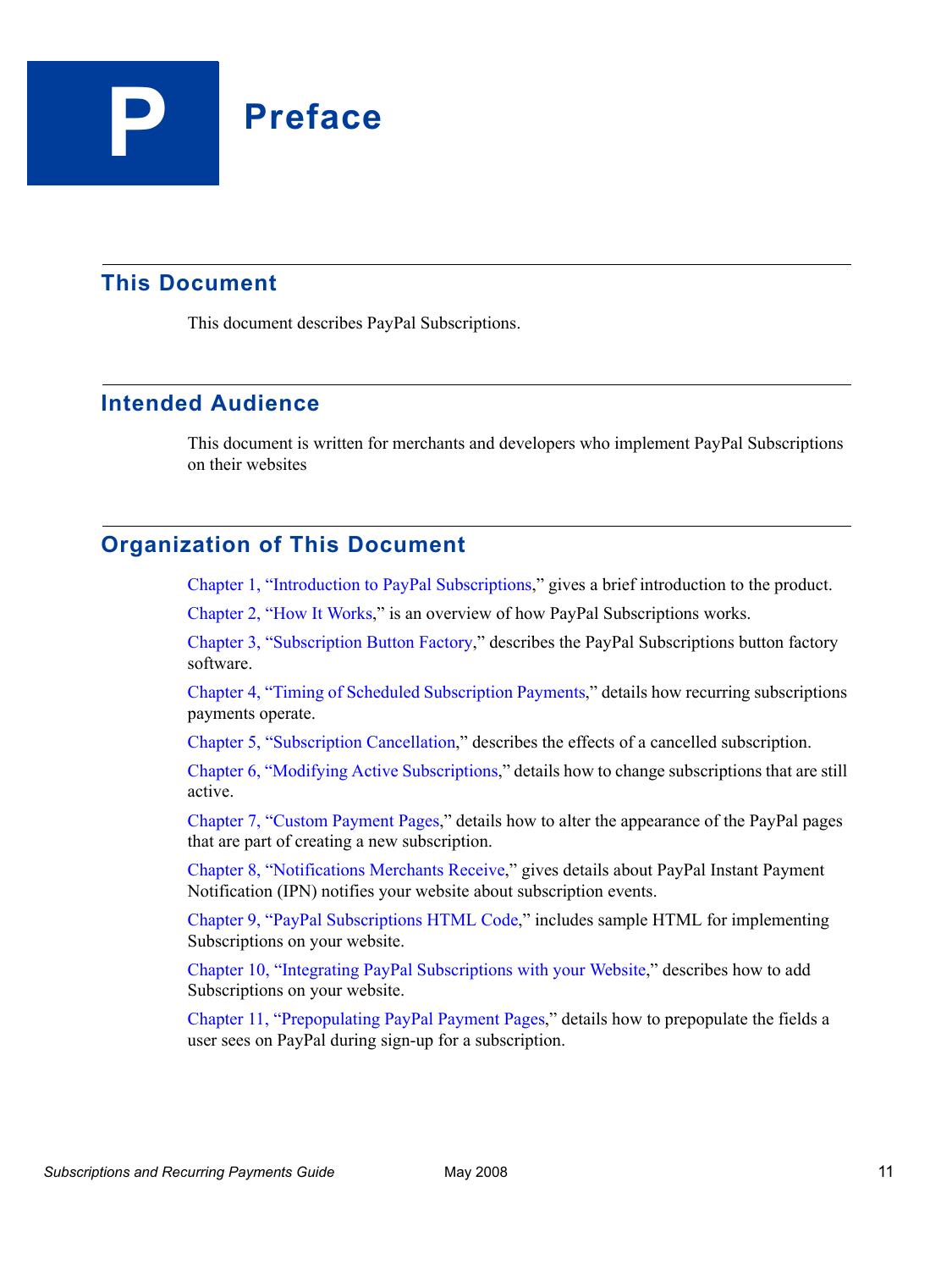# <span id="page-10-1"></span><span id="page-10-0"></span>**This Document**

This document describes PayPal Subscriptions.

# <span id="page-10-2"></span>**Intended Audience**

This document is written for merchants and developers who implement PayPal Subscriptions on their websites

# <span id="page-10-3"></span>**Organization of This Document**

[Chapter 1, "Introduction to PayPal Subscriptions,](#page-14-2)" gives a brief introduction to the product.

[Chapter 2, "How It Works](#page-16-3)," is an overview of how PayPal Subscriptions works.

[Chapter 3, "Subscription Button Factory,](#page-22-3)" describes the PayPal Subscriptions button factory software.

[Chapter 4, "Timing of Scheduled Subscription Payments](#page-30-3)," details how recurring subscriptions payments operate.

[Chapter 5, "Subscription Cancellation](#page-32-2)," describes the effects of a cancelled subscription.

[Chapter 6, "Modifying Active Subscriptions,](#page-36-2)" details how to change subscriptions that are still active.

[Chapter 7, "Custom Payment Pages](#page-38-3)," details how to alter the appearance of the PayPal pages that are part of creating a new subscription.

[Chapter 8, "Notifications Merchants Receive](#page-44-4)," gives details about PayPal Instant Payment Notification (IPN) notifies your website about subscription events.

[Chapter 9, "PayPal Subscriptions HTML Code](#page-48-3)," includes sample HTML for implementing Subscriptions on your website.

[Chapter 10, "Integrating PayPal Subscriptions with your Website](#page-54-5)," describes how to add Subscriptions on your website.

[Chapter 11, "Prepopulating PayPal Payment Pages](#page-56-3)," details how to prepopulate the fields a user sees on PayPal during sign-up for a subscription.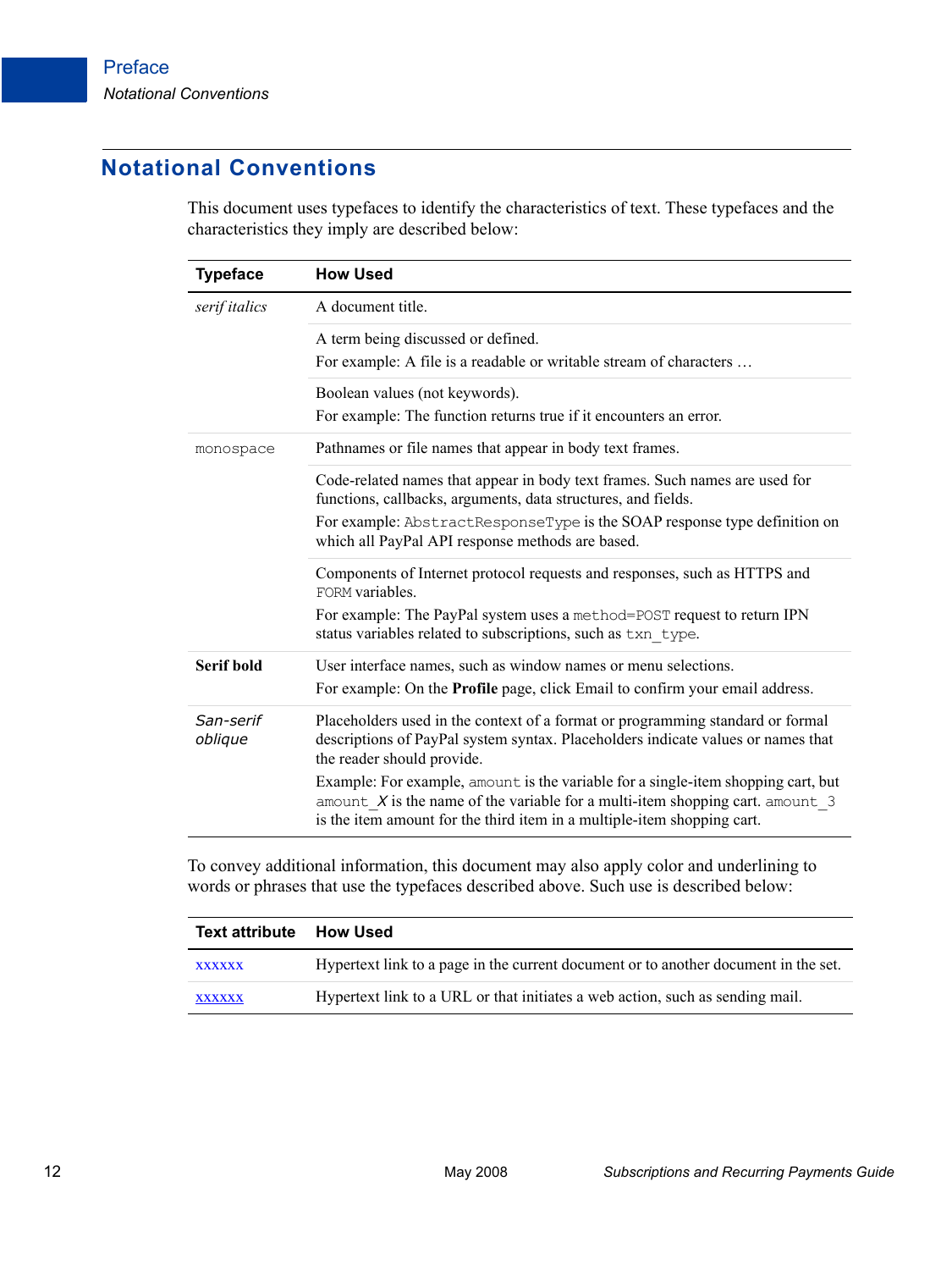# <span id="page-11-0"></span>**Notational Conventions**

This document uses typefaces to identify the characteristics of text. These typefaces and the characteristics they imply are described below:

| <b>Typeface</b>      | <b>How Used</b>                                                                                                                                                                                                                                                                                                                                                                                                                                     |
|----------------------|-----------------------------------------------------------------------------------------------------------------------------------------------------------------------------------------------------------------------------------------------------------------------------------------------------------------------------------------------------------------------------------------------------------------------------------------------------|
| serif italics        | A document title.                                                                                                                                                                                                                                                                                                                                                                                                                                   |
|                      | A term being discussed or defined.<br>For example: A file is a readable or writable stream of characters                                                                                                                                                                                                                                                                                                                                            |
|                      | Boolean values (not keywords).<br>For example: The function returns true if it encounters an error.                                                                                                                                                                                                                                                                                                                                                 |
| monospace            | Pathnames or file names that appear in body text frames.                                                                                                                                                                                                                                                                                                                                                                                            |
|                      | Code-related names that appear in body text frames. Such names are used for<br>functions, callbacks, arguments, data structures, and fields.<br>For example: AbstractResponseType is the SOAP response type definition on<br>which all PayPal API response methods are based.                                                                                                                                                                       |
|                      | Components of Internet protocol requests and responses, such as HTTPS and<br>FORM variables<br>For example: The PayPal system uses a method=POST request to return IPN<br>status variables related to subscriptions, such as txn type.                                                                                                                                                                                                              |
| <b>Serif bold</b>    | User interface names, such as window names or menu selections.<br>For example: On the Profile page, click Email to confirm your email address.                                                                                                                                                                                                                                                                                                      |
| San-serif<br>oblique | Placeholders used in the context of a format or programming standard or formal<br>descriptions of PayPal system syntax. Placeholders indicate values or names that<br>the reader should provide.<br>Example: For example, amount is the variable for a single-item shopping cart, but<br>amount $X$ is the name of the variable for a multi-item shopping cart. amount 3<br>is the item amount for the third item in a multiple-item shopping cart. |

To convey additional information, this document may also apply color and underlining to words or phrases that use the typefaces described above. Such use is described below:

<span id="page-11-1"></span>

| <b>Text attribute</b> | <b>How Used</b>                                                                     |
|-----------------------|-------------------------------------------------------------------------------------|
| <b>XXXXXX</b>         | Hypertext link to a page in the current document or to another document in the set. |
| <b>XXXXXX</b>         | Hypertext link to a URL or that initiates a web action, such as sending mail.       |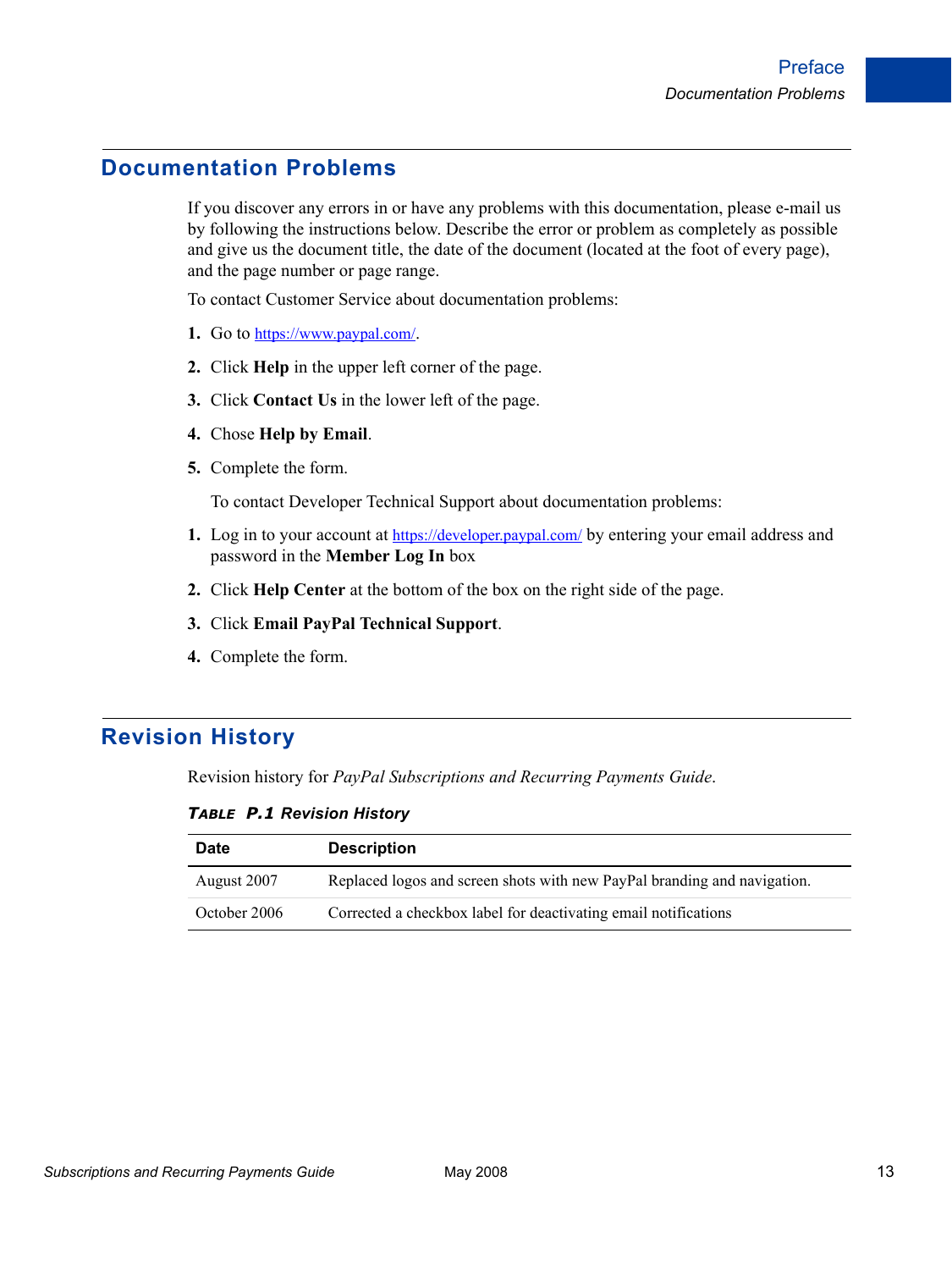## <span id="page-12-0"></span>**Documentation Problems**

If you discover any errors in or have any problems with this documentation, please e-mail us by following the instructions below. Describe the error or problem as completely as possible and give us the document title, the date of the document (located at the foot of every page), and the page number or page range.

To contact Customer Service about documentation problems:

- **1.** Go to [https://www.paypal.com/](https://www.paypal.com).
- **2.** Click **Help** in the upper left corner of the page.
- **3.** Click **Contact Us** in the lower left of the page.
- **4.** Chose **Help by Email**.
- **5.** Complete the form.

To contact Developer Technical Support about documentation problems:

- **1.** Log in to your account at<https://developer.paypal.com/> by entering your email address and password in the **Member Log In** box
- **2.** Click **Help Center** at the bottom of the box on the right side of the page.
- **3.** Click **Email PayPal Technical Support**.
- **4.** Complete the form.

# <span id="page-12-2"></span><span id="page-12-1"></span>**Revision History**

Revision history for *PayPal Subscriptions and Recurring Payments Guide*.

*TABLE P.1 Revision History*

| <b>Date</b>  | <b>Description</b>                                                       |
|--------------|--------------------------------------------------------------------------|
| August 2007  | Replaced logos and screen shots with new PayPal branding and navigation. |
| October 2006 | Corrected a checkbox label for deactivating email notifications          |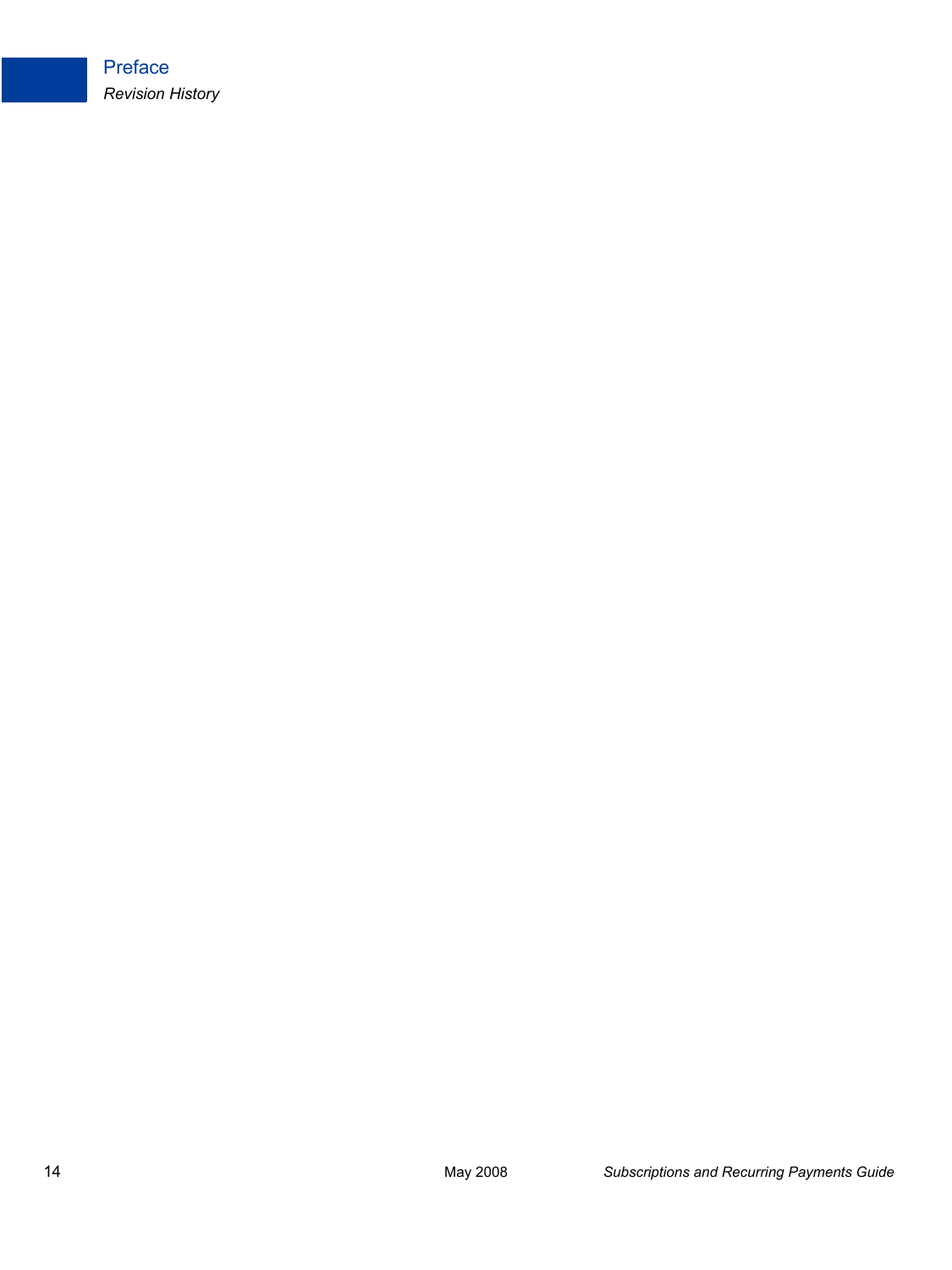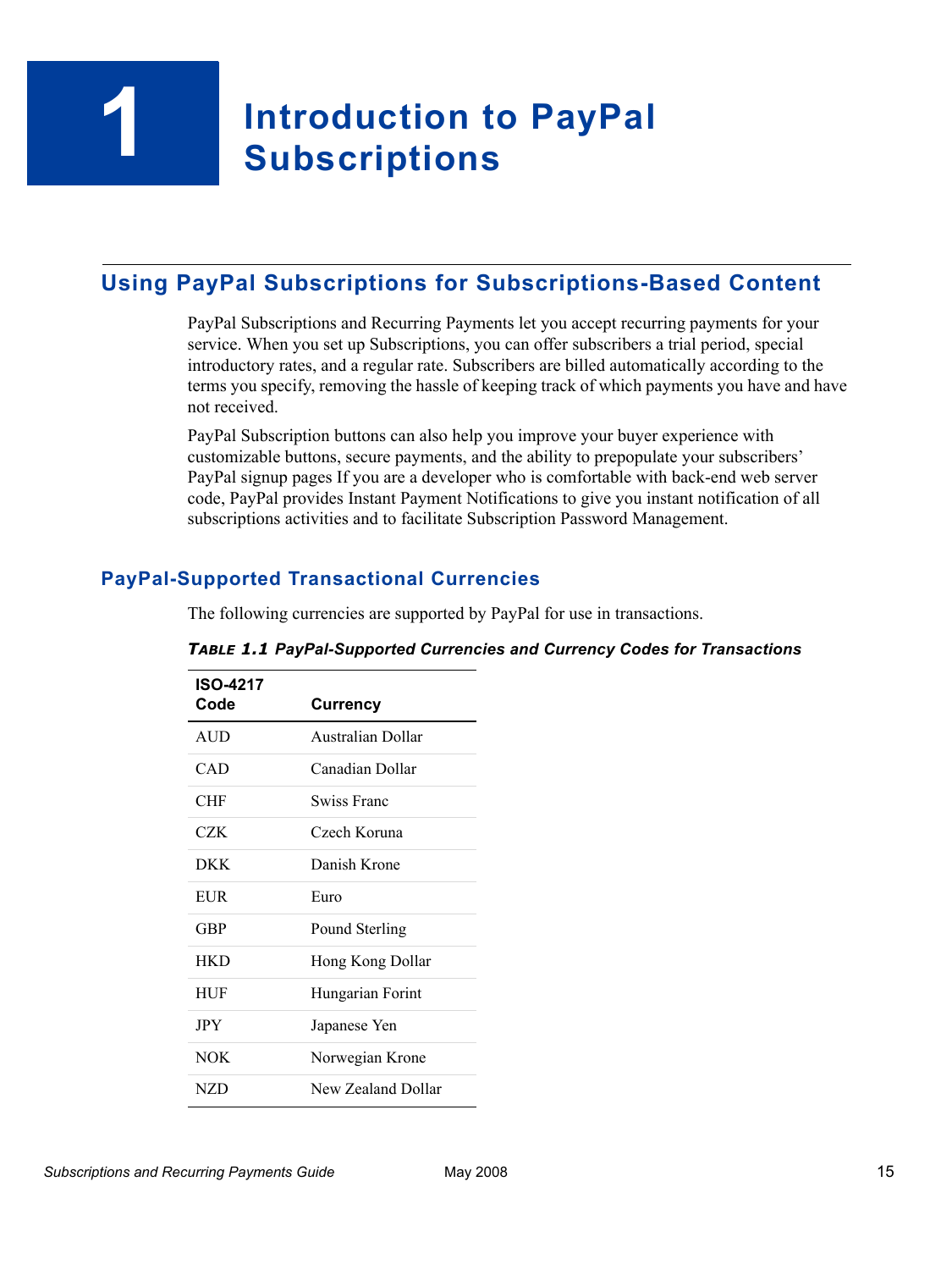# <span id="page-14-2"></span><span id="page-14-0"></span>**1 Introduction to PayPal Subscriptions**

# <span id="page-14-1"></span>**Using PayPal Subscriptions for Subscriptions-Based Content**

PayPal Subscriptions and Recurring Payments let you accept recurring payments for your service. When you set up Subscriptions, you can offer subscribers a trial period, special introductory rates, and a regular rate. Subscribers are billed automatically according to the terms you specify, removing the hassle of keeping track of which payments you have and have not received.

PayPal Subscription buttons can also help you improve your buyer experience with customizable buttons, secure payments, and the ability to prepopulate your subscribers' PayPal signup pages If you are a developer who is comfortable with back-end web server code, PayPal provides Instant Payment Notifications to give you instant notification of all subscriptions activities and to facilitate Subscription Password Management.

# **PayPal-Supported Transactional Currencies**

The following currencies are supported by PayPal for use in transactions.

| <b>ISO-4217</b><br>Code | <b>Currency</b>    |
|-------------------------|--------------------|
| AUD                     | Australian Dollar  |
| CAD                     | Canadian Dollar    |
| CHF                     | Swiss Franc        |
| CZK                     | Czech Koruna       |
| <b>DKK</b>              | Danish Krone       |
| EUR                     | Euro               |
| GBP                     | Pound Sterling     |
| <b>HKD</b>              | Hong Kong Dollar   |
| <b>HUF</b>              | Hungarian Forint   |
| <b>JPY</b>              | Japanese Yen       |
| <b>NOK</b>              | Norwegian Krone    |
| <b>NZD</b>              | New Zealand Dollar |

## *TABLE 1.1 PayPal-Supported Currencies and Currency Codes for Transactions*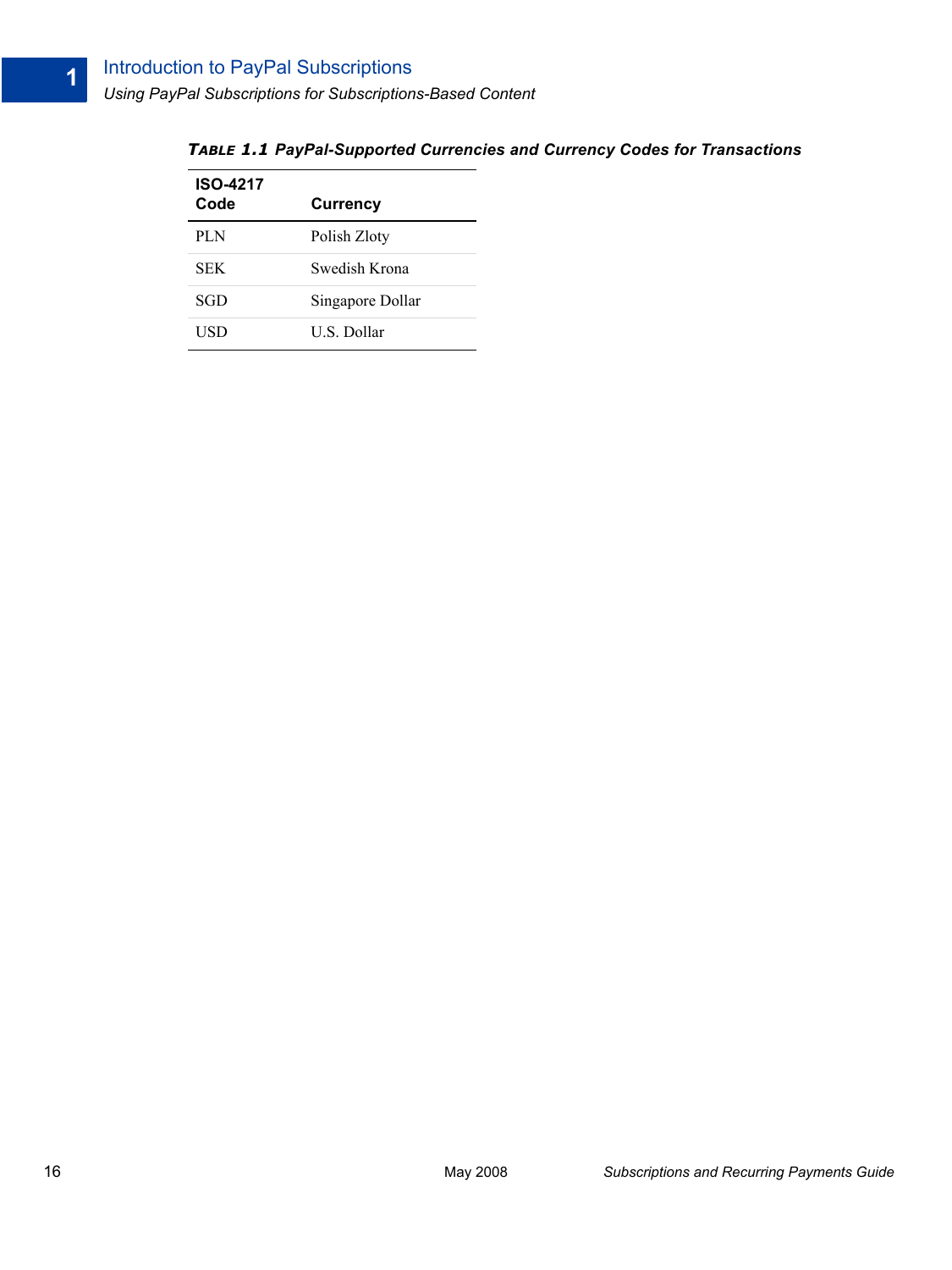| <b>ISO-4217</b><br>Code | <b>Currency</b>  |
|-------------------------|------------------|
| PLN                     | Polish Zloty     |
| SEK.                    | Swedish Krona    |
| SGD                     | Singapore Dollar |
| HSD                     | U.S. Dollar      |

#### *TABLE 1.1 PayPal-Supported Currencies and Currency Codes for Transactions*

**1**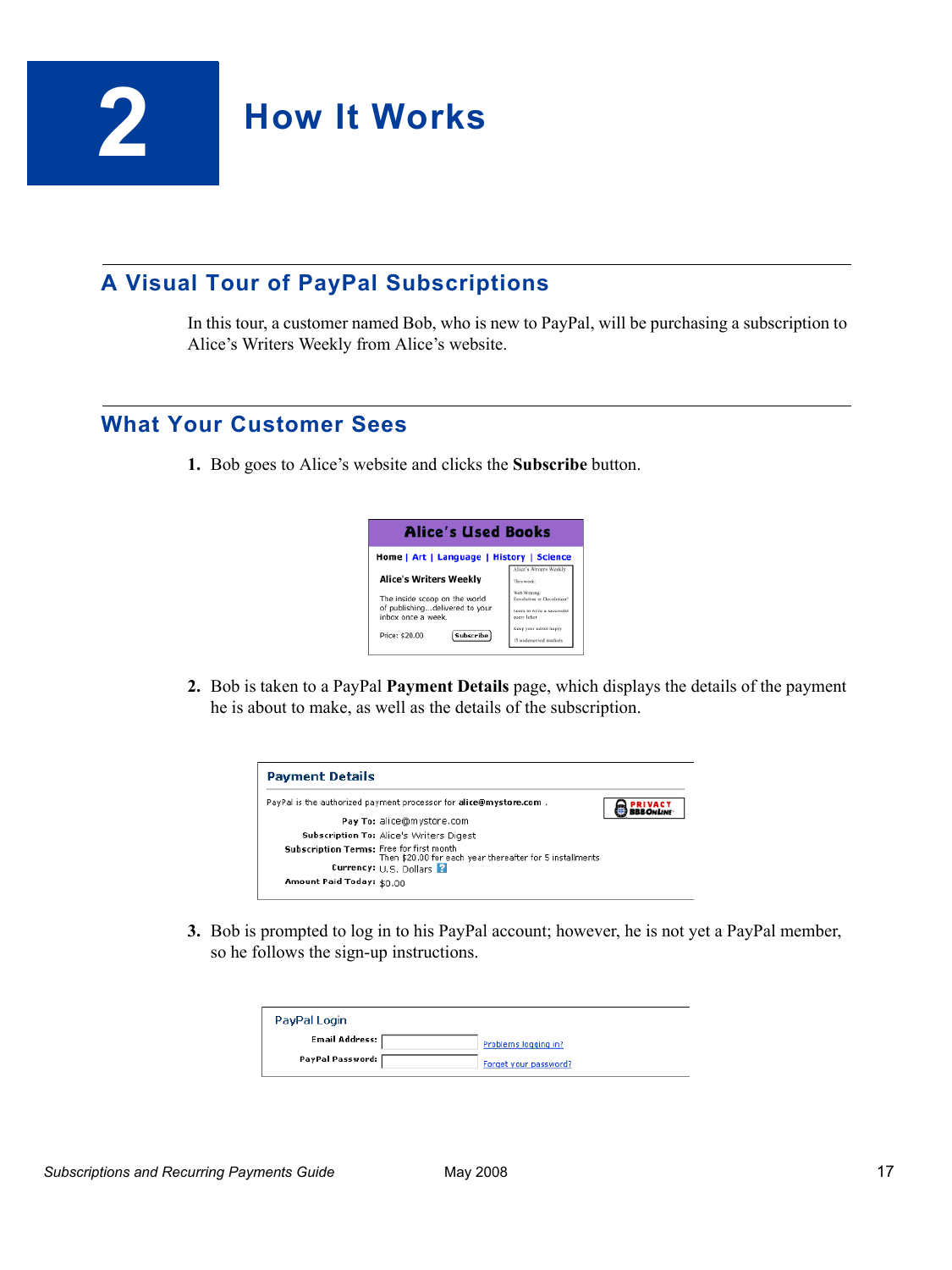# <span id="page-16-3"></span><span id="page-16-0"></span>**2 How It Works**

# <span id="page-16-1"></span>**A Visual Tour of PayPal Subscriptions**

In this tour, a customer named Bob, who is new to PayPal, will be purchasing a subscription to Alice's Writers Weekly from Alice's website.

# <span id="page-16-2"></span>**What Your Customer Sees**

**1.** Bob goes to Alice's website and clicks the **Subscribe** button.



**2.** Bob is taken to a PayPal **Payment Details** page, which displays the details of the payment he is about to make, as well as the details of the subscription.

| <b>Payment Details</b>                                                                                                           |  |
|----------------------------------------------------------------------------------------------------------------------------------|--|
| PayPal is the authorized payment processor for alice@mystore.com.                                                                |  |
| Pay To: alice@mystore.com                                                                                                        |  |
| Subscription To: Alice's Writers Digest                                                                                          |  |
| Subscription Terms: Free for first month<br>Then \$20.00 for each year thereafter for 5 installments<br>Currency: U.S. Dollars 2 |  |
| Amount Paid Today: \$0.00                                                                                                        |  |

**3.** Bob is prompted to log in to his PayPal account; however, he is not yet a PayPal member, so he follows the sign-up instructions.

| PayPal Login       |                       |
|--------------------|-----------------------|
| Email Address: [   | Problems logging in?  |
| PayPal Password: [ | Forget your password? |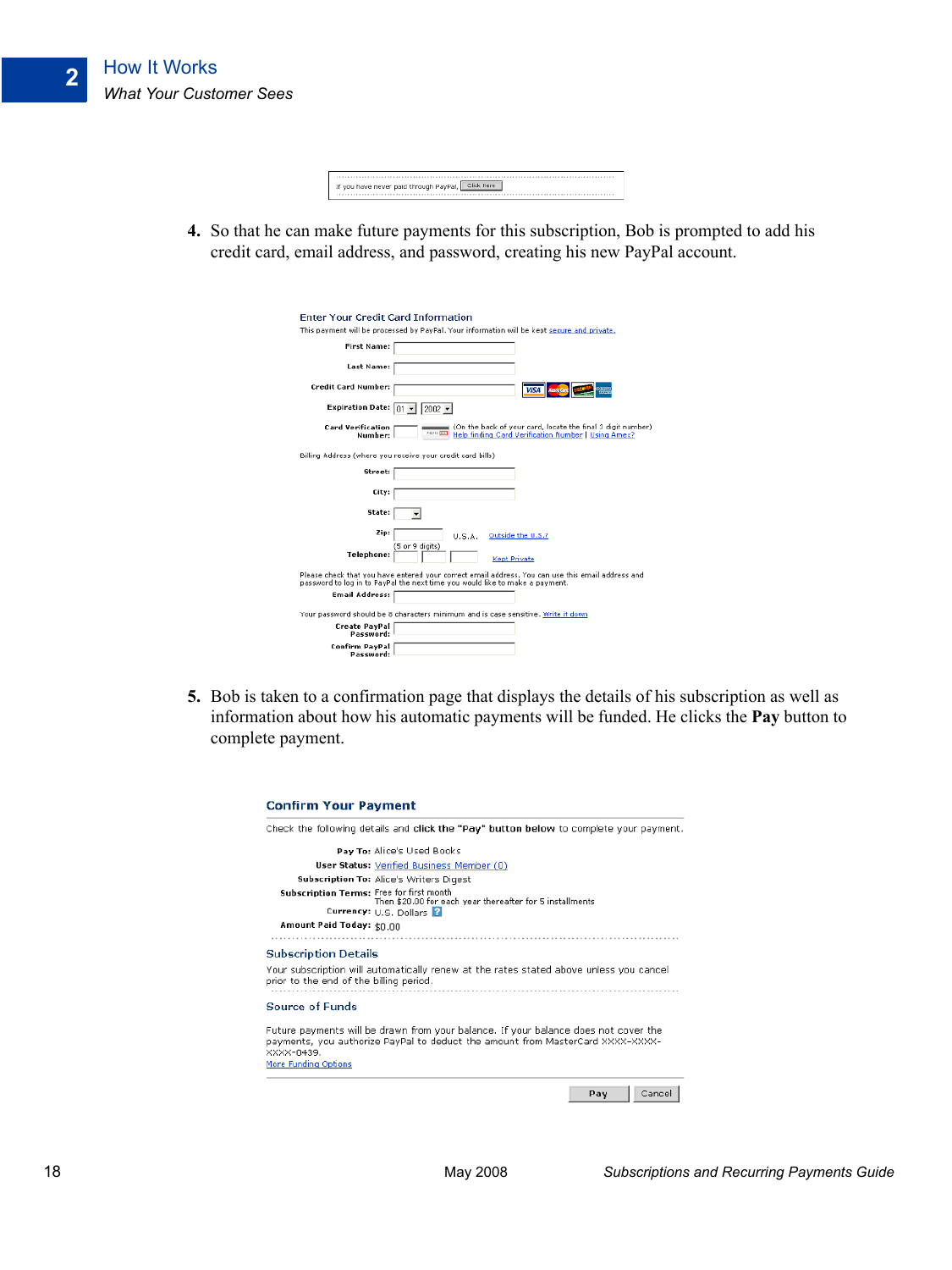| If you have never paid through PayPal, Click Here |  |  |  |  |  |
|---------------------------------------------------|--|--|--|--|--|

**4.** So that he can make future payments for this subscription, Bob is prompted to add his credit card, email address, and password, creating his new PayPal account.

| <b>Enter Your Credit Card Information</b>                                                                                                                                         |
|-----------------------------------------------------------------------------------------------------------------------------------------------------------------------------------|
| This payment will be processed by PayPal. Your information will be kept secure and private.                                                                                       |
| <b>First Name:</b>                                                                                                                                                                |
|                                                                                                                                                                                   |
| Last Name:                                                                                                                                                                        |
| Credit Card Number:<br>VISA                                                                                                                                                       |
| <b>Expiration Date: 01</b><br>$ 2002 -$                                                                                                                                           |
| (On the back of your card, locate the final 3 digit number)<br><b>Card Verification</b><br><b>FEDTE</b> 2021<br>Help finding Card Verification Number   Using Amex?<br>Number:    |
| Billing Address (where you receive your credit card bills)                                                                                                                        |
| Street:                                                                                                                                                                           |
| City:                                                                                                                                                                             |
| State:                                                                                                                                                                            |
| Zip:<br>Outside the U.S.?<br>U.S.A.                                                                                                                                               |
| 5 or 9 digits)<br>Telephone:<br><b>Kept Private</b>                                                                                                                               |
| Please check that you have entered your correct email address. You can use this email address and<br>password to log in to PayPal the next time you would like to make a payment. |
| <b>Email Address:</b>                                                                                                                                                             |
| Your password should be 8 characters minimum and is case sensitive. Write it down                                                                                                 |
| <b>Create PayPal</b><br>Password:                                                                                                                                                 |
| <b>Confirm PayPal</b><br>Password:                                                                                                                                                |

**5.** Bob is taken to a confirmation page that displays the details of his subscription as well as information about how his automatic payments will be funded. He clicks the **Pay** button to complete payment.

|                                          | Check the following details and click the "Pay" button below to complete your payment.                                                                                |
|------------------------------------------|-----------------------------------------------------------------------------------------------------------------------------------------------------------------------|
|                                          | Pay To: Alice's Used Books                                                                                                                                            |
|                                          | User Status: Verified Business Member (0)                                                                                                                             |
|                                          | <b>Subscription To: Alice's Writers Digest</b>                                                                                                                        |
| Subscription Terms: Free for first month | Then \$20.00 for each year thereafter for 5 installments<br>Currency: U.S. Dollars <b>P</b>                                                                           |
| Amount Paid Today: \$0.00                |                                                                                                                                                                       |
|                                          |                                                                                                                                                                       |
| <b>Subscription Details</b>              |                                                                                                                                                                       |
| prior to the end of the billing period.  | Your subscription will automatically renew at the rates stated above unless you cancel                                                                                |
| Source of Funds                          |                                                                                                                                                                       |
| XXXX-0439.<br>More Funding Options       | Future payments will be drawn from your balance. If your balance does not cover the<br>payments, you authorize PayPal to deduct the amount from MasterCard XXXX-XXXX- |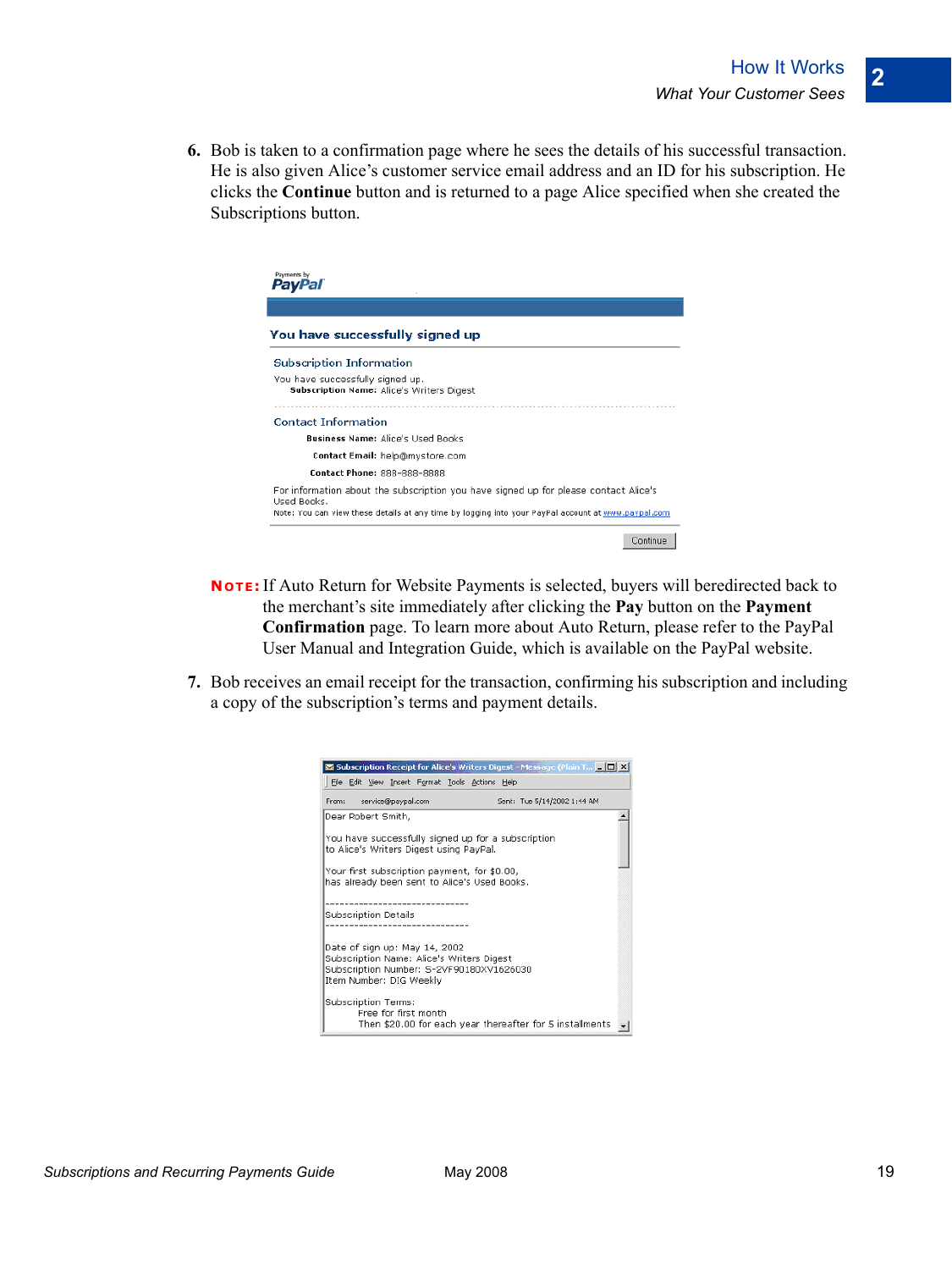**6.** Bob is taken to a confirmation page where he sees the details of his successful transaction. He is also given Alice's customer service email address and an ID for his subscription. He clicks the **Continue** button and is returned to a page Alice specified when she created the Subscriptions button.

| Payments by                     |                                                                                      |
|---------------------------------|--------------------------------------------------------------------------------------|
|                                 |                                                                                      |
|                                 | You have successfully signed up                                                      |
| <b>Subscription Information</b> |                                                                                      |
|                                 | You have successfully signed up.<br>Subscription Name: Alice's Writers Digest        |
|                                 |                                                                                      |
| <b>Contact Information</b>      |                                                                                      |
|                                 | <b>Business Name: Alice's Used Books</b>                                             |
|                                 | Contact Email: help@mystore.com                                                      |
|                                 | <b>Contact Phone: 888-888-8888</b>                                                   |
|                                 | For information about the subscription you have signed up for please contact Alice's |
| Used Books.                     |                                                                                      |

- **NOTE:** If Auto Return for Website Payments is selected, buyers will beredirected back to the merchant's site immediately after clicking the **Pay** button on the **Payment Confirmation** page. To learn more about Auto Return, please refer to the PayPal User Manual and Integration Guide, which is available on the PayPal website.
- **7.** Bob receives an email receipt for the transaction, confirming his subscription and including a copy of the subscription's terms and payment details.

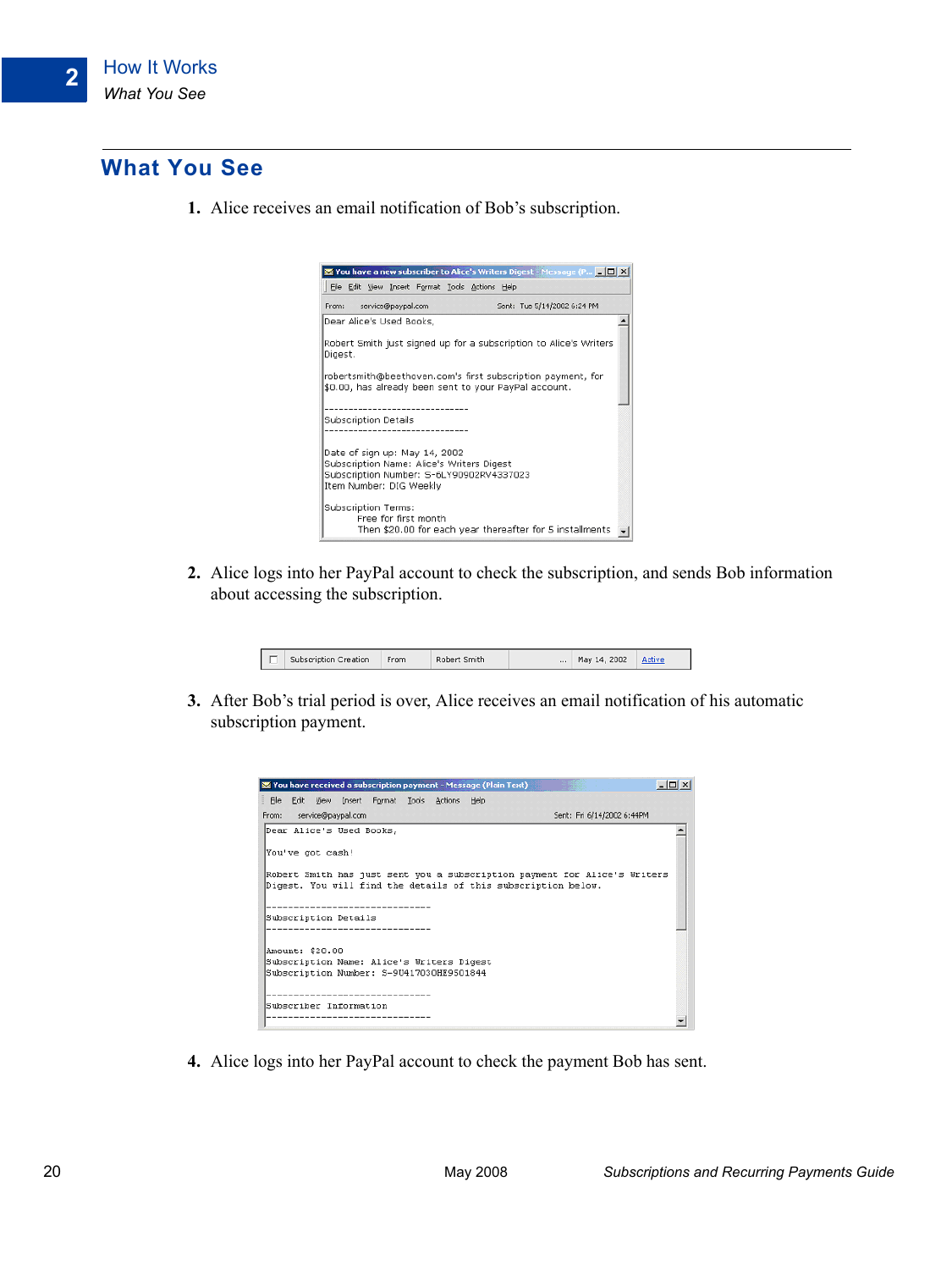# <span id="page-19-0"></span>**What You See**

**1.** Alice receives an email notification of Bob's subscription.



**2.** Alice logs into her PayPal account to check the subscription, and sends Bob information about accessing the subscription.

| $\sim$<br>Robert<br>From<br>Subscription Creation<br>Smith. | 111 | May 14, 2002 | <b>Active</b> |
|-------------------------------------------------------------|-----|--------------|---------------|
|-------------------------------------------------------------|-----|--------------|---------------|

**3.** After Bob's trial period is over, Alice receives an email notification of his automatic subscription payment.



**4.** Alice logs into her PayPal account to check the payment Bob has sent.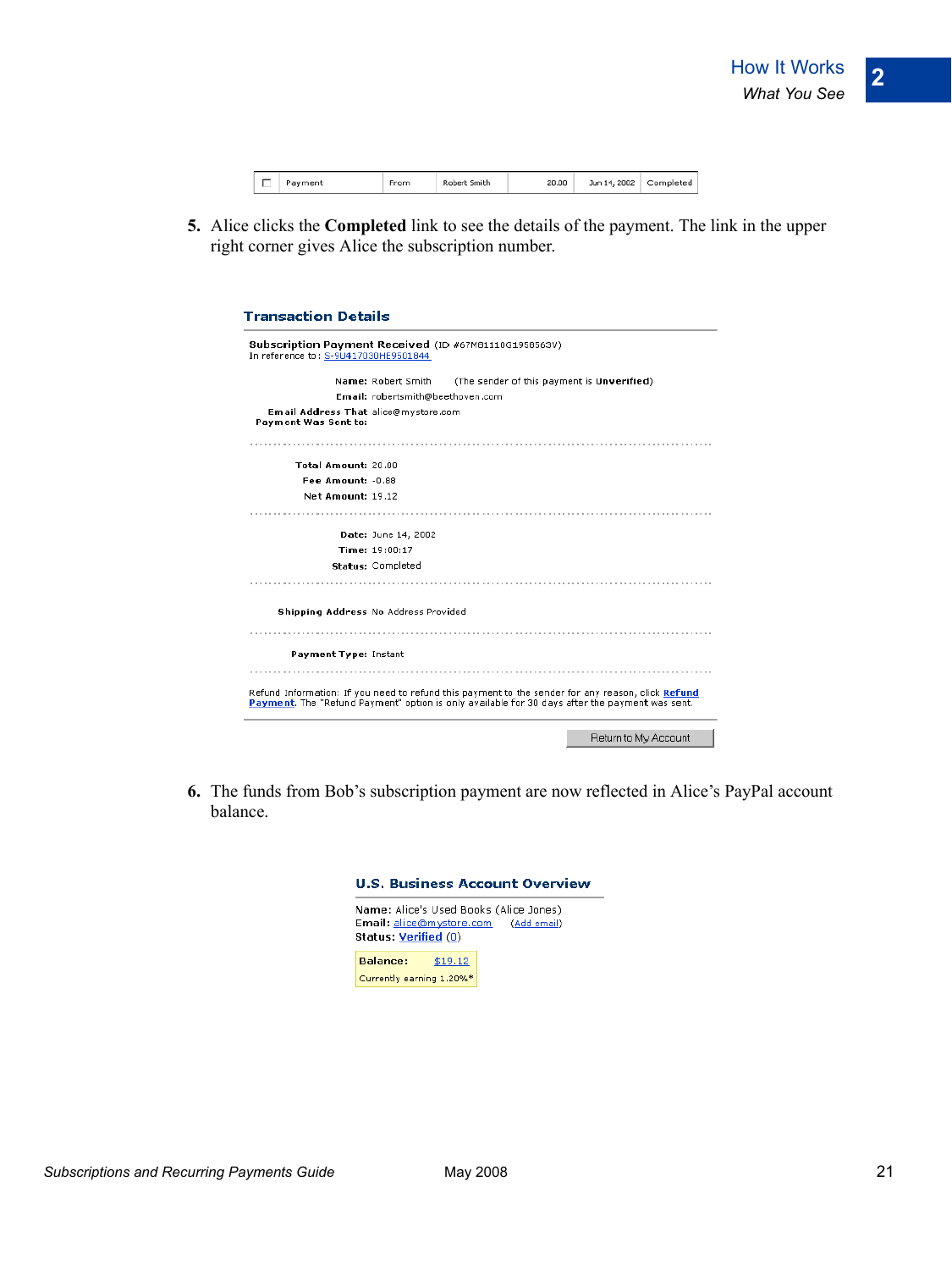|  | Trom | Robert Smith | 20.00 | Jun 14,<br>2002 | Completed |
|--|------|--------------|-------|-----------------|-----------|
|  |      |              |       |                 |           |

**5.** Alice clicks the **Completed** link to see the details of the payment. The link in the upper right corner gives Alice the subscription number.

| <b>Transaction Details</b><br>Subscription Payment Received (ID #67M81110G1958563V) |                                                                                                                                                                                                     |
|-------------------------------------------------------------------------------------|-----------------------------------------------------------------------------------------------------------------------------------------------------------------------------------------------------|
| In reference to: S-9U417030HE9501844                                                |                                                                                                                                                                                                     |
| Name: Robert Smith                                                                  | (The sender of this payment is <b>Unverified</b> )                                                                                                                                                  |
| Email: robertsmith@beethoven.com                                                    |                                                                                                                                                                                                     |
| Email Address That alice@mystore.com<br><b>Payment Was Sent to:</b>                 |                                                                                                                                                                                                     |
|                                                                                     |                                                                                                                                                                                                     |
| Total Amount: 20.00                                                                 |                                                                                                                                                                                                     |
| Fee Amount: -0.88                                                                   |                                                                                                                                                                                                     |
| Net Amount: 19.12                                                                   |                                                                                                                                                                                                     |
|                                                                                     |                                                                                                                                                                                                     |
| Date: June 14, 2002                                                                 |                                                                                                                                                                                                     |
| Time: 19:00:17                                                                      |                                                                                                                                                                                                     |
| Status: Completed                                                                   |                                                                                                                                                                                                     |
|                                                                                     |                                                                                                                                                                                                     |
| <b>Shipping Address No Address Provided</b>                                         |                                                                                                                                                                                                     |
|                                                                                     |                                                                                                                                                                                                     |
| Payment Type: Instant                                                               |                                                                                                                                                                                                     |
|                                                                                     |                                                                                                                                                                                                     |
|                                                                                     | Refund Information: If you need to refund this payment to the sender for any reason, click Refund<br>Payment. The "Refund Payment" option is only available for 30 days after the payment was sent. |
|                                                                                     | Return to My Account                                                                                                                                                                                |

**6.** The funds from Bob's subscription payment are now reflected in Alice's PayPal account balance.

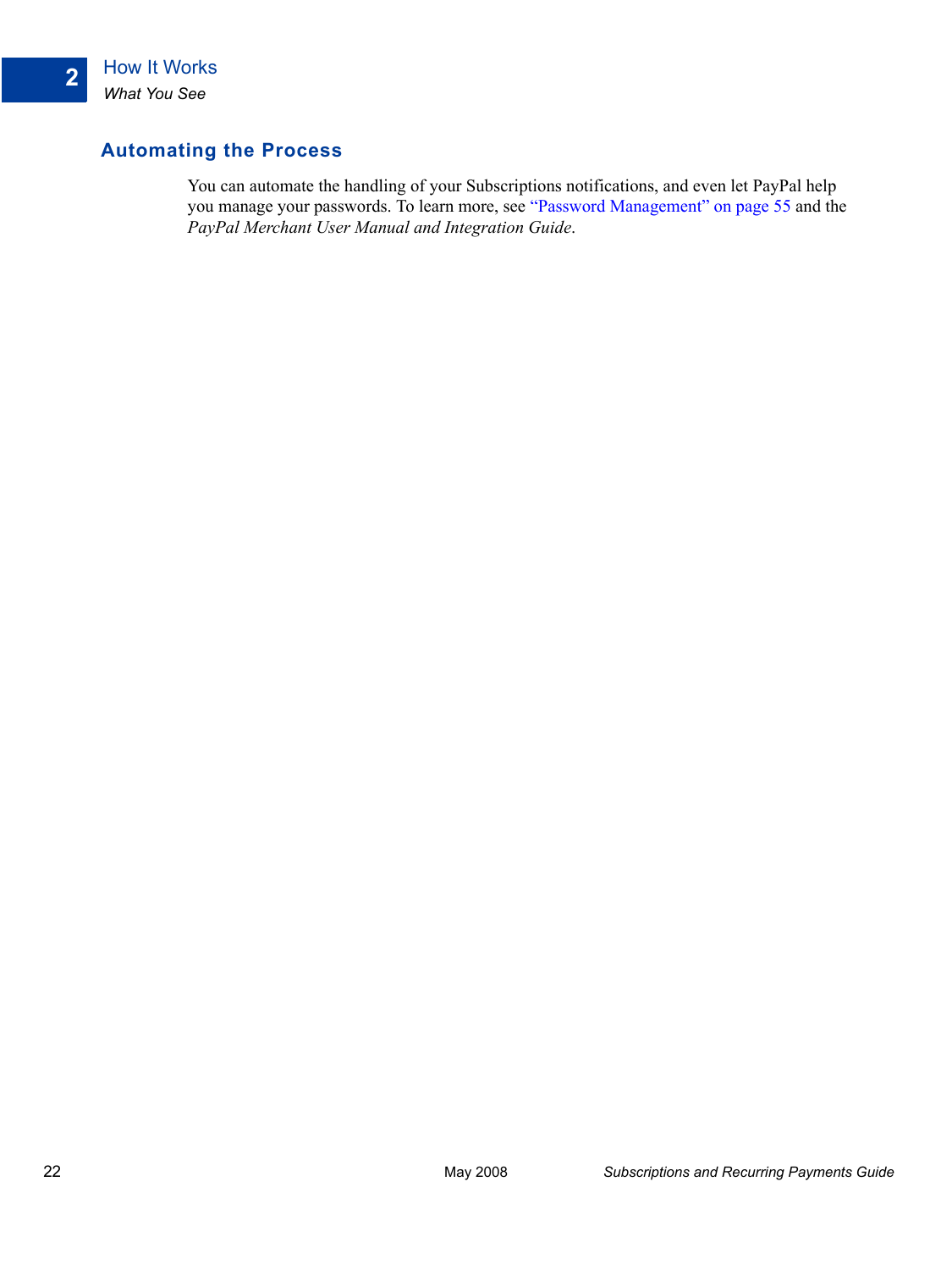## <span id="page-21-0"></span>**Automating the Process**

You can automate the handling of your Subscriptions notifications, and even let PayPal help you manage your passwords. To learn more, see ["Password Management" on page 55](#page-54-6) and the *PayPal Merchant User Manual and Integration Guide*.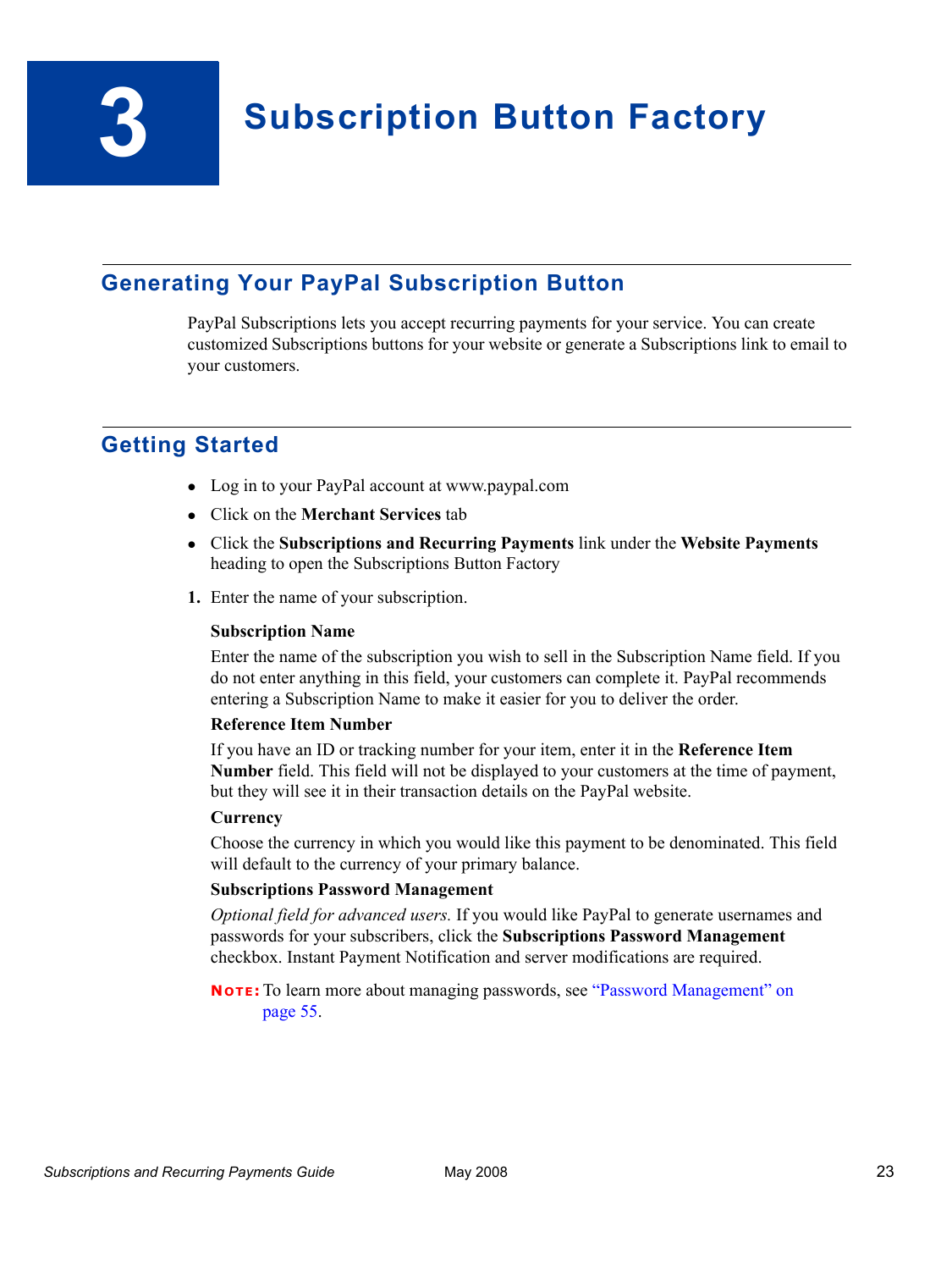# <span id="page-22-3"></span><span id="page-22-1"></span><span id="page-22-0"></span>**Generating Your PayPal Subscription Button**

PayPal Subscriptions lets you accept recurring payments for your service. You can create customized Subscriptions buttons for your website or generate a Subscriptions link to email to your customers.

# <span id="page-22-4"></span><span id="page-22-2"></span>**Getting Started**

- Log in to your PayPal account at www.paypal.com
- <sup>z</sup> Click on the **Merchant Services** tab
- <sup>z</sup> Click the **Subscriptions and Recurring Payments** link under the **Website Payments** heading to open the Subscriptions Button Factory
- **1.** Enter the name of your subscription.

#### **Subscription Name**

Enter the name of the subscription you wish to sell in the Subscription Name field. If you do not enter anything in this field, your customers can complete it. PayPal recommends entering a Subscription Name to make it easier for you to deliver the order.

#### **Reference Item Number**

If you have an ID or tracking number for your item, enter it in the **Reference Item Number** field. This field will not be displayed to your customers at the time of payment, but they will see it in their transaction details on the PayPal website.

#### **Currency**

Choose the currency in which you would like this payment to be denominated. This field will default to the currency of your primary balance.

#### **Subscriptions Password Management**

*Optional field for advanced users.* If you would like PayPal to generate usernames and passwords for your subscribers, click the **Subscriptions Password Management** checkbox. Instant Payment Notification and server modifications are required.

**NOTE:** To learn more about managing passwords, see ["Password Management" on](#page-54-6)  [page 55](#page-54-6).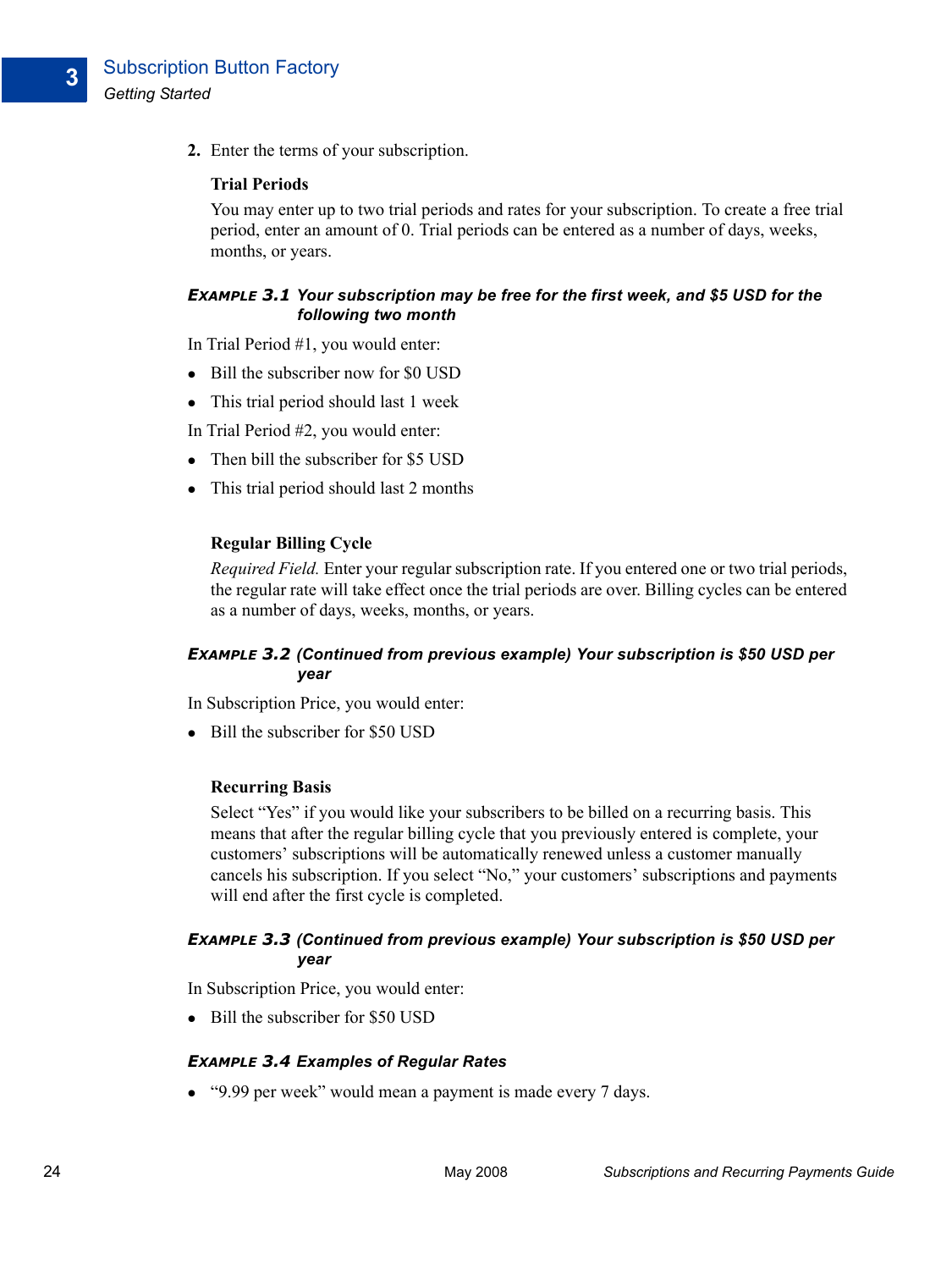**2.** Enter the terms of your subscription.

#### **Trial Periods**

You may enter up to two trial periods and rates for your subscription. To create a free trial period, enter an amount of 0. Trial periods can be entered as a number of days, weeks, months, or years.

#### *EXAMPLE 3.1 Your subscription may be free for the first week, and \$5 USD for the following two month*

In Trial Period #1, you would enter:

- Bill the subscriber now for \$0 USD
- This trial period should last 1 week

In Trial Period #2, you would enter:

- Then bill the subscriber for \$5 USD
- This trial period should last 2 months

#### **Regular Billing Cycle**

*Required Field.* Enter your regular subscription rate. If you entered one or two trial periods, the regular rate will take effect once the trial periods are over. Billing cycles can be entered as a number of days, weeks, months, or years.

#### *EXAMPLE 3.2 (Continued from previous example) Your subscription is \$50 USD per year*

In Subscription Price, you would enter:

• Bill the subscriber for \$50 USD

#### **Recurring Basis**

Select "Yes" if you would like your subscribers to be billed on a recurring basis. This means that after the regular billing cycle that you previously entered is complete, your customers' subscriptions will be automatically renewed unless a customer manually cancels his subscription. If you select "No," your customers' subscriptions and payments will end after the first cycle is completed.

#### *EXAMPLE 3.3 (Continued from previous example) Your subscription is \$50 USD per year*

In Subscription Price, you would enter:

• Bill the subscriber for \$50 USD

#### *EXAMPLE 3.4 Examples of Regular Rates*

• "9.99 per week" would mean a payment is made every 7 days.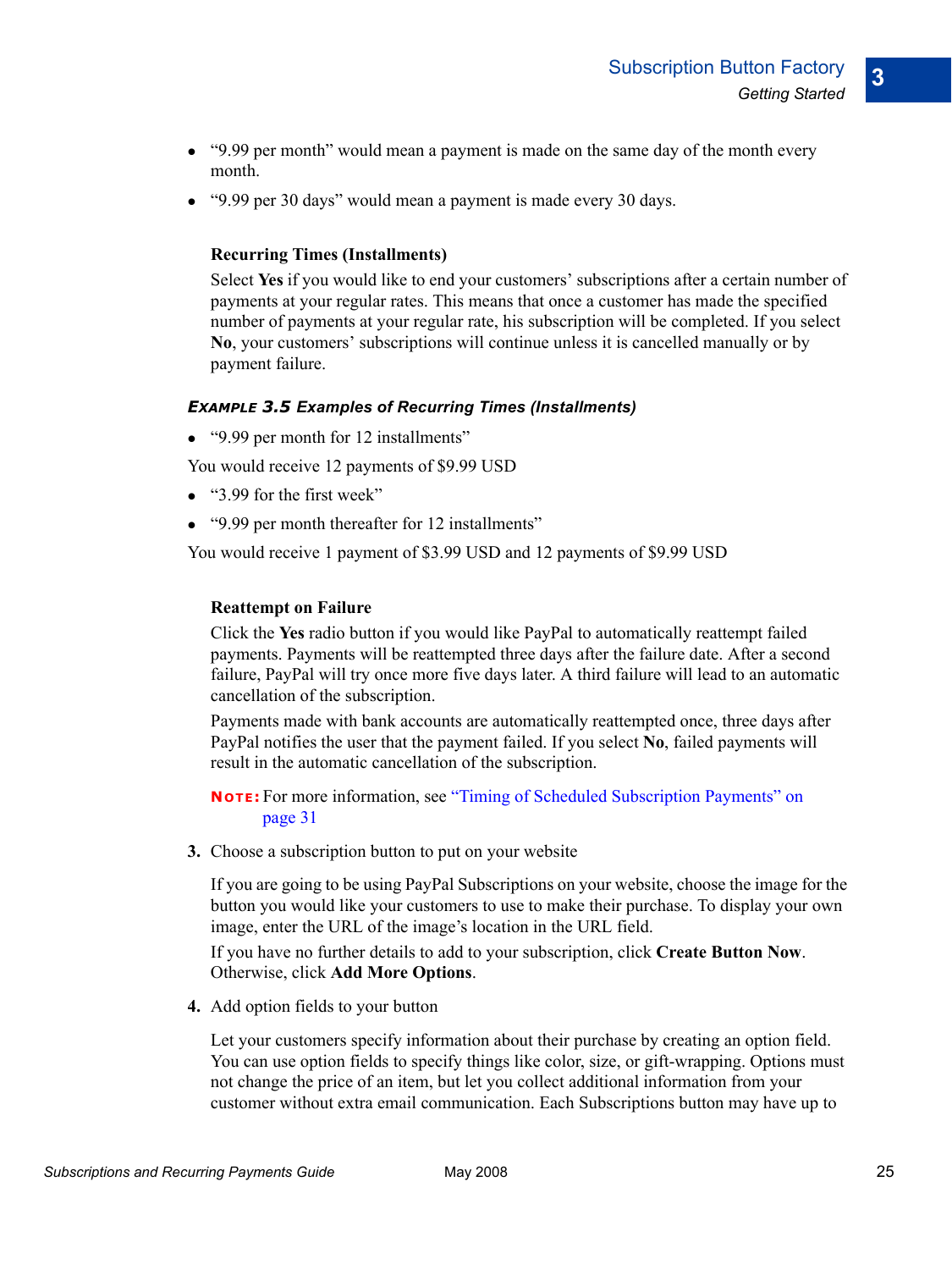- "9.99 per month" would mean a payment is made on the same day of the month every month.
- "9.99 per 30 days" would mean a payment is made every 30 days.

#### **Recurring Times (Installments)**

Select **Yes** if you would like to end your customers' subscriptions after a certain number of payments at your regular rates. This means that once a customer has made the specified number of payments at your regular rate, his subscription will be completed. If you select **No**, your customers' subscriptions will continue unless it is cancelled manually or by payment failure.

#### *EXAMPLE 3.5 Examples of Recurring Times (Installments)*

• "9.99 per month for 12 installments"

You would receive 12 payments of \$9.99 USD

- $\bullet$  "3.99 for the first week"
- "9.99 per month thereafter for 12 installments"

You would receive 1 payment of \$3.99 USD and 12 payments of \$9.99 USD

#### **Reattempt on Failure**

Click the **Yes** radio button if you would like PayPal to automatically reattempt failed payments. Payments will be reattempted three days after the failure date. After a second failure, PayPal will try once more five days later. A third failure will lead to an automatic cancellation of the subscription.

Payments made with bank accounts are automatically reattempted once, three days after PayPal notifies the user that the payment failed. If you select **No**, failed payments will result in the automatic cancellation of the subscription.

**NOTE:** For more information, see ["Timing of Scheduled Subscription Payments" on](#page-30-3)  [page 31](#page-30-3)

**3.** Choose a subscription button to put on your website

If you are going to be using PayPal Subscriptions on your website, choose the image for the button you would like your customers to use to make their purchase. To display your own image, enter the URL of the image's location in the URL field.

If you have no further details to add to your subscription, click **Create Button Now**. Otherwise, click **Add More Options**.

**4.** Add option fields to your button

Let your customers specify information about their purchase by creating an option field. You can use option fields to specify things like color, size, or gift-wrapping. Options must not change the price of an item, but let you collect additional information from your customer without extra email communication. Each Subscriptions button may have up to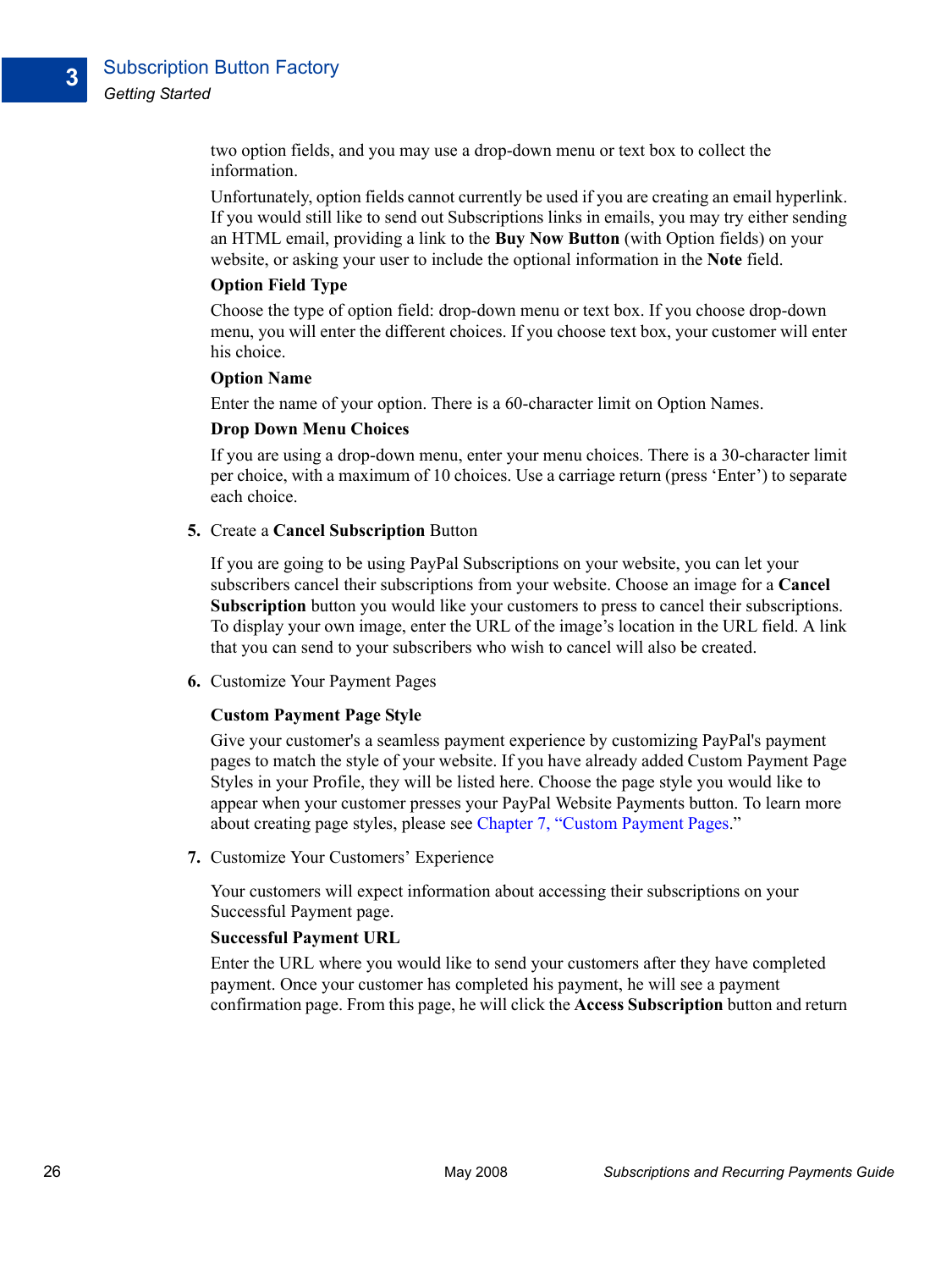two option fields, and you may use a drop-down menu or text box to collect the information.

Unfortunately, option fields cannot currently be used if you are creating an email hyperlink. If you would still like to send out Subscriptions links in emails, you may try either sending an HTML email, providing a link to the **Buy Now Button** (with Option fields) on your website, or asking your user to include the optional information in the **Note** field.

#### **Option Field Type**

Choose the type of option field: drop-down menu or text box. If you choose drop-down menu, you will enter the different choices. If you choose text box, your customer will enter his choice.

#### **Option Name**

Enter the name of your option. There is a 60-character limit on Option Names.

#### **Drop Down Menu Choices**

If you are using a drop-down menu, enter your menu choices. There is a 30-character limit per choice, with a maximum of 10 choices. Use a carriage return (press 'Enter') to separate each choice.

**5.** Create a **Cancel Subscription** Button

If you are going to be using PayPal Subscriptions on your website, you can let your subscribers cancel their subscriptions from your website. Choose an image for a **Cancel Subscription** button you would like your customers to press to cancel their subscriptions. To display your own image, enter the URL of the image's location in the URL field. A link that you can send to your subscribers who wish to cancel will also be created.

**6.** Customize Your Payment Pages

#### **Custom Payment Page Style**

Give your customer's a seamless payment experience by customizing PayPal's payment pages to match the style of your website. If you have already added Custom Payment Page Styles in your Profile, they will be listed here. Choose the page style you would like to appear when your customer presses your PayPal Website Payments button. To learn more about creating page styles, please see [Chapter 7, "Custom Payment Pages.](#page-38-3)"

**7.** Customize Your Customers' Experience

Your customers will expect information about accessing their subscriptions on your Successful Payment page.

#### **Successful Payment URL**

Enter the URL where you would like to send your customers after they have completed payment. Once your customer has completed his payment, he will see a payment confirmation page. From this page, he will click the **Access Subscription** button and return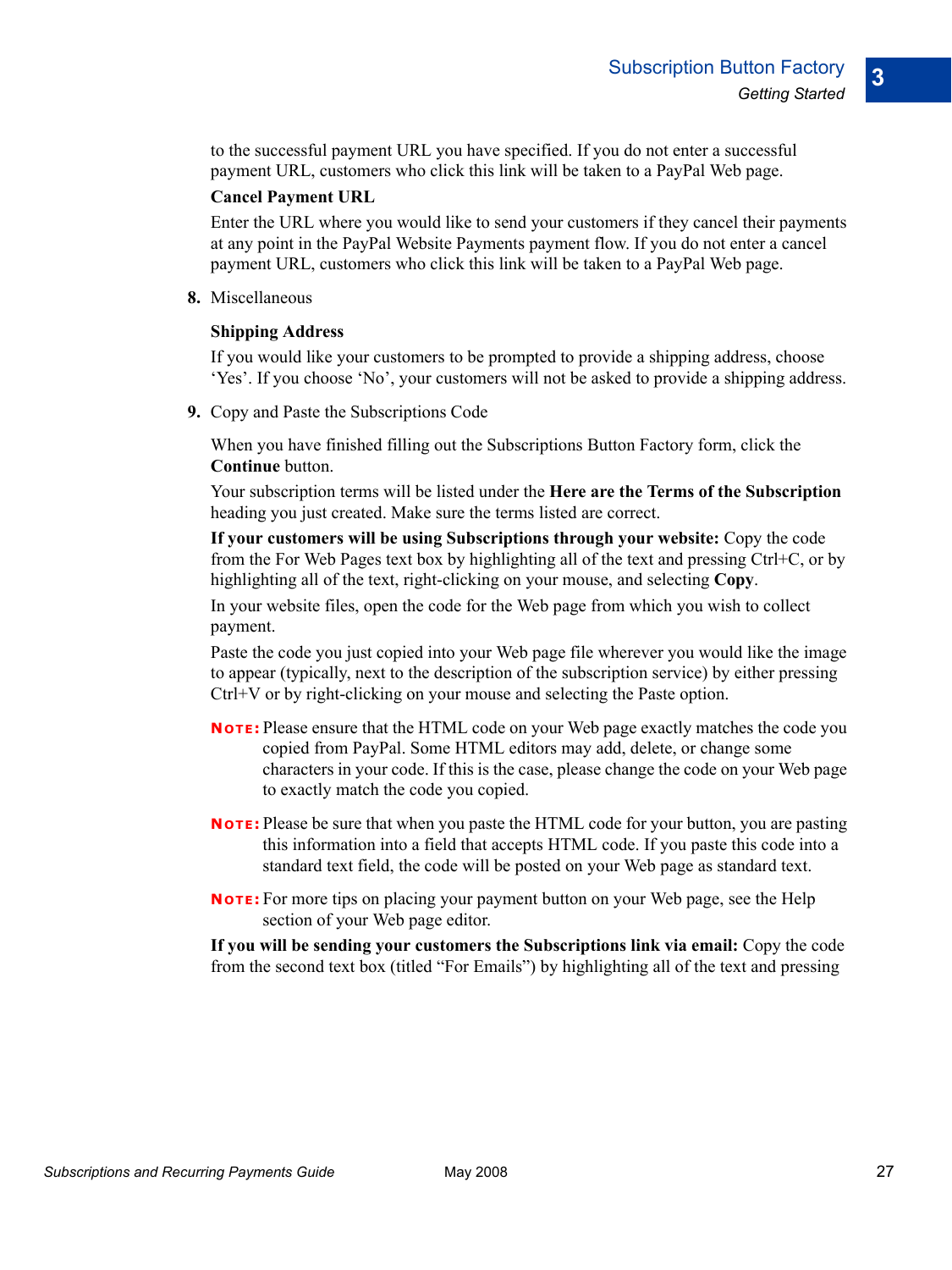to the successful payment URL you have specified. If you do not enter a successful payment URL, customers who click this link will be taken to a PayPal Web page.

#### **Cancel Payment URL**

Enter the URL where you would like to send your customers if they cancel their payments at any point in the PayPal Website Payments payment flow. If you do not enter a cancel payment URL, customers who click this link will be taken to a PayPal Web page.

**8.** Miscellaneous

#### **Shipping Address**

If you would like your customers to be prompted to provide a shipping address, choose 'Yes'. If you choose 'No', your customers will not be asked to provide a shipping address.

**9.** Copy and Paste the Subscriptions Code

When you have finished filling out the Subscriptions Button Factory form, click the **Continue** button.

Your subscription terms will be listed under the **Here are the Terms of the Subscription** heading you just created. Make sure the terms listed are correct.

**If your customers will be using Subscriptions through your website:** Copy the code from the For Web Pages text box by highlighting all of the text and pressing Ctrl+C, or by highlighting all of the text, right-clicking on your mouse, and selecting **Copy**.

In your website files, open the code for the Web page from which you wish to collect payment.

Paste the code you just copied into your Web page file wherever you would like the image to appear (typically, next to the description of the subscription service) by either pressing Ctrl+V or by right-clicking on your mouse and selecting the Paste option.

- **NOTE:** Please ensure that the HTML code on your Web page exactly matches the code you copied from PayPal. Some HTML editors may add, delete, or change some characters in your code. If this is the case, please change the code on your Web page to exactly match the code you copied.
- **NOTE:** Please be sure that when you paste the HTML code for your button, you are pasting this information into a field that accepts HTML code. If you paste this code into a standard text field, the code will be posted on your Web page as standard text.
- **NOTE:** For more tips on placing your payment button on your Web page, see the Help section of your Web page editor.

**If you will be sending your customers the Subscriptions link via email:** Copy the code from the second text box (titled "For Emails") by highlighting all of the text and pressing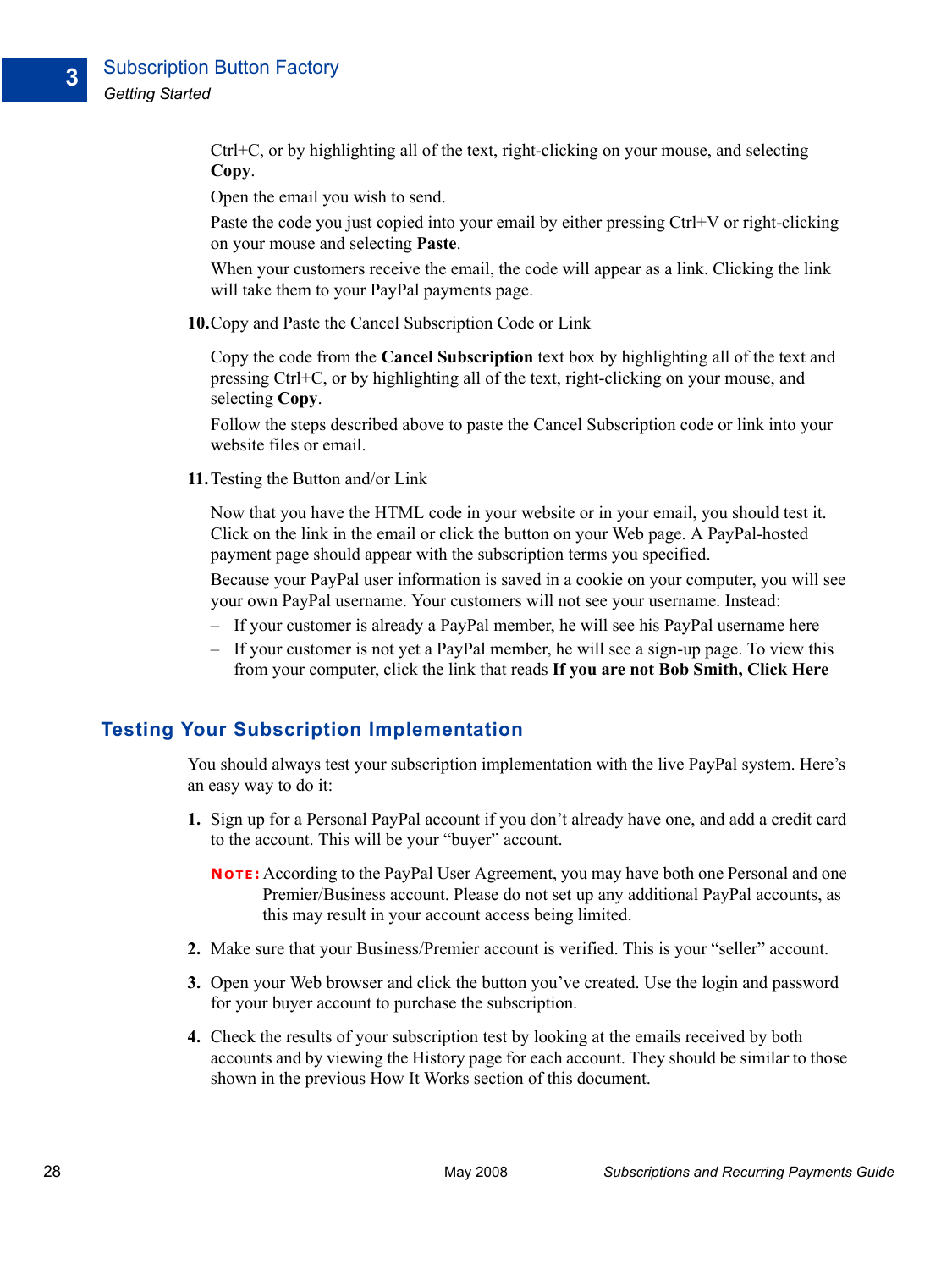Ctrl+C, or by highlighting all of the text, right-clicking on your mouse, and selecting **Copy**.

Open the email you wish to send.

Paste the code you just copied into your email by either pressing Ctrl+V or right-clicking on your mouse and selecting **Paste**.

When your customers receive the email, the code will appear as a link. Clicking the link will take them to your PayPal payments page.

**10.**Copy and Paste the Cancel Subscription Code or Link

Copy the code from the **Cancel Subscription** text box by highlighting all of the text and pressing Ctrl+C, or by highlighting all of the text, right-clicking on your mouse, and selecting **Copy**.

Follow the steps described above to paste the Cancel Subscription code or link into your website files or email.

**11.**Testing the Button and/or Link

Now that you have the HTML code in your website or in your email, you should test it. Click on the link in the email or click the button on your Web page. A PayPal-hosted payment page should appear with the subscription terms you specified.

Because your PayPal user information is saved in a cookie on your computer, you will see your own PayPal username. Your customers will not see your username. Instead:

- If your customer is already a PayPal member, he will see his PayPal username here
- If your customer is not yet a PayPal member, he will see a sign-up page. To view this from your computer, click the link that reads **If you are not Bob Smith, Click Here**

## <span id="page-27-0"></span>**Testing Your Subscription Implementation**

You should always test your subscription implementation with the live PayPal system. Here's an easy way to do it:

**1.** Sign up for a Personal PayPal account if you don't already have one, and add a credit card to the account. This will be your "buyer" account.

**NOTE:** According to the PayPal User Agreement, you may have both one Personal and one Premier/Business account. Please do not set up any additional PayPal accounts, as this may result in your account access being limited.

- **2.** Make sure that your Business/Premier account is verified. This is your "seller" account.
- **3.** Open your Web browser and click the button you've created. Use the login and password for your buyer account to purchase the subscription.
- **4.** Check the results of your subscription test by looking at the emails received by both accounts and by viewing the History page for each account. They should be similar to those shown in the previous How It Works section of this document.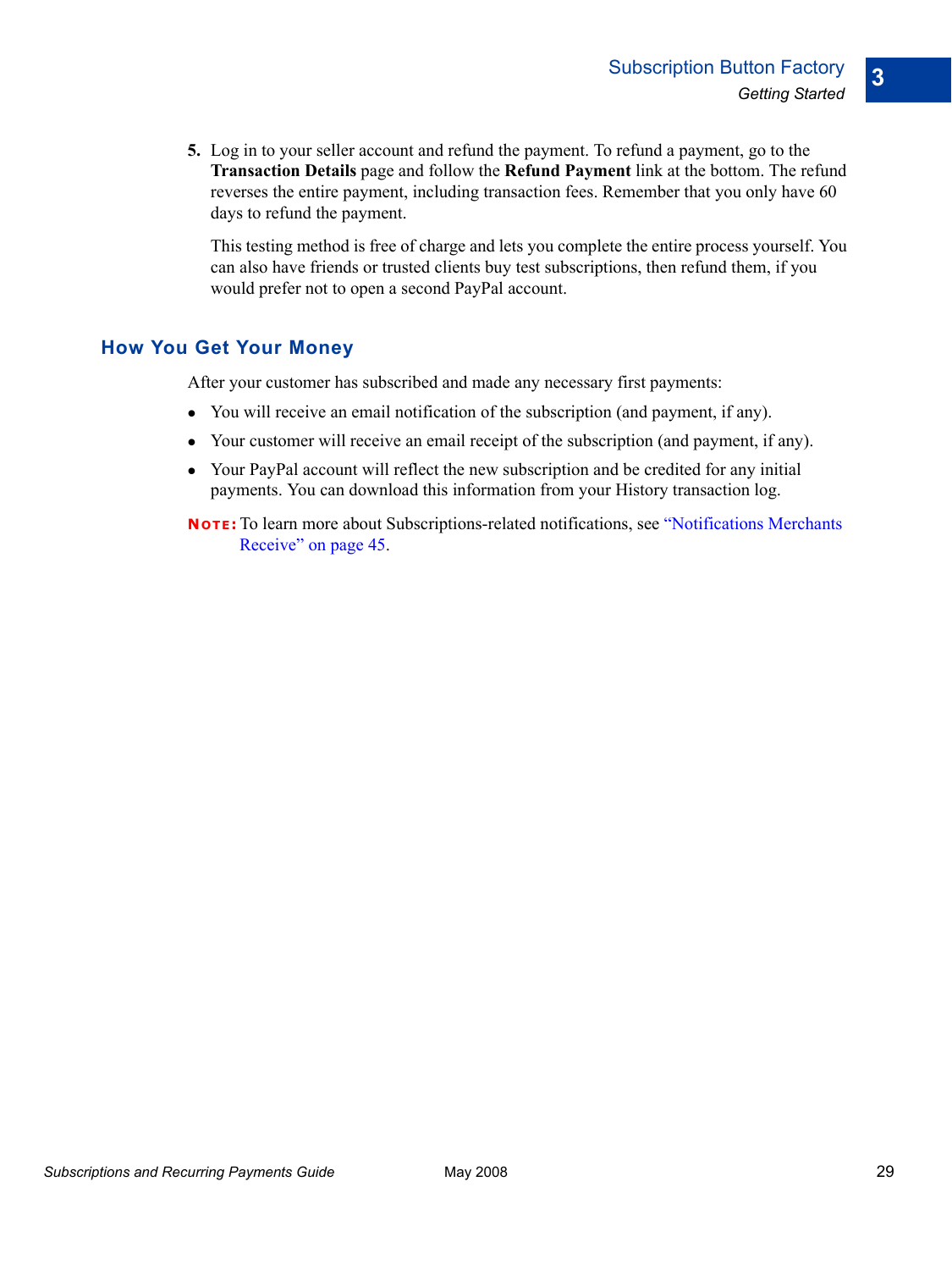**5.** Log in to your seller account and refund the payment. To refund a payment, go to the **Transaction Details** page and follow the **Refund Payment** link at the bottom. The refund reverses the entire payment, including transaction fees. Remember that you only have 60 days to refund the payment.

This testing method is free of charge and lets you complete the entire process yourself. You can also have friends or trusted clients buy test subscriptions, then refund them, if you would prefer not to open a second PayPal account.

## <span id="page-28-0"></span>**How You Get Your Money**

After your customer has subscribed and made any necessary first payments:

- You will receive an email notification of the subscription (and payment, if any).
- Your customer will receive an email receipt of the subscription (and payment, if any).
- Your PayPal account will reflect the new subscription and be credited for any initial payments. You can download this information from your History transaction log.

**NOTE:** To learn more about Subscriptions-related notifications, see ["Notifications Merchants](#page-44-4)  [Receive" on page 45.](#page-44-4)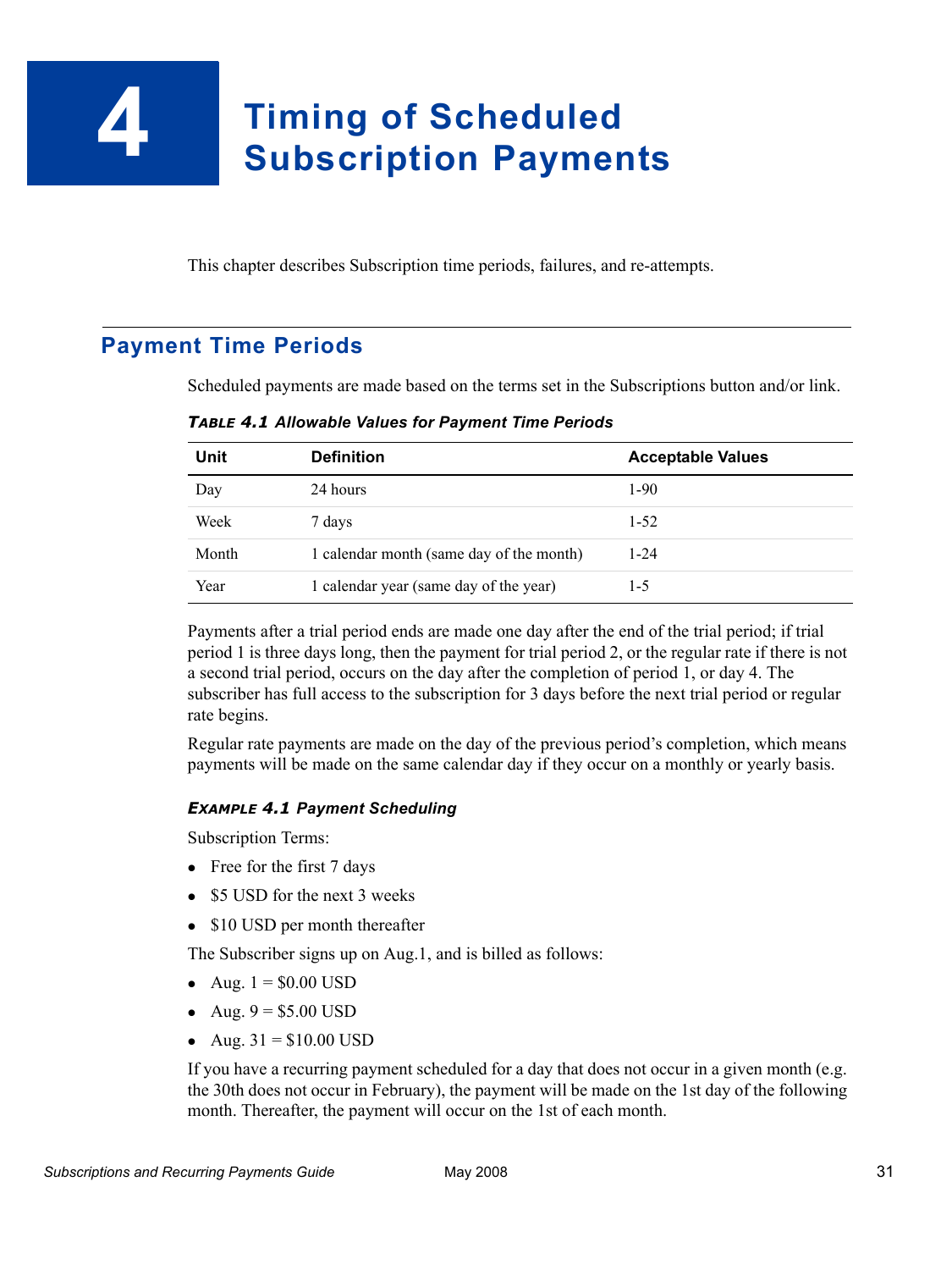# <span id="page-30-3"></span><span id="page-30-0"></span>**4 Timing of Scheduled Subscription Payments**

This chapter describes Subscription time periods, failures, and re-attempts.

# <span id="page-30-2"></span><span id="page-30-1"></span>**Payment Time Periods**

Scheduled payments are made based on the terms set in the Subscriptions button and/or link.

| Unit  | <b>Definition</b>                        | <b>Acceptable Values</b> |
|-------|------------------------------------------|--------------------------|
| Day   | 24 hours                                 | 1-90                     |
| Week  | 7 days                                   | $1 - 52$                 |
| Month | 1 calendar month (same day of the month) | $1 - 24$                 |
| Year  | 1 calendar year (same day of the year)   | $1-5$                    |

*TABLE 4.1 Allowable Values for Payment Time Periods*

Payments after a trial period ends are made one day after the end of the trial period; if trial period 1 is three days long, then the payment for trial period 2, or the regular rate if there is not a second trial period, occurs on the day after the completion of period 1, or day 4. The subscriber has full access to the subscription for 3 days before the next trial period or regular rate begins.

Regular rate payments are made on the day of the previous period's completion, which means payments will be made on the same calendar day if they occur on a monthly or yearly basis.

#### *EXAMPLE 4.1 Payment Scheduling*

Subscription Terms:

- $\bullet$  Free for the first 7 days
- \$5 USD for the next 3 weeks
- \$10 USD per month thereafter

The Subscriber signs up on Aug.1, and is billed as follows:

- Aug.  $1 = $0.00$  USD
- Aug.  $9 = $5.00$  USD
- Aug.  $31 = $10.00$  USD

If you have a recurring payment scheduled for a day that does not occur in a given month (e.g. the 30th does not occur in February), the payment will be made on the 1st day of the following month. Thereafter, the payment will occur on the 1st of each month.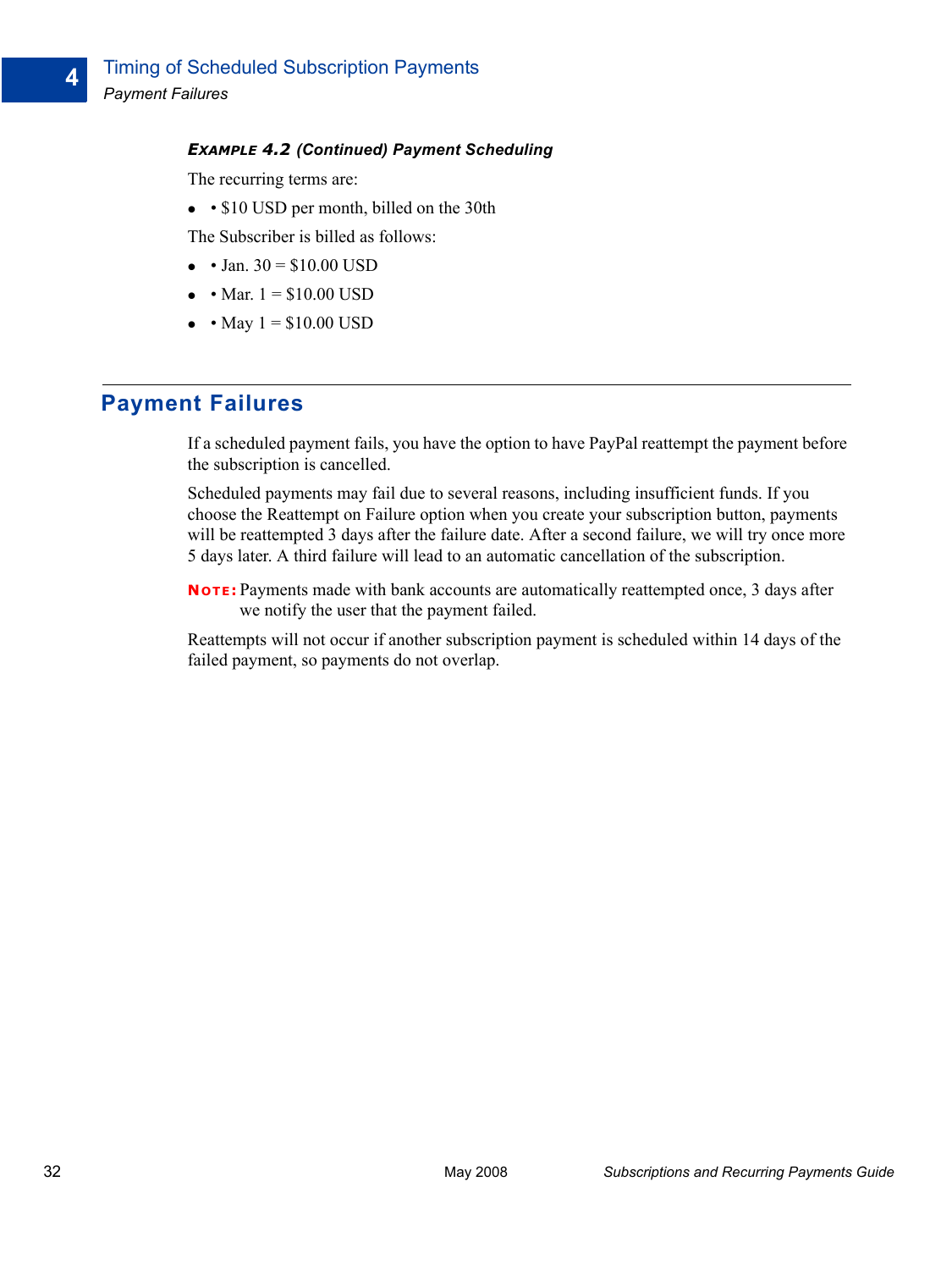#### *EXAMPLE 4.2 (Continued) Payment Scheduling*

The recurring terms are:

• • \$10 USD per month, billed on the 30th

The Subscriber is billed as follows:

- $\bullet$  Jan. 30 = \$10.00 USD
- • Mar.  $1 = $10.00$  USD
- • May  $1 = $10.00$  USD

# <span id="page-31-0"></span>**Payment Failures**

If a scheduled payment fails, you have the option to have PayPal reattempt the payment before the subscription is cancelled.

Scheduled payments may fail due to several reasons, including insufficient funds. If you choose the Reattempt on Failure option when you create your subscription button, payments will be reattempted 3 days after the failure date. After a second failure, we will try once more 5 days later. A third failure will lead to an automatic cancellation of the subscription.

**NOTE:** Payments made with bank accounts are automatically reattempted once, 3 days after we notify the user that the payment failed.

Reattempts will not occur if another subscription payment is scheduled within 14 days of the failed payment, so payments do not overlap.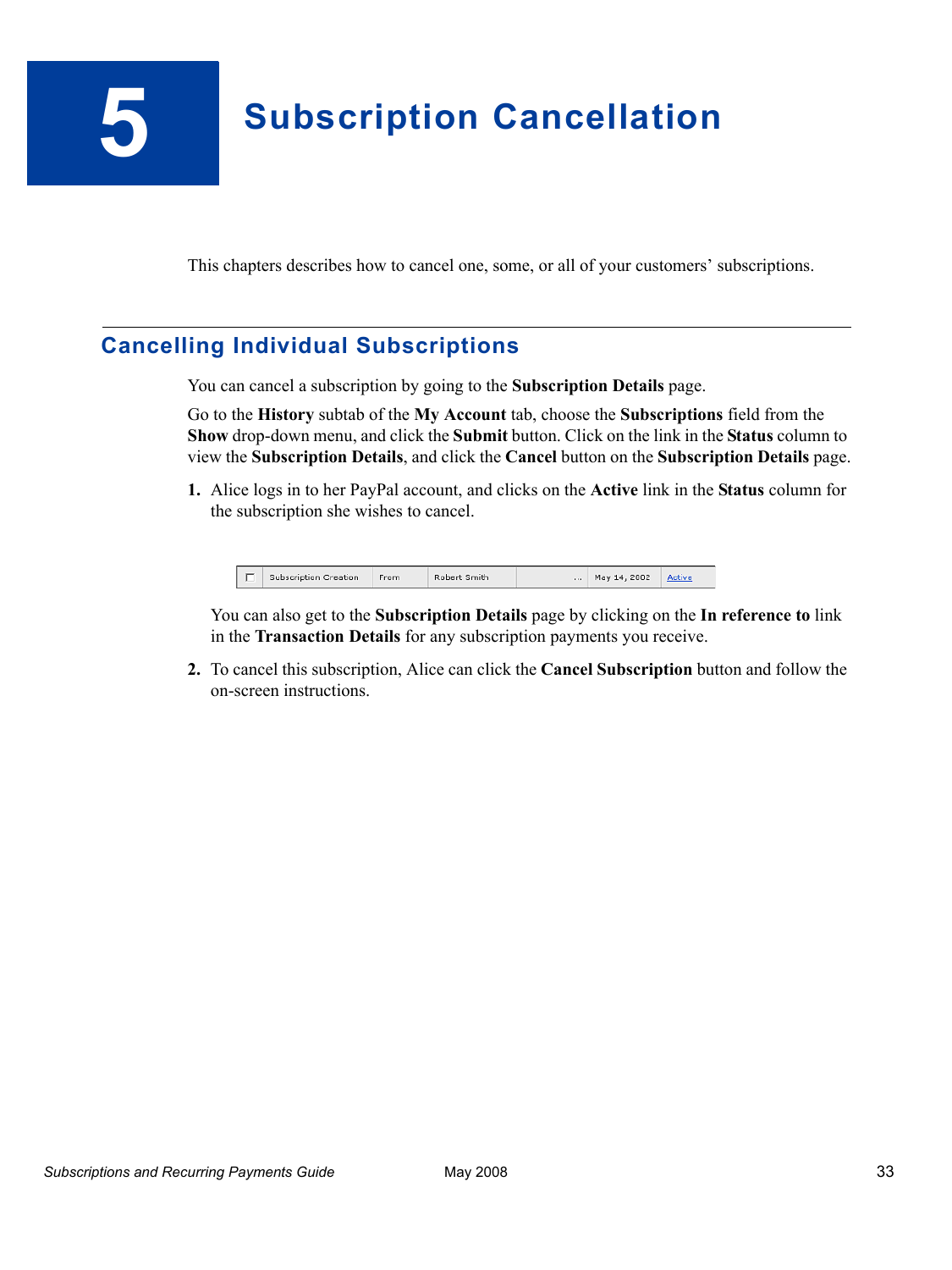# <span id="page-32-2"></span><span id="page-32-0"></span>**5 Subscription Cancellation**

This chapters describes how to cancel one, some, or all of your customers' subscriptions.

# <span id="page-32-1"></span>**Cancelling Individual Subscriptions**

You can cancel a subscription by going to the **Subscription Details** page.

Go to the **History** subtab of the **My Account** tab, choose the **Subscriptions** field from the **Show** drop-down menu, and click the **Submit** button. Click on the link in the **Status** column to view the **Subscription Details**, and click the **Cancel** button on the **Subscription Details** page.

**1.** Alice logs in to her PayPal account, and clicks on the **Active** link in the **Status** column for the subscription she wishes to cancel.



You can also get to the **Subscription Details** page by clicking on the **In reference to** link in the **Transaction Details** for any subscription payments you receive.

**2.** To cancel this subscription, Alice can click the **Cancel Subscription** button and follow the on-screen instructions.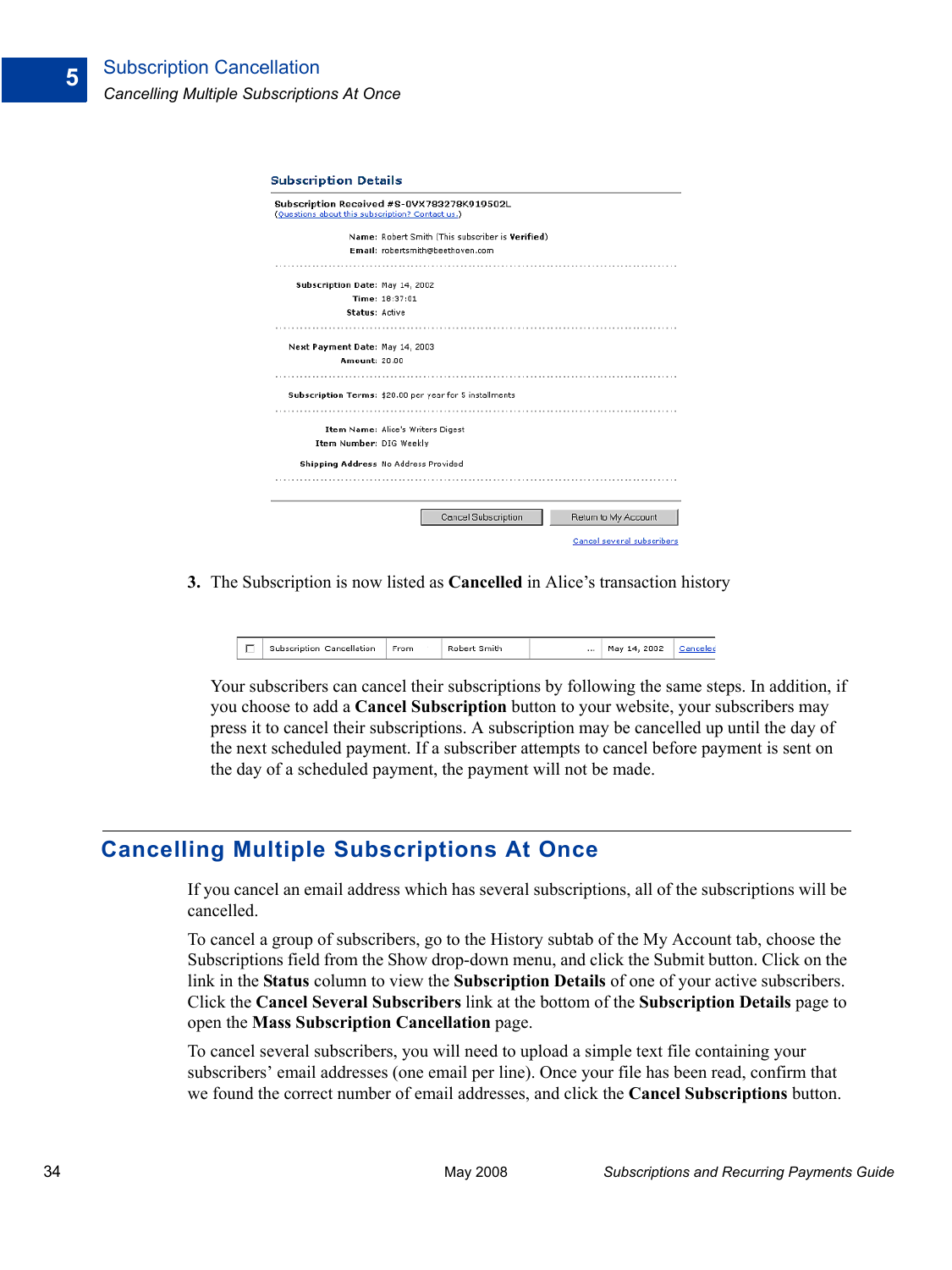| Subscription Received #S-0VX783278K919502L<br>(Questions about this subscription? Contact us.) |                      |
|------------------------------------------------------------------------------------------------|----------------------|
| Name: Robert Smith (This subscriber is Verified)                                               |                      |
| Email: robertsmith@beethoven.com                                                               |                      |
|                                                                                                |                      |
| Subscription Date: May 14, 2002                                                                |                      |
| Time: 18:37:01                                                                                 |                      |
| <b>Status: Active</b>                                                                          |                      |
|                                                                                                |                      |
| Next Payment Date: May 14, 2003                                                                |                      |
| <b>Amount: 20.00</b>                                                                           |                      |
|                                                                                                |                      |
| Subscription Terms: \$20.00 per year for 5 installments                                        |                      |
|                                                                                                |                      |
| Item Name: Alice's Writers Digest                                                              |                      |
| Item Number: DIG Weekly                                                                        |                      |
| Shipping Address No Address Provided                                                           |                      |
|                                                                                                |                      |
|                                                                                                |                      |
|                                                                                                |                      |
| <b>Cancel Subscription</b>                                                                     | Return to My Account |
|                                                                                                |                      |

**3.** The Subscription is now listed as **Cancelled** in Alice's transaction history

| Subscription Cancellation | From | Robert Smith | May 14, 2002 | Canceled |
|---------------------------|------|--------------|--------------|----------|

Your subscribers can cancel their subscriptions by following the same steps. In addition, if you choose to add a **Cancel Subscription** button to your website, your subscribers may press it to cancel their subscriptions. A subscription may be cancelled up until the day of the next scheduled payment. If a subscriber attempts to cancel before payment is sent on the day of a scheduled payment, the payment will not be made.

# <span id="page-33-0"></span>**Cancelling Multiple Subscriptions At Once**

If you cancel an email address which has several subscriptions, all of the subscriptions will be cancelled.

To cancel a group of subscribers, go to the History subtab of the My Account tab, choose the Subscriptions field from the Show drop-down menu, and click the Submit button. Click on the link in the **Status** column to view the **Subscription Details** of one of your active subscribers. Click the **Cancel Several Subscribers** link at the bottom of the **Subscription Details** page to open the **Mass Subscription Cancellation** page.

To cancel several subscribers, you will need to upload a simple text file containing your subscribers' email addresses (one email per line). Once your file has been read, confirm that we found the correct number of email addresses, and click the **Cancel Subscriptions** button.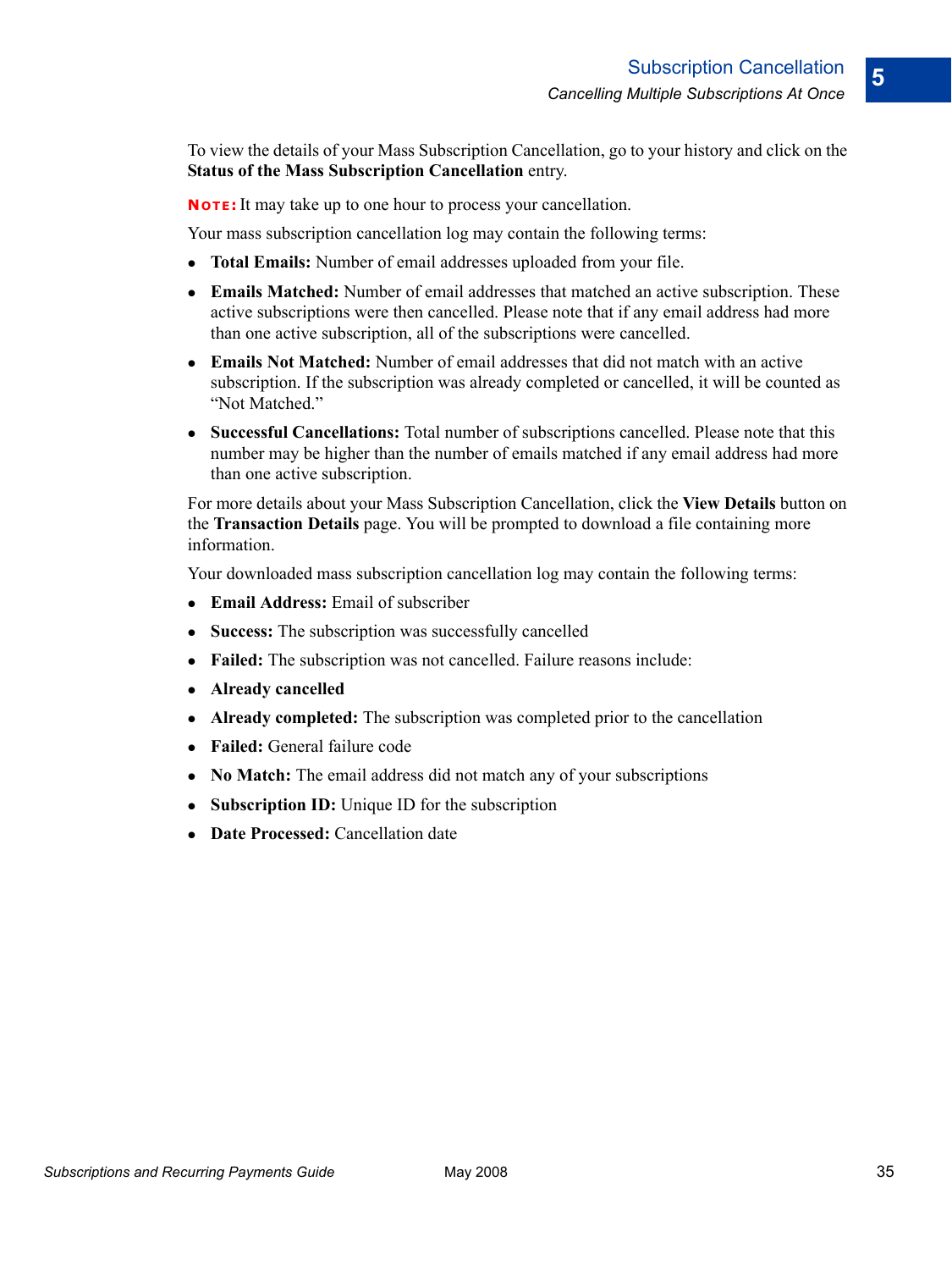To view the details of your Mass Subscription Cancellation, go to your history and click on the **Status of the Mass Subscription Cancellation** entry.

**NOTE:** It may take up to one hour to process your cancellation.

Your mass subscription cancellation log may contain the following terms:

- Total Emails: Number of email addresses uploaded from your file.
- Emails Matched: Number of email addresses that matched an active subscription. These active subscriptions were then cancelled. Please note that if any email address had more than one active subscription, all of the subscriptions were cancelled.
- **Emails Not Matched:** Number of email addresses that did not match with an active subscription. If the subscription was already completed or cancelled, it will be counted as "Not Matched."
- Successful Cancellations: Total number of subscriptions cancelled. Please note that this number may be higher than the number of emails matched if any email address had more than one active subscription.

For more details about your Mass Subscription Cancellation, click the **View Details** button on the **Transaction Details** page. You will be prompted to download a file containing more information.

Your downloaded mass subscription cancellation log may contain the following terms:

- **Email Address:** Email of subscriber
- Success: The subscription was successfully cancelled
- Failed: The subscription was not cancelled. Failure reasons include:
- **•** Already cancelled
- **Already completed:** The subscription was completed prior to the cancellation
- Failed: General failure code
- No Match: The email address did not match any of your subscriptions
- Subscription **ID:** Unique ID for the subscription
- Date Processed: Cancellation date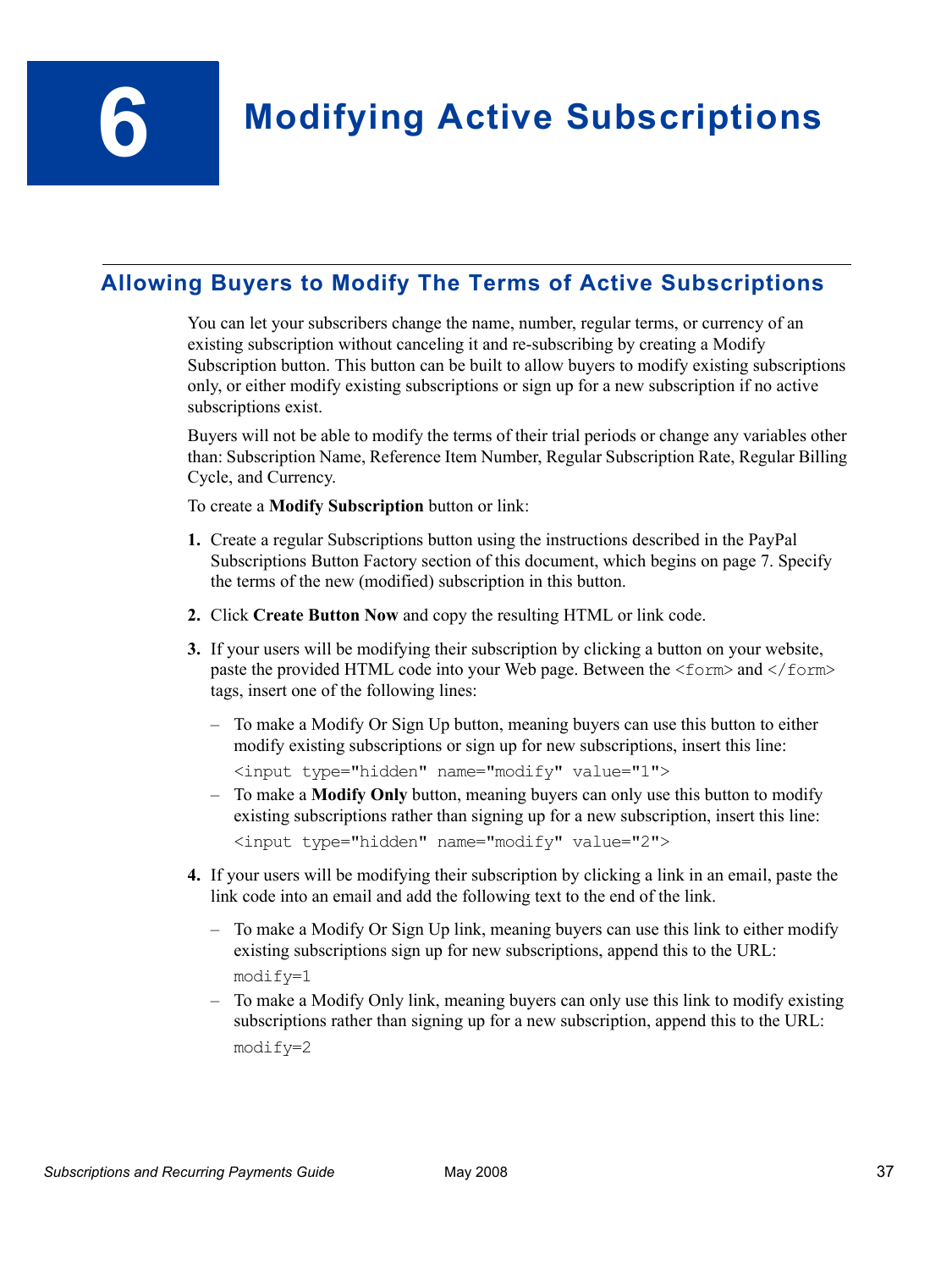<span id="page-36-2"></span><span id="page-36-0"></span>

# <span id="page-36-1"></span>**Allowing Buyers to Modify The Terms of Active Subscriptions**

You can let your subscribers change the name, number, regular terms, or currency of an existing subscription without canceling it and re-subscribing by creating a Modify Subscription button. This button can be built to allow buyers to modify existing subscriptions only, or either modify existing subscriptions or sign up for a new subscription if no active subscriptions exist.

Buyers will not be able to modify the terms of their trial periods or change any variables other than: Subscription Name, Reference Item Number, Regular Subscription Rate, Regular Billing Cycle, and Currency.

To create a **Modify Subscription** button or link:

- **1.** Create a regular Subscriptions button using the instructions described in the PayPal Subscriptions Button Factory section of this document, which begins on page 7. Specify the terms of the new (modified) subscription in this button.
- **2.** Click **Create Button Now** and copy the resulting HTML or link code.
- **3.** If your users will be modifying their subscription by clicking a button on your website, paste the provided HTML code into your Web page. Between the <form> and </form> tags, insert one of the following lines:
	- To make a Modify Or Sign Up button, meaning buyers can use this button to either modify existing subscriptions or sign up for new subscriptions, insert this line:

<input type="hidden" name="modify" value="1">

- To make a **Modify Only** button, meaning buyers can only use this button to modify existing subscriptions rather than signing up for a new subscription, insert this line: <input type="hidden" name="modify" value="2">
- **4.** If your users will be modifying their subscription by clicking a link in an email, paste the link code into an email and add the following text to the end of the link.
	- To make a Modify Or Sign Up link, meaning buyers can use this link to either modify existing subscriptions sign up for new subscriptions, append this to the URL: modify=1
	- To make a Modify Only link, meaning buyers can only use this link to modify existing subscriptions rather than signing up for a new subscription, append this to the URL: modify=2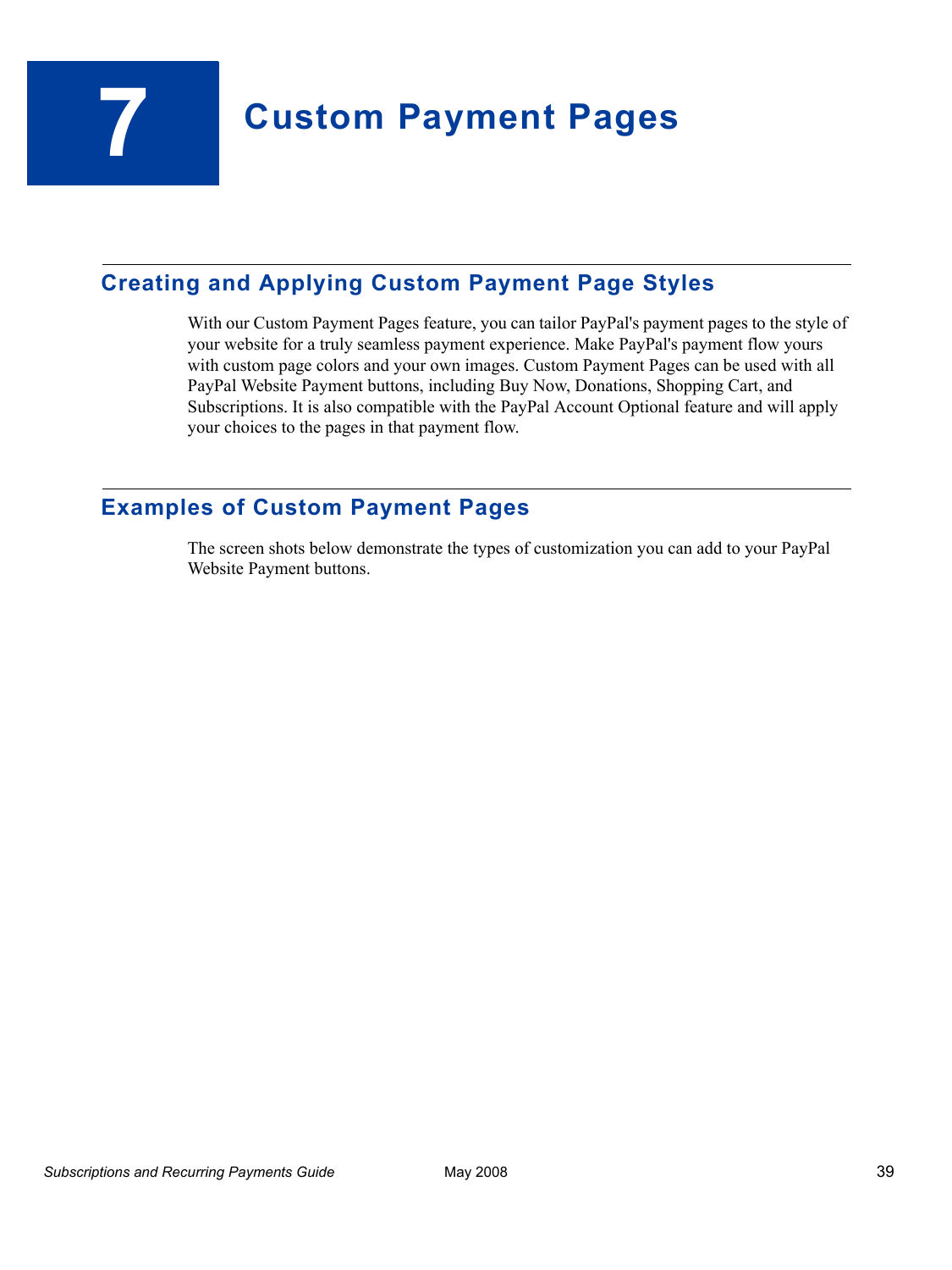# <span id="page-38-3"></span><span id="page-38-0"></span>**7 Custom Payment Pages**

# <span id="page-38-1"></span>**Creating and Applying Custom Payment Page Styles**

With our Custom Payment Pages feature, you can tailor PayPal's payment pages to the style of your website for a truly seamless payment experience. Make PayPal's payment flow yours with custom page colors and your own images. Custom Payment Pages can be used with all PayPal Website Payment buttons, including Buy Now, Donations, Shopping Cart, and Subscriptions. It is also compatible with the PayPal Account Optional feature and will apply your choices to the pages in that payment flow.

# <span id="page-38-2"></span>**Examples of Custom Payment Pages**

The screen shots below demonstrate the types of customization you can add to your PayPal Website Payment buttons.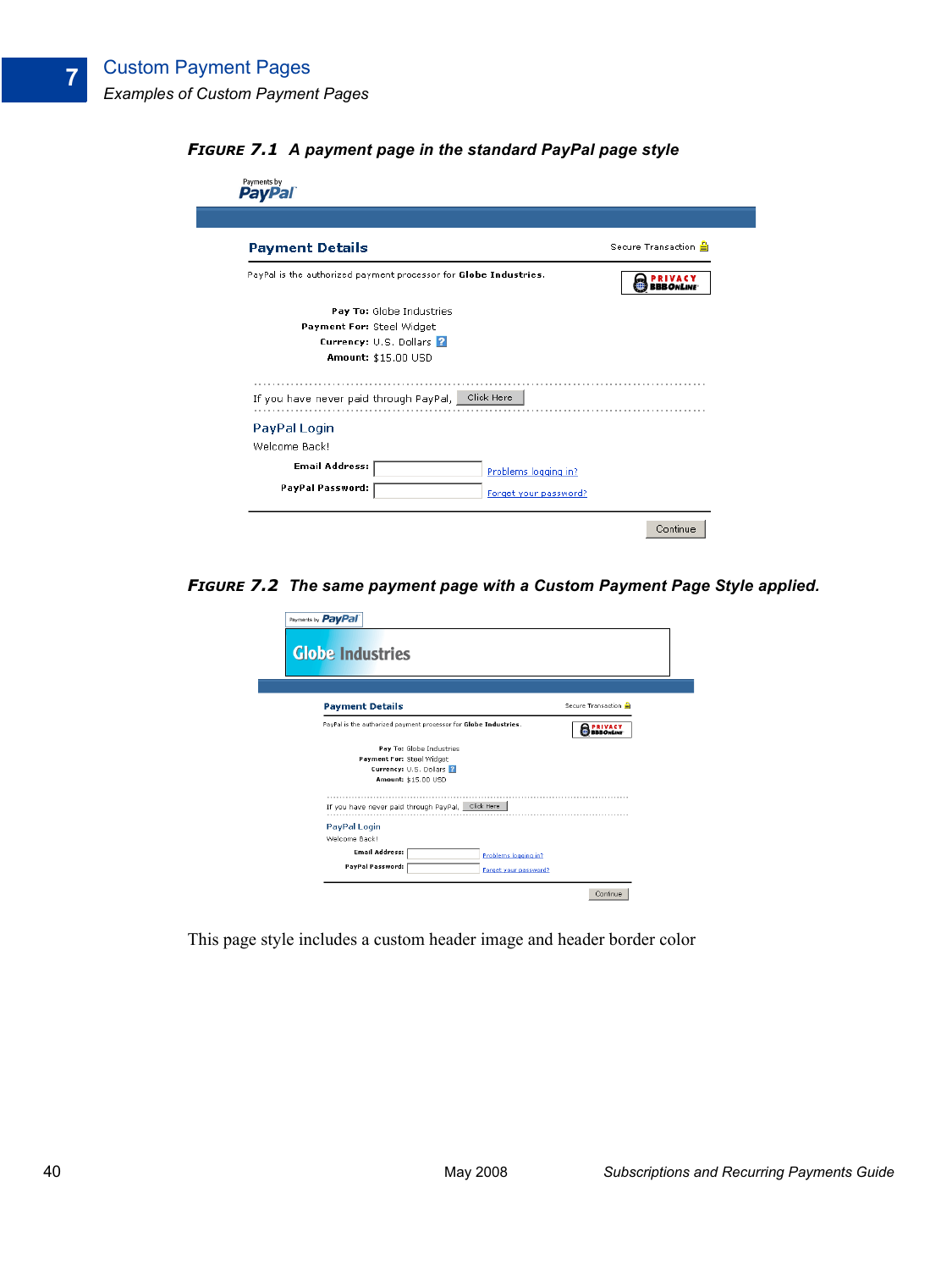<span id="page-39-0"></span>

|  |  | FIGURE 7.1 A payment page in the standard PayPal page style |
|--|--|-------------------------------------------------------------|
|--|--|-------------------------------------------------------------|

| <b>Payment Details</b>                                                                                   | Secure Transaction $\frac{E}{E}$ |
|----------------------------------------------------------------------------------------------------------|----------------------------------|
| PayPal is the authorized payment processor for Globe Industries.                                         | <b>IVACY!</b>                    |
| Pay To: Globe Industries<br>Payment For: Steel Widget<br>Currency: U.S. Dollars 2<br>Amount: \$15,00 USD |                                  |
| If you have never paid through PayPal, Click Here                                                        |                                  |
| <b>PayPal Login</b><br>Welcome Back!                                                                     |                                  |
|                                                                                                          |                                  |
| <b>Email Address:</b>                                                                                    | Problems logging in?             |

<span id="page-39-1"></span>*FIGURE 7.2 The same payment page with a Custom Payment Page Style applied.*

| <b>Payment Details</b>                                                                                   | Secure Transaction <b>A</b>                   |
|----------------------------------------------------------------------------------------------------------|-----------------------------------------------|
| PayPal is the authorized payment processor for Globe Industries.                                         | <b>PRIVACY</b>                                |
| Pay To: Globe Industries<br>Payment For: Steel Widget<br>Currency: U.S. Dollars 2<br>Amount: \$15.00 USD |                                               |
| If you have never paid through PayPal, Click Here                                                        |                                               |
| PayPal Login<br>Welcome Back!                                                                            |                                               |
| <b>Email Address:</b><br>PayPal Password:                                                                | Problems logging in?<br>Forget your password? |

This page style includes a custom header image and header border color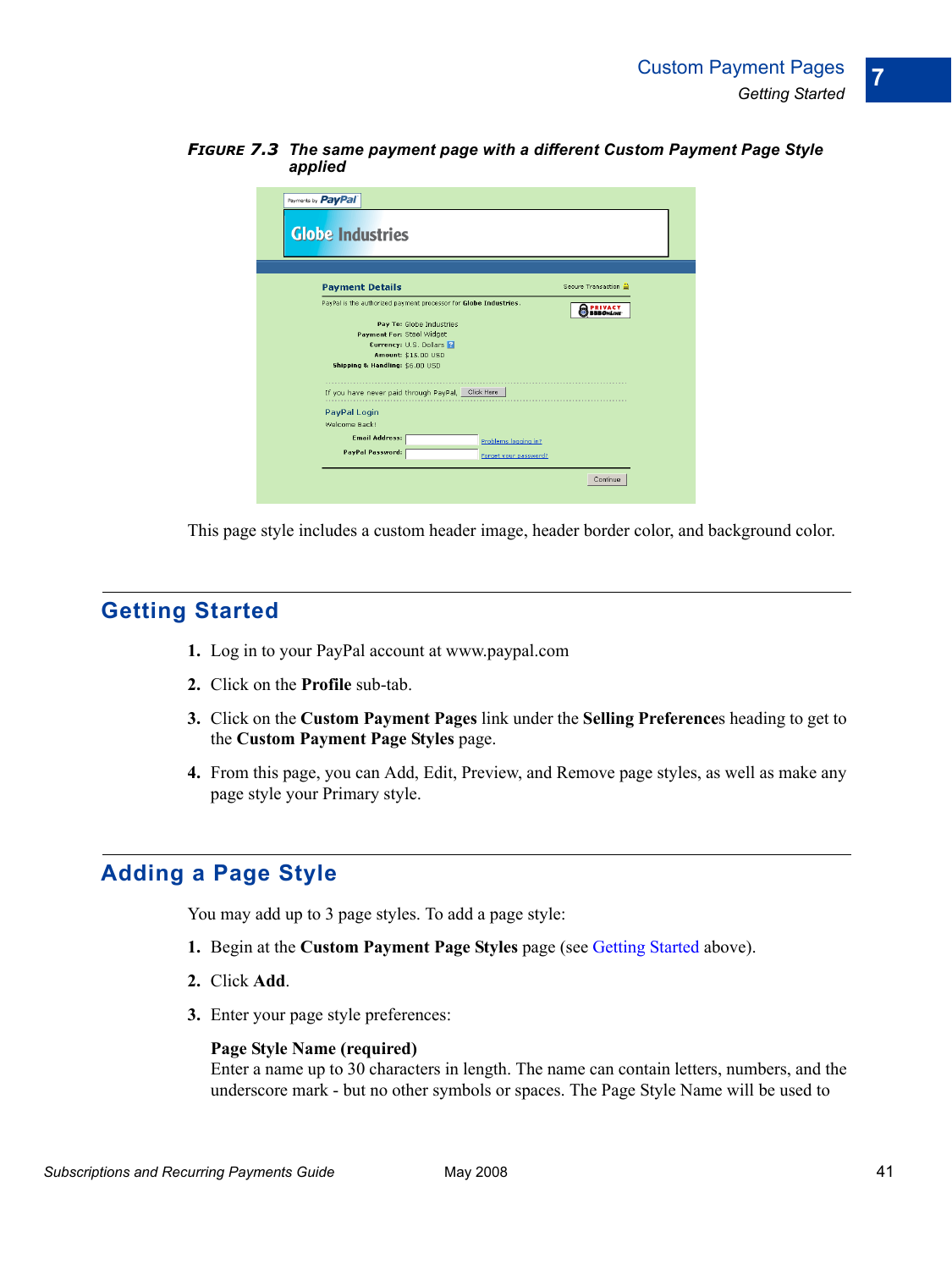#### <span id="page-40-2"></span>*FIGURE 7.3 The same payment page with a different Custom Payment Page Style applied*

| <b>Globe Industries</b>                                          |                             |
|------------------------------------------------------------------|-----------------------------|
|                                                                  |                             |
| <b>Payment Details</b>                                           | Secure Transaction <b>A</b> |
| PayPal is the authorized payment processor for Globe Industries. | <b>PRIVACY</b>              |
| Pay To: Globe Industries                                         |                             |
| Payment For: Steel Widget                                        |                             |
| Currency: U.S. Dollars 2                                         |                             |
| Amount: \$15.00 USD                                              |                             |
| Shipping & Handling: \$6.00 USD                                  |                             |
| If you have never paid through PayPal, Click Here                |                             |
| PayPal Login                                                     |                             |
| Welcome Back!                                                    |                             |
| <b>Email Address:</b>                                            |                             |
| Problems logging in?                                             |                             |
| PayPal Password:                                                 | Forget your password?       |

This page style includes a custom header image, header border color, and background color.

# <span id="page-40-0"></span>**Getting Started**

- **1.** Log in to your PayPal account at www.paypal.com
- **2.** Click on the **Profile** sub-tab.
- **3.** Click on the **Custom Payment Pages** link under the **Selling Preference**s heading to get to the **Custom Payment Page Styles** page.
- **4.** From this page, you can Add, Edit, Preview, and Remove page styles, as well as make any page style your Primary style.

# <span id="page-40-1"></span>**Adding a Page Style**

You may add up to 3 page styles. To add a page style:

- **1.** Begin at the **Custom Payment Page Styles** page (see [Getting Started](#page-40-0) above).
- **2.** Click **Add**.
- **3.** Enter your page style preferences:

#### **Page Style Name (required)**

Enter a name up to 30 characters in length. The name can contain letters, numbers, and the underscore mark - but no other symbols or spaces. The Page Style Name will be used to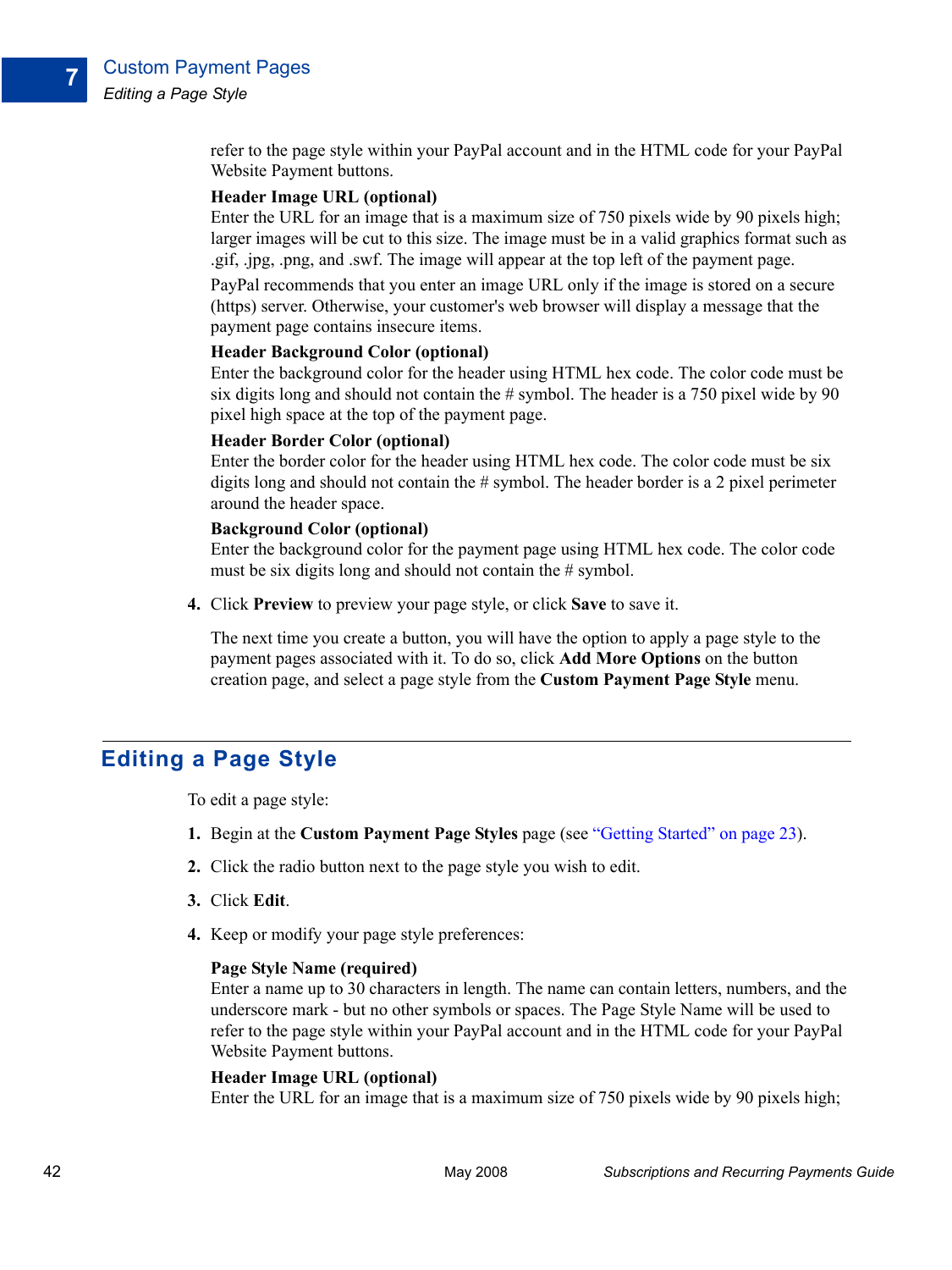refer to the page style within your PayPal account and in the HTML code for your PayPal Website Payment buttons.

#### **Header Image URL (optional)**

Enter the URL for an image that is a maximum size of 750 pixels wide by 90 pixels high; larger images will be cut to this size. The image must be in a valid graphics format such as .gif, .jpg, .png, and .swf. The image will appear at the top left of the payment page.

PayPal recommends that you enter an image URL only if the image is stored on a secure (https) server. Otherwise, your customer's web browser will display a message that the payment page contains insecure items.

#### **Header Background Color (optional)**

Enter the background color for the header using HTML hex code. The color code must be six digits long and should not contain the # symbol. The header is a 750 pixel wide by 90 pixel high space at the top of the payment page.

#### **Header Border Color (optional)**

Enter the border color for the header using HTML hex code. The color code must be six digits long and should not contain the # symbol. The header border is a 2 pixel perimeter around the header space.

#### **Background Color (optional)**

Enter the background color for the payment page using HTML hex code. The color code must be six digits long and should not contain the # symbol.

**4.** Click **Preview** to preview your page style, or click **Save** to save it.

The next time you create a button, you will have the option to apply a page style to the payment pages associated with it. To do so, click **Add More Options** on the button creation page, and select a page style from the **Custom Payment Page Style** menu.

# <span id="page-41-0"></span>**Editing a Page Style**

To edit a page style:

- **1.** Begin at the **Custom Payment Page Styles** page (see ["Getting Started" on page 23](#page-22-4)).
- **2.** Click the radio button next to the page style you wish to edit.
- **3.** Click **Edit**.
- **4.** Keep or modify your page style preferences:

#### **Page Style Name (required)**

Enter a name up to 30 characters in length. The name can contain letters, numbers, and the underscore mark - but no other symbols or spaces. The Page Style Name will be used to refer to the page style within your PayPal account and in the HTML code for your PayPal Website Payment buttons.

#### **Header Image URL (optional)**

Enter the URL for an image that is a maximum size of 750 pixels wide by 90 pixels high;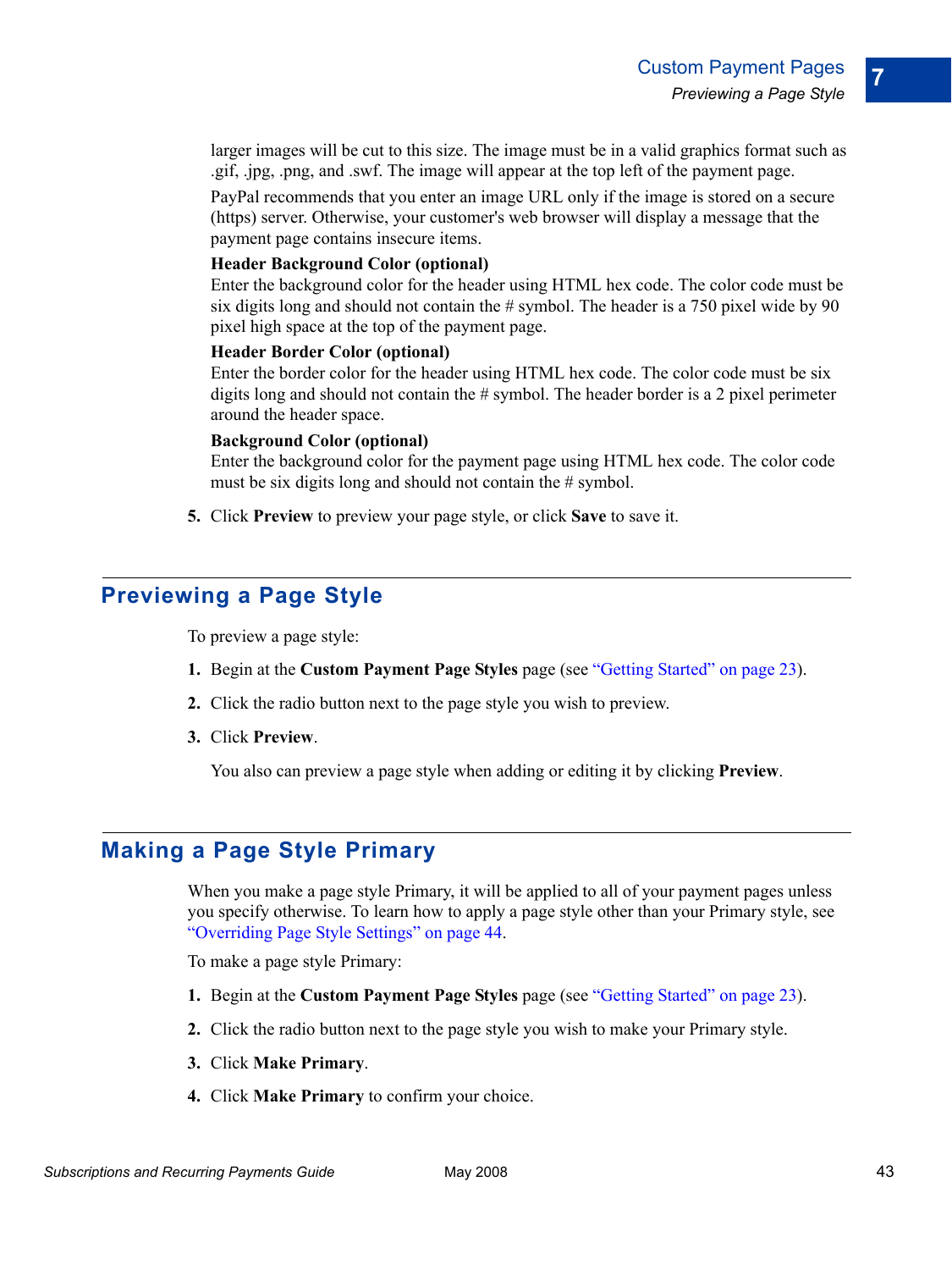larger images will be cut to this size. The image must be in a valid graphics format such as .gif, .jpg, .png, and .swf. The image will appear at the top left of the payment page.

PayPal recommends that you enter an image URL only if the image is stored on a secure (https) server. Otherwise, your customer's web browser will display a message that the payment page contains insecure items.

#### **Header Background Color (optional)**

Enter the background color for the header using HTML hex code. The color code must be six digits long and should not contain the # symbol. The header is a 750 pixel wide by 90 pixel high space at the top of the payment page.

#### **Header Border Color (optional)**

Enter the border color for the header using HTML hex code. The color code must be six digits long and should not contain the # symbol. The header border is a 2 pixel perimeter around the header space.

#### **Background Color (optional)**

Enter the background color for the payment page using HTML hex code. The color code must be six digits long and should not contain the # symbol.

**5.** Click **Preview** to preview your page style, or click **Save** to save it.

# <span id="page-42-0"></span>**Previewing a Page Style**

To preview a page style:

- **1.** Begin at the **Custom Payment Page Styles** page (see ["Getting Started" on page 23](#page-22-4)).
- **2.** Click the radio button next to the page style you wish to preview.
- **3.** Click **Preview**.

You also can preview a page style when adding or editing it by clicking **Preview**.

# <span id="page-42-1"></span>**Making a Page Style Primary**

When you make a page style Primary, it will be applied to all of your payment pages unless you specify otherwise. To learn how to apply a page style other than your Primary style, see ["Overriding Page Style Settings" on page 44](#page-43-1).

To make a page style Primary:

- **1.** Begin at the **Custom Payment Page Styles** page (see ["Getting Started" on page 23](#page-22-4)).
- **2.** Click the radio button next to the page style you wish to make your Primary style.
- **3.** Click **Make Primary**.
- **4.** Click **Make Primary** to confirm your choice.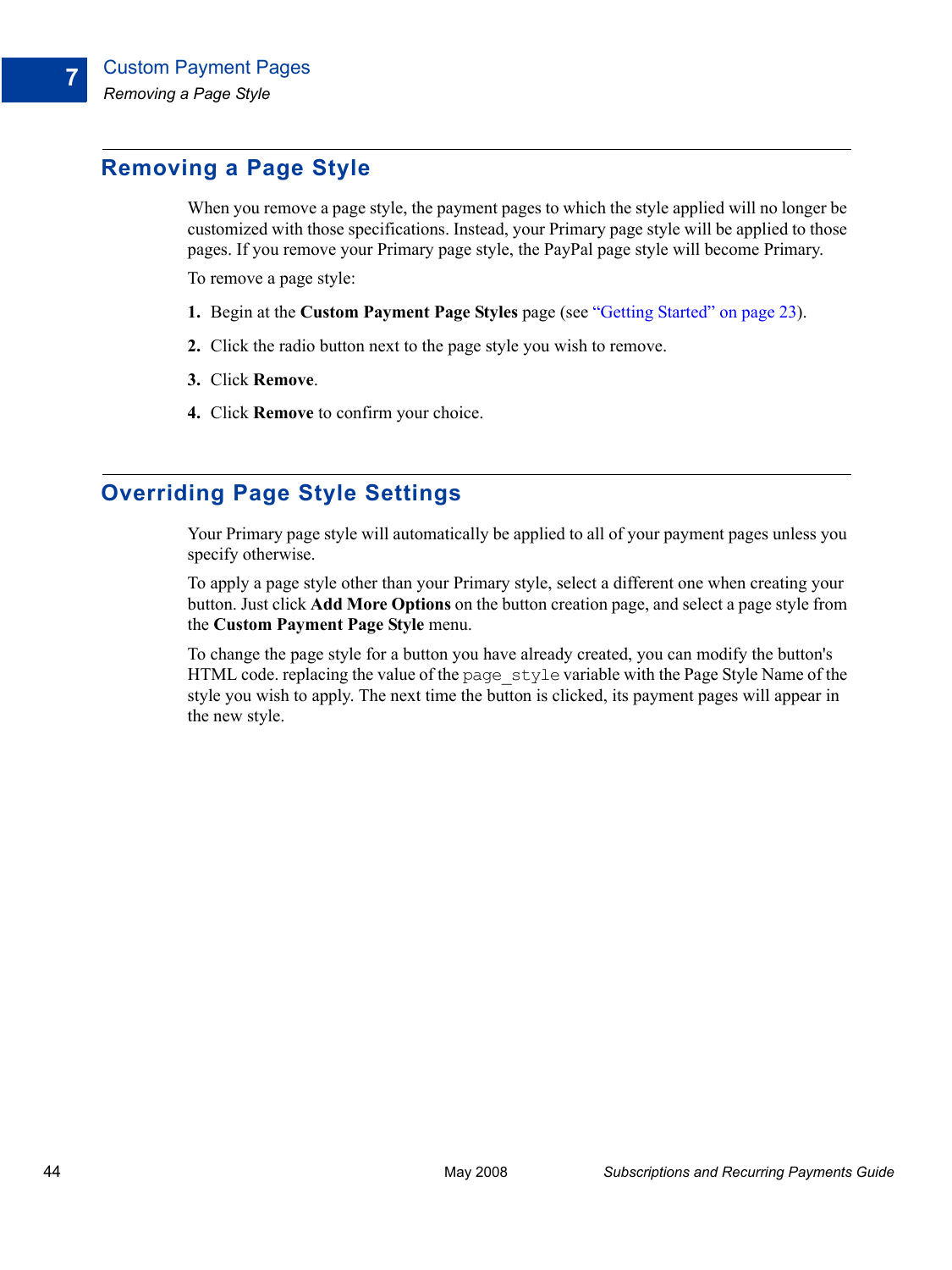# <span id="page-43-0"></span>**Removing a Page Style**

When you remove a page style, the payment pages to which the style applied will no longer be customized with those specifications. Instead, your Primary page style will be applied to those pages. If you remove your Primary page style, the PayPal page style will become Primary.

To remove a page style:

- **1.** Begin at the **Custom Payment Page Styles** page (see ["Getting Started" on page 23](#page-22-4)).
- **2.** Click the radio button next to the page style you wish to remove.
- **3.** Click **Remove**.
- **4.** Click **Remove** to confirm your choice.

# <span id="page-43-1"></span>**Overriding Page Style Settings**

Your Primary page style will automatically be applied to all of your payment pages unless you specify otherwise.

To apply a page style other than your Primary style, select a different one when creating your button. Just click **Add More Options** on the button creation page, and select a page style from the **Custom Payment Page Style** menu.

To change the page style for a button you have already created, you can modify the button's HTML code. replacing the value of the page style variable with the Page Style Name of the style you wish to apply. The next time the button is clicked, its payment pages will appear in the new style.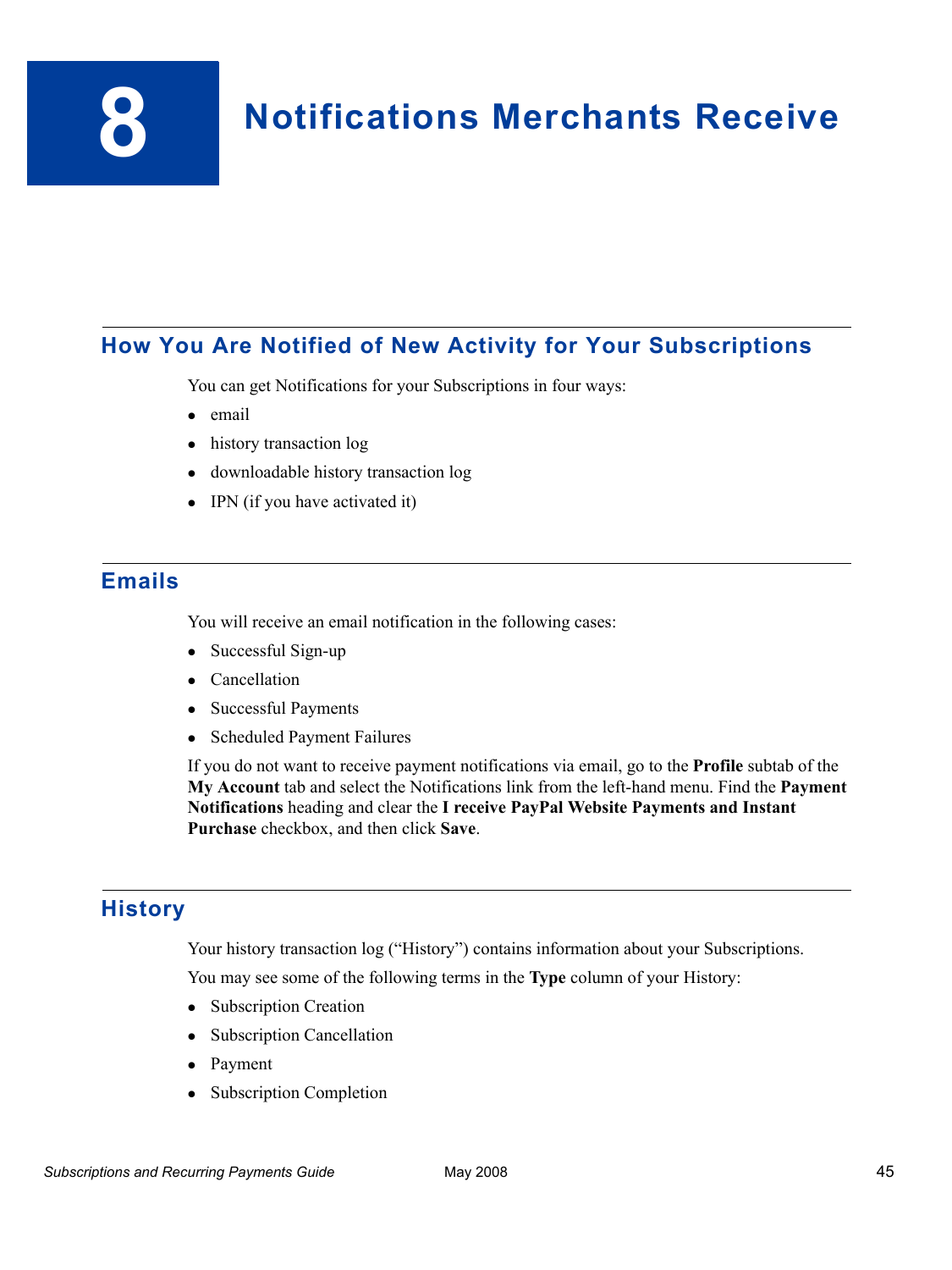# <span id="page-44-4"></span><span id="page-44-0"></span>**8 Notifications Merchants Receive**

# <span id="page-44-1"></span>**How You Are Notified of New Activity for Your Subscriptions**

You can get Notifications for your Subscriptions in four ways:

- email
- history transaction log
- downloadable history transaction log
- $\bullet$  IPN (if you have activated it)

# <span id="page-44-2"></span>**Emails**

You will receive an email notification in the following cases:

- $\bullet$  Successful Sign-up
- Cancellation
- Successful Payments
- Scheduled Payment Failures

If you do not want to receive payment notifications via email, go to the **Profile** subtab of the **My Account** tab and select the Notifications link from the left-hand menu. Find the **Payment Notifications** heading and clear the **I receive PayPal Website Payments and Instant Purchase** checkbox, and then click **Save**.

# <span id="page-44-3"></span>**History**

Your history transaction log ("History") contains information about your Subscriptions.

You may see some of the following terms in the **Type** column of your History:

- Subscription Creation
- Subscription Cancellation
- Payment
- Subscription Completion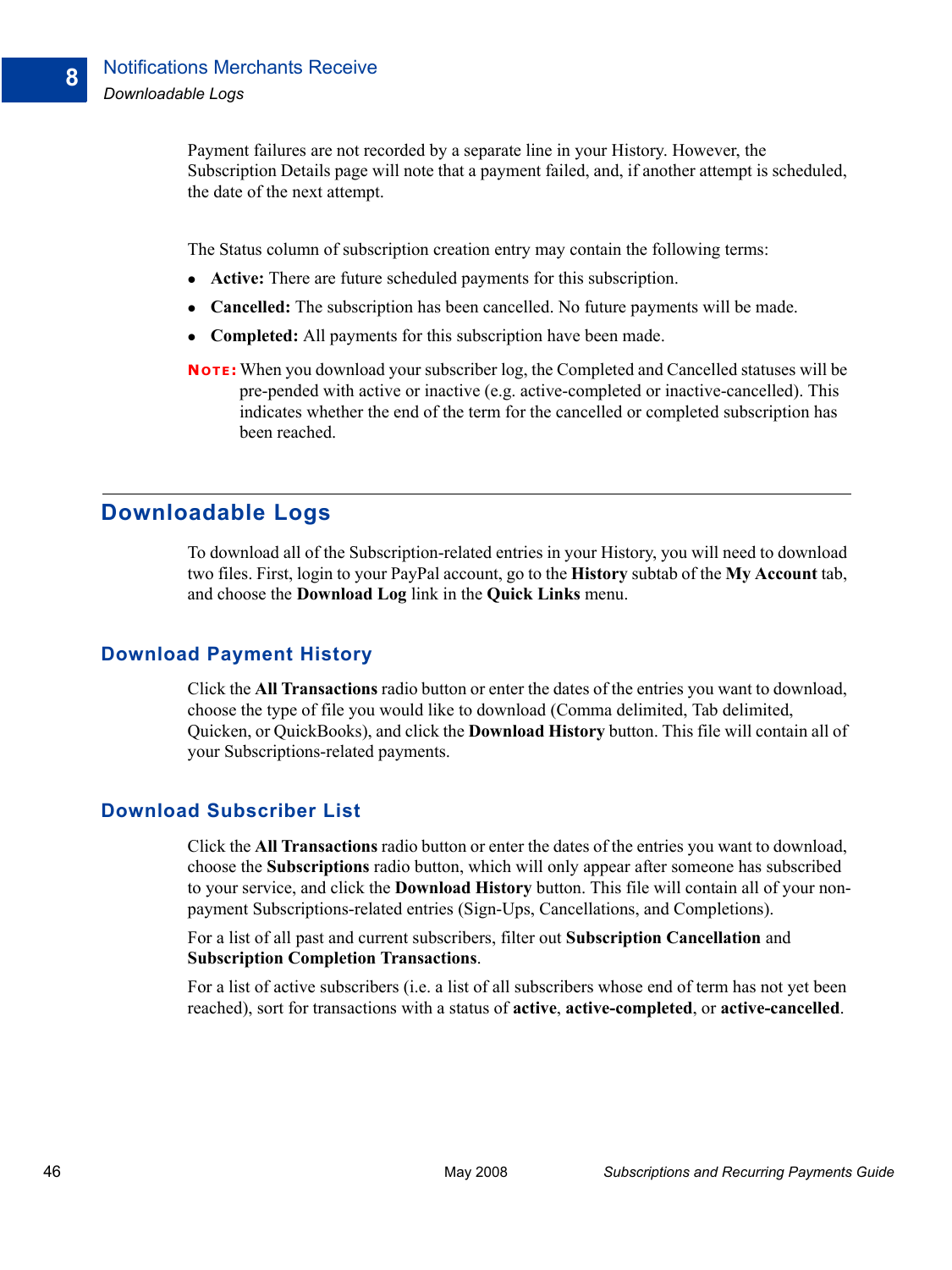Payment failures are not recorded by a separate line in your History. However, the Subscription Details page will note that a payment failed, and, if another attempt is scheduled, the date of the next attempt.

The Status column of subscription creation entry may contain the following terms:

- Active: There are future scheduled payments for this subscription.
- **Cancelled:** The subscription has been cancelled. No future payments will be made.
- **Completed:** All payments for this subscription have been made.
- **NOTE:** When you download your subscriber log, the Completed and Cancelled statuses will be pre-pended with active or inactive (e.g. active-completed or inactive-cancelled). This indicates whether the end of the term for the cancelled or completed subscription has been reached.

## <span id="page-45-0"></span>**Downloadable Logs**

To download all of the Subscription-related entries in your History, you will need to download two files. First, login to your PayPal account, go to the **History** subtab of the **My Account** tab, and choose the **Download Log** link in the **Quick Links** menu.

### <span id="page-45-1"></span>**Download Payment History**

Click the **All Transactions** radio button or enter the dates of the entries you want to download, choose the type of file you would like to download (Comma delimited, Tab delimited, Quicken, or QuickBooks), and click the **Download History** button. This file will contain all of your Subscriptions-related payments.

## <span id="page-45-2"></span>**Download Subscriber List**

Click the **All Transactions** radio button or enter the dates of the entries you want to download, choose the **Subscriptions** radio button, which will only appear after someone has subscribed to your service, and click the **Download History** button. This file will contain all of your nonpayment Subscriptions-related entries (Sign-Ups, Cancellations, and Completions).

For a list of all past and current subscribers, filter out **Subscription Cancellation** and **Subscription Completion Transactions**.

For a list of active subscribers (i.e. a list of all subscribers whose end of term has not yet been reached), sort for transactions with a status of **active**, **active-completed**, or **active-cancelled**.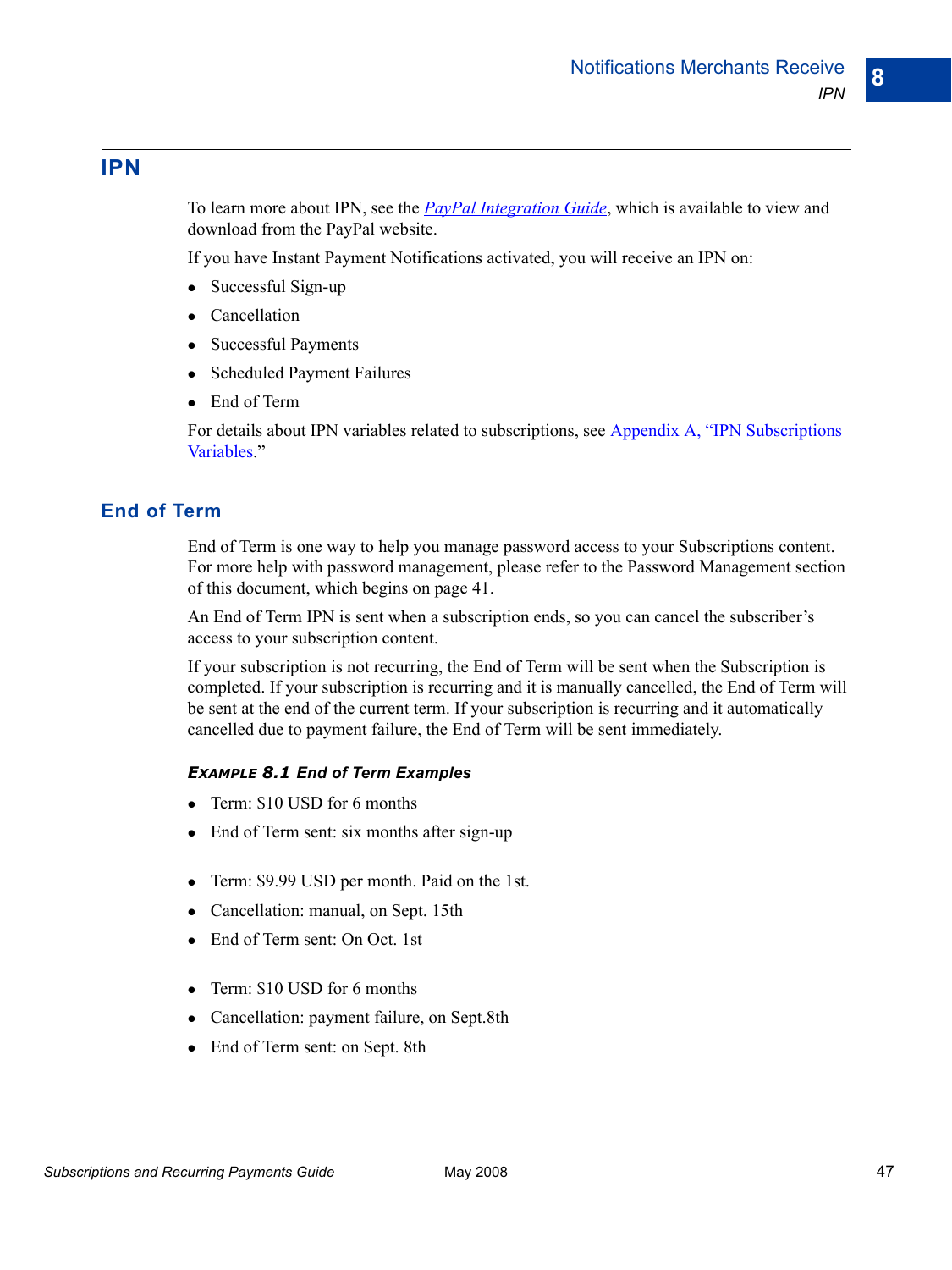## <span id="page-46-0"></span>**IPN**

To learn more about IPN, see the *[PayPal Integration Guide](https://www.paypal.com/IntegrationCenter/ic_documentation.html)*, which is available to view and download from the PayPal website.

If you have Instant Payment Notifications activated, you will receive an IPN on:

- $\bullet$  Successful Sign-up
- Cancellation
- Successful Payments
- Scheduled Payment Failures
- End of Term

For details about IPN variables related to subscriptions, see [Appendix A, "IPN Subscriptions](#page-58-3)  [Variables.](#page-58-3)"

#### <span id="page-46-1"></span>**End of Term**

End of Term is one way to help you manage password access to your Subscriptions content. For more help with password management, please refer to the Password Management section of this document, which begins on page 41.

An End of Term IPN is sent when a subscription ends, so you can cancel the subscriber's access to your subscription content.

If your subscription is not recurring, the End of Term will be sent when the Subscription is completed. If your subscription is recurring and it is manually cancelled, the End of Term will be sent at the end of the current term. If your subscription is recurring and it automatically cancelled due to payment failure, the End of Term will be sent immediately.

#### *EXAMPLE 8.1 End of Term Examples*

- Term: \$10 USD for 6 months
- End of Term sent: six months after sign-up
- Term: \$9.99 USD per month. Paid on the 1st.
- Cancellation: manual, on Sept. 15th
- End of Term sent: On Oct. 1st
- Term: \$10 USD for 6 months
- Cancellation: payment failure, on Sept.8th
- End of Term sent: on Sept. 8th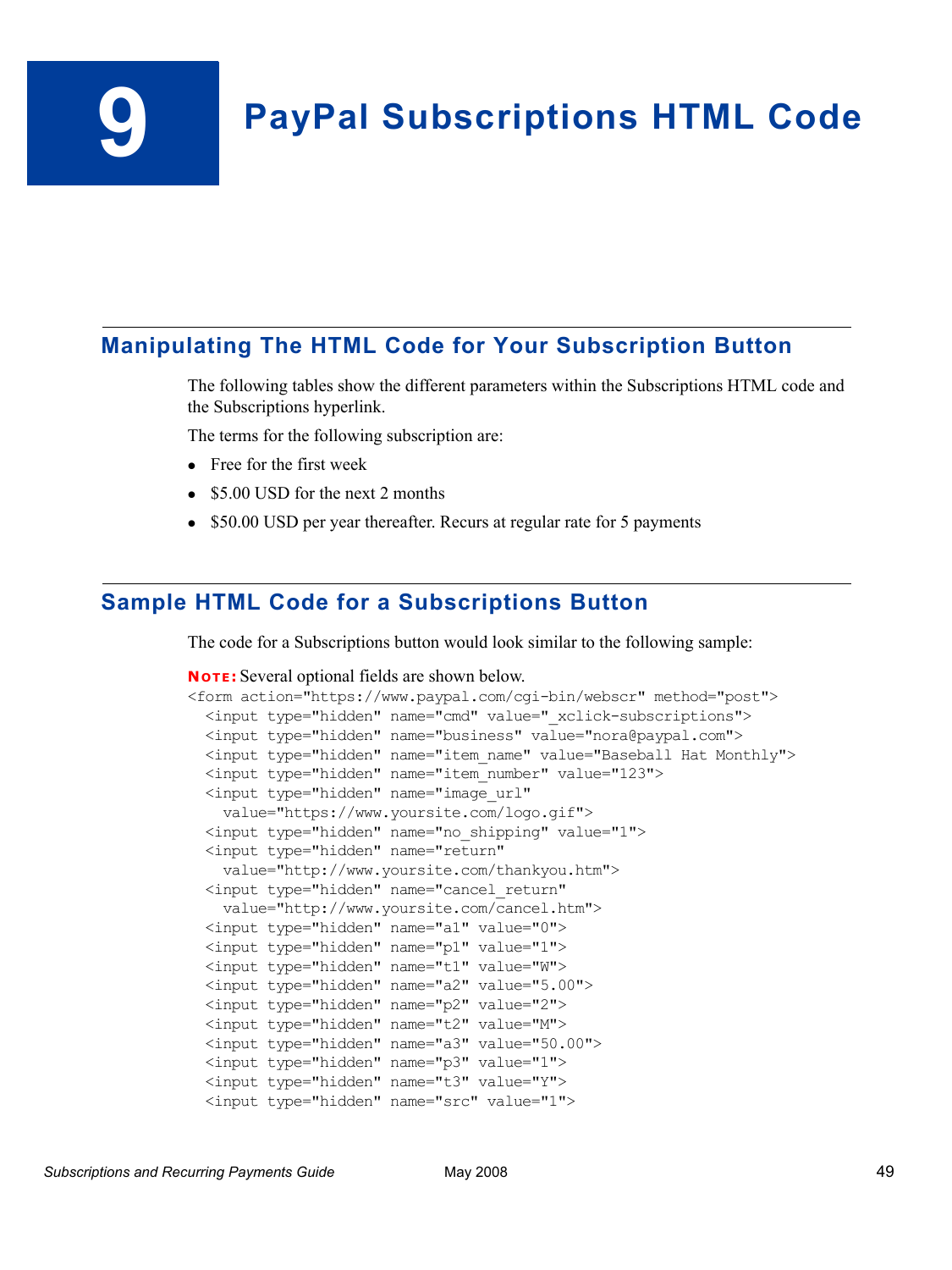<span id="page-48-3"></span><span id="page-48-0"></span>**9 PayPal Subscriptions HTML Code**

# <span id="page-48-1"></span>**Manipulating The HTML Code for Your Subscription Button**

The following tables show the different parameters within the Subscriptions HTML code and the Subscriptions hyperlink.

The terms for the following subscription are:

- $\bullet$  Free for the first week
- \$5.00 USD for the next 2 months
- \$50.00 USD per year thereafter. Recurs at regular rate for 5 payments

# <span id="page-48-2"></span>**Sample HTML Code for a Subscriptions Button**

The code for a Subscriptions button would look similar to the following sample:

**NOTE:** Several optional fields are shown below.

```
<form action="https://www.paypal.com/cgi-bin/webscr" method="post">
 <input type="hidden" name="cmd" value="_xclick-subscriptions">
  <input type="hidden" name="business" value="nora@paypal.com">
  <input type="hidden" name="item_name" value="Baseball Hat Monthly">
 <input type="hidden" name="item_number" value="123">
 <input type="hidden" name="image_url"
    value="https://www.yoursite.com/logo.gif">
 <input type="hidden" name="no_shipping" value="1">
  <input type="hidden" name="return"
    value="http://www.yoursite.com/thankyou.htm">
 <input type="hidden" name="cancel_return"
   value="http://www.yoursite.com/cancel.htm">
 <input type="hidden" name="a1" value="0">
 <input type="hidden" name="p1" value="1">
 <input type="hidden" name="t1" value="W">
  <input type="hidden" name="a2" value="5.00">
 <input type="hidden" name="p2" value="2">
 <input type="hidden" name="t2" value="M">
 <input type="hidden" name="a3" value="50.00">
 <input type="hidden" name="p3" value="1">
 <input type="hidden" name="t3" value="Y">
 <input type="hidden" name="src" value="1">
```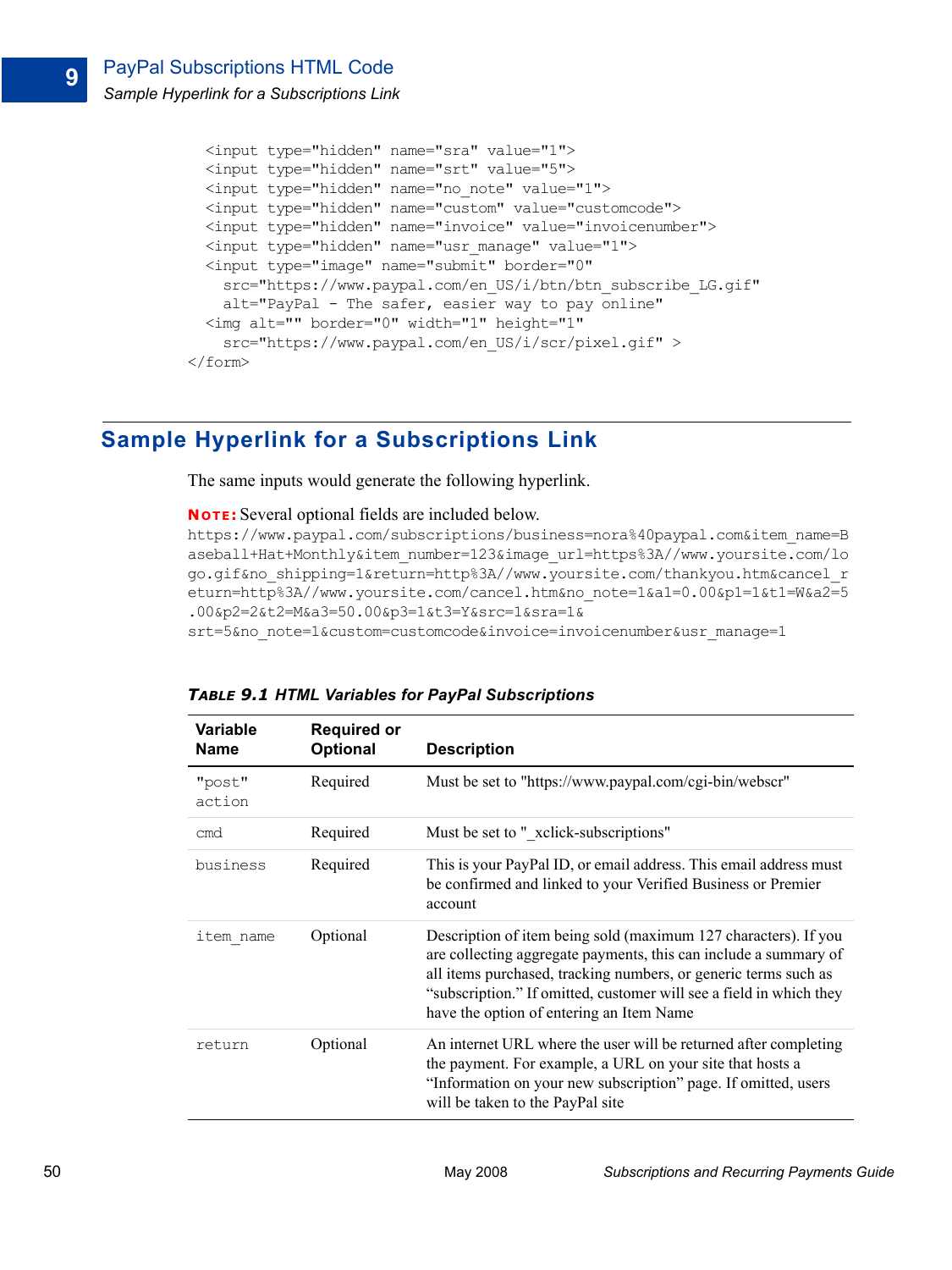```
<input type="hidden" name="sra" value="1">
 <input type="hidden" name="srt" value="5">
 <input type="hidden" name="no_note" value="1">
 <input type="hidden" name="custom" value="customcode">
 <input type="hidden" name="invoice" value="invoicenumber">
 <input type="hidden" name="usr_manage" value="1">
 <input type="image" name="submit" border="0"
   src="https://www.paypal.com/en_US/i/btn/btn_subscribe_LG.gif"
    alt="PayPal - The safer, easier way to pay online"
 <img alt="" border="0" width="1" height="1"
    src="https://www.paypal.com/en US/i/scr/pixel.gif" >
</form>
```
# <span id="page-49-0"></span>**Sample Hyperlink for a Subscriptions Link**

The same inputs would generate the following hyperlink.

**NOTE:** Several optional fields are included below.

```
https://www.paypal.com/subscriptions/business=nora%40paypal.com&item_name=B
aseball+Hat+Monthly&item_number=123&image_url=https%3A//www.yoursite.com/lo
go.gif&no_shipping=1&return=http%3A//www.yoursite.com/thankyou.htm&cancel_r
eturn=http%3A//www.yoursite.com/cancel.htm&no_note=1&a1=0.00&p1=1&t1=W&a2=5
.00&p2=2&t2=M&a3=50.00&p3=1&t3=Y&src=1&sra=1& 
srt=5&no_note=1&custom=customcode&invoice=invoicenumber&usr_manage=1
```

| Variable<br>Name | <b>Required or</b><br><b>Optional</b> | <b>Description</b>                                                                                                                                                                                                                                                                                                        |
|------------------|---------------------------------------|---------------------------------------------------------------------------------------------------------------------------------------------------------------------------------------------------------------------------------------------------------------------------------------------------------------------------|
| "post"<br>action | Required                              | Must be set to "https://www.paypal.com/cgi-bin/webscr"                                                                                                                                                                                                                                                                    |
| cmd              | Required                              | Must be set to " xclick-subscriptions"                                                                                                                                                                                                                                                                                    |
| business         | Required                              | This is your PayPal ID, or email address. This email address must<br>be confirmed and linked to your Verified Business or Premier<br>account                                                                                                                                                                              |
| item name        | Optional                              | Description of item being sold (maximum 127 characters). If you<br>are collecting aggregate payments, this can include a summary of<br>all items purchased, tracking numbers, or generic terms such as<br>"subscription." If omitted, customer will see a field in which they<br>have the option of entering an Item Name |
| return           | Optional                              | An internet URL where the user will be returned after completing<br>the payment. For example, a URL on your site that hosts a<br>"Information on your new subscription" page. If omitted, users<br>will be taken to the PayPal site                                                                                       |

<span id="page-49-1"></span>*TABLE 9.1 HTML Variables for PayPal Subscriptions*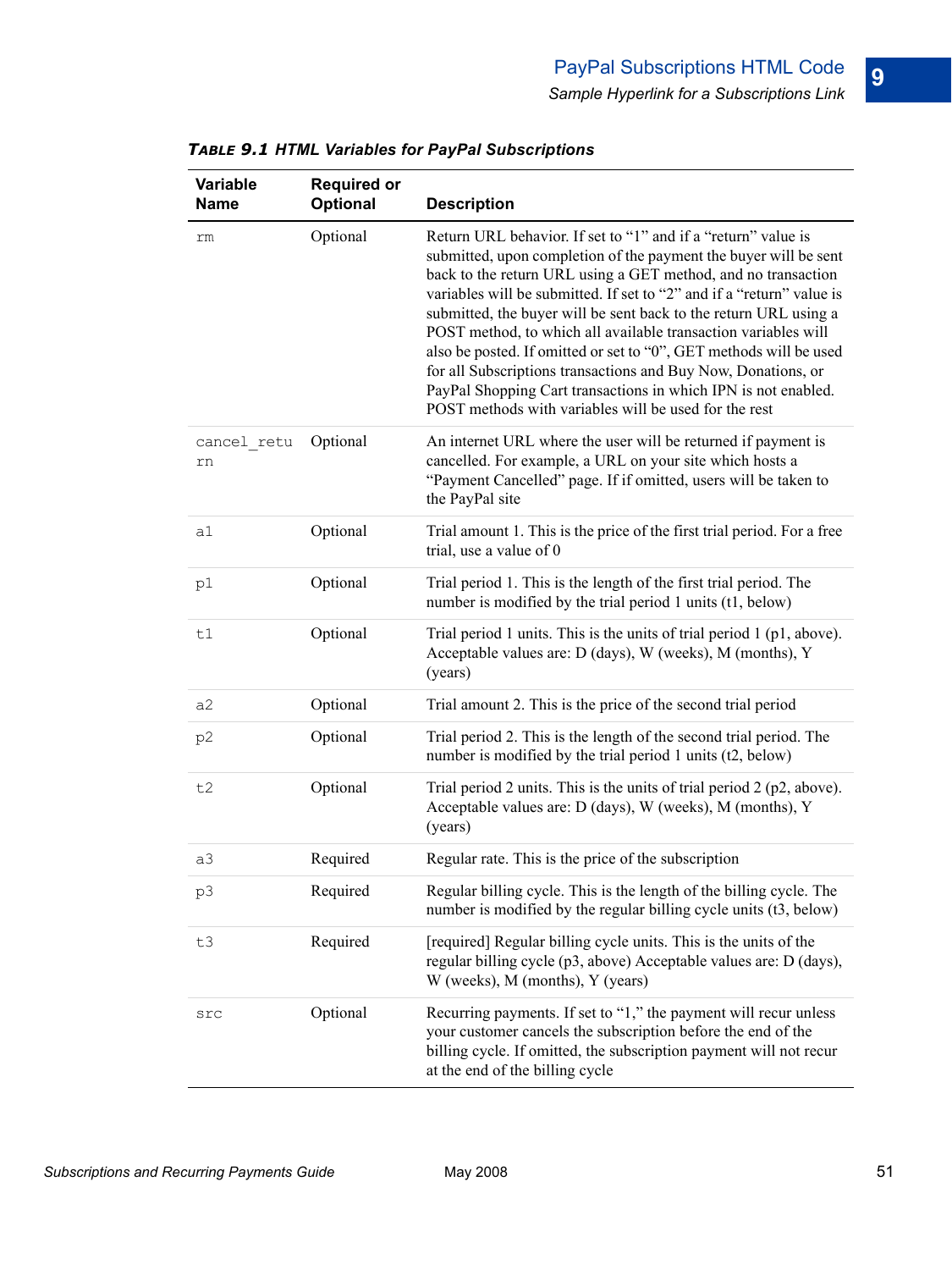| Variable<br><b>Name</b> | <b>Required or</b><br>Optional | <b>Description</b>                                                                                                                                                                                                                                                                                                                                                                                                                                                                                                                                                                                                                                                                  |
|-------------------------|--------------------------------|-------------------------------------------------------------------------------------------------------------------------------------------------------------------------------------------------------------------------------------------------------------------------------------------------------------------------------------------------------------------------------------------------------------------------------------------------------------------------------------------------------------------------------------------------------------------------------------------------------------------------------------------------------------------------------------|
| rm                      | Optional                       | Return URL behavior. If set to "1" and if a "return" value is<br>submitted, upon completion of the payment the buyer will be sent<br>back to the return URL using a GET method, and no transaction<br>variables will be submitted. If set to "2" and if a "return" value is<br>submitted, the buyer will be sent back to the return URL using a<br>POST method, to which all available transaction variables will<br>also be posted. If omitted or set to "0", GET methods will be used<br>for all Subscriptions transactions and Buy Now, Donations, or<br>PayPal Shopping Cart transactions in which IPN is not enabled.<br>POST methods with variables will be used for the rest |
| cancel retu<br>rn       | Optional                       | An internet URL where the user will be returned if payment is<br>cancelled. For example, a URL on your site which hosts a<br>"Payment Cancelled" page. If if omitted, users will be taken to<br>the PayPal site                                                                                                                                                                                                                                                                                                                                                                                                                                                                     |
| a1                      | Optional                       | Trial amount 1. This is the price of the first trial period. For a free<br>trial, use a value of 0                                                                                                                                                                                                                                                                                                                                                                                                                                                                                                                                                                                  |
| p1                      | Optional                       | Trial period 1. This is the length of the first trial period. The<br>number is modified by the trial period 1 units (t1, below)                                                                                                                                                                                                                                                                                                                                                                                                                                                                                                                                                     |
| t1                      | Optional                       | Trial period 1 units. This is the units of trial period $1$ (p1, above).<br>Acceptable values are: D (days), W (weeks), M (months), Y<br>(years)                                                                                                                                                                                                                                                                                                                                                                                                                                                                                                                                    |
| a2                      | Optional                       | Trial amount 2. This is the price of the second trial period                                                                                                                                                                                                                                                                                                                                                                                                                                                                                                                                                                                                                        |
| p2                      | Optional                       | Trial period 2. This is the length of the second trial period. The<br>number is modified by the trial period 1 units (t2, below)                                                                                                                                                                                                                                                                                                                                                                                                                                                                                                                                                    |
| t2                      | Optional                       | Trial period 2 units. This is the units of trial period $2$ ( $p2$ , above).<br>Acceptable values are: D (days), W (weeks), M (months), Y<br>(years)                                                                                                                                                                                                                                                                                                                                                                                                                                                                                                                                |
| aЗ                      | Required                       | Regular rate. This is the price of the subscription                                                                                                                                                                                                                                                                                                                                                                                                                                                                                                                                                                                                                                 |
| p3                      | Required                       | Regular billing cycle. This is the length of the billing cycle. The<br>number is modified by the regular billing cycle units (t3, below)                                                                                                                                                                                                                                                                                                                                                                                                                                                                                                                                            |
| t3                      | Required                       | [required] Regular billing cycle units. This is the units of the<br>regular billing cycle (p3, above) Acceptable values are: D (days),<br>W (weeks), M (months), Y (years)                                                                                                                                                                                                                                                                                                                                                                                                                                                                                                          |
| src                     | Optional                       | Recurring payments. If set to "1," the payment will recur unless<br>your customer cancels the subscription before the end of the<br>billing cycle. If omitted, the subscription payment will not recur<br>at the end of the billing cycle                                                                                                                                                                                                                                                                                                                                                                                                                                           |

#### *TABLE 9.1 HTML Variables for PayPal Subscriptions*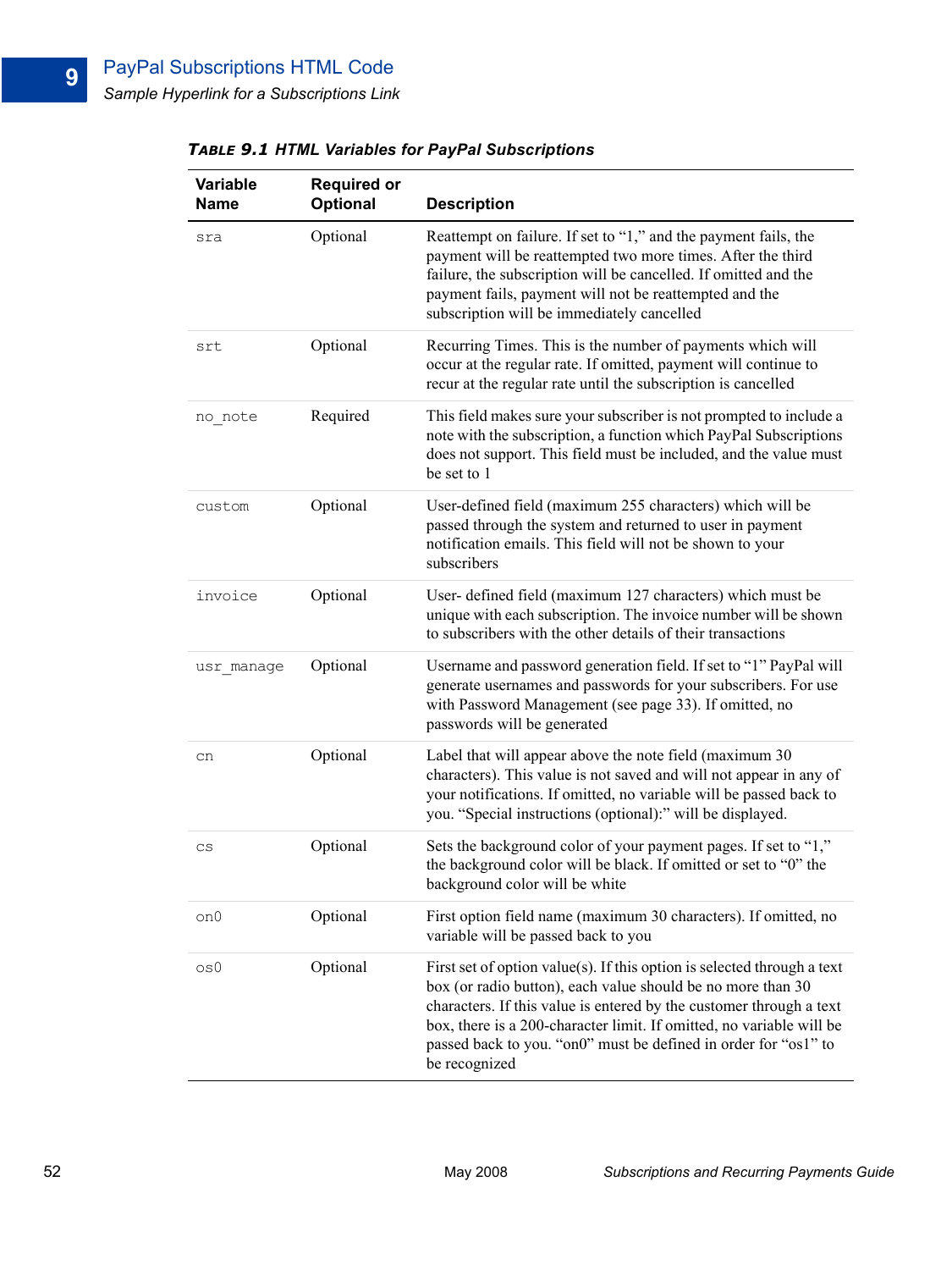| Variable<br><b>Name</b> | <b>Required or</b><br>Optional | <b>Description</b>                                                                                                                                                                                                                                                                                                                                                        |
|-------------------------|--------------------------------|---------------------------------------------------------------------------------------------------------------------------------------------------------------------------------------------------------------------------------------------------------------------------------------------------------------------------------------------------------------------------|
| sra                     | Optional                       | Reattempt on failure. If set to "1," and the payment fails, the<br>payment will be reattempted two more times. After the third<br>failure, the subscription will be cancelled. If omitted and the<br>payment fails, payment will not be reattempted and the<br>subscription will be immediately cancelled                                                                 |
| srt                     | Optional                       | Recurring Times. This is the number of payments which will<br>occur at the regular rate. If omitted, payment will continue to<br>recur at the regular rate until the subscription is cancelled                                                                                                                                                                            |
| no note                 | Required                       | This field makes sure your subscriber is not prompted to include a<br>note with the subscription, a function which PayPal Subscriptions<br>does not support. This field must be included, and the value must<br>be set to 1                                                                                                                                               |
| custom                  | Optional                       | User-defined field (maximum 255 characters) which will be<br>passed through the system and returned to user in payment<br>notification emails. This field will not be shown to your<br>subscribers                                                                                                                                                                        |
| invoice                 | Optional                       | User-defined field (maximum 127 characters) which must be<br>unique with each subscription. The invoice number will be shown<br>to subscribers with the other details of their transactions                                                                                                                                                                               |
| usr manage              | Optional                       | Username and password generation field. If set to "1" PayPal will<br>generate usernames and passwords for your subscribers. For use<br>with Password Management (see page 33). If omitted, no<br>passwords will be generated                                                                                                                                              |
| cn                      | Optional                       | Label that will appear above the note field (maximum 30)<br>characters). This value is not saved and will not appear in any of<br>your notifications. If omitted, no variable will be passed back to<br>you. "Special instructions (optional):" will be displayed.                                                                                                        |
| $\mathbb{C} \mathbb{S}$ | Optional                       | Sets the background color of your payment pages. If set to "1,"<br>the background color will be black. If omitted or set to "0" the<br>background color will be white                                                                                                                                                                                                     |
| on0                     | Optional                       | First option field name (maximum 30 characters). If omitted, no<br>variable will be passed back to you                                                                                                                                                                                                                                                                    |
| os0                     | Optional                       | First set of option value(s). If this option is selected through a text<br>box (or radio button), each value should be no more than 30<br>characters. If this value is entered by the customer through a text<br>box, there is a 200-character limit. If omitted, no variable will be<br>passed back to you. "on0" must be defined in order for "os1" to<br>be recognized |

#### *TABLE 9.1 HTML Variables for PayPal Subscriptions*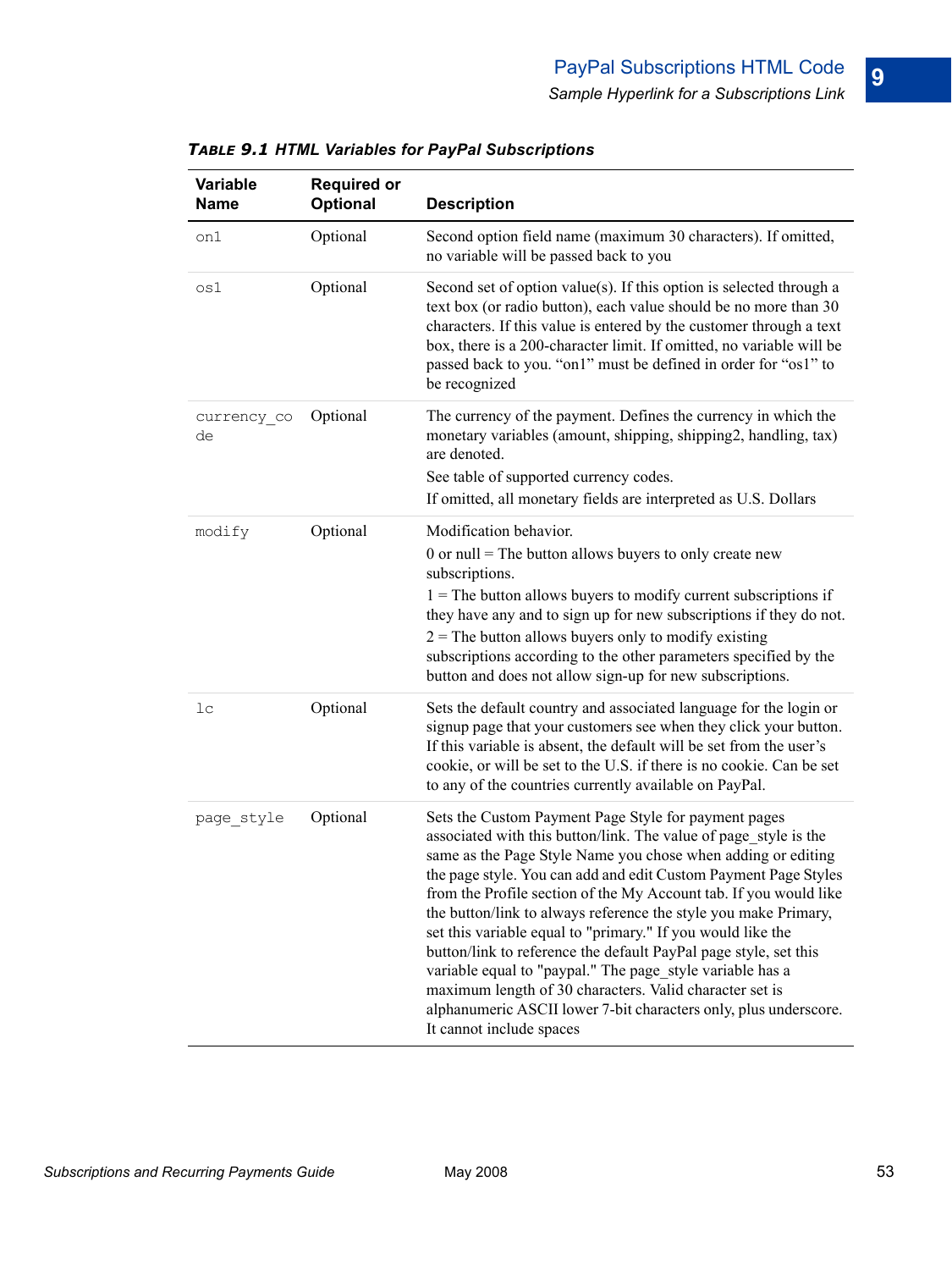| Variable<br><b>Name</b> | <b>Required or</b><br><b>Optional</b> | <b>Description</b>                                                                                                                                                                                                                                                                                                                                                                                                                                                                                                                                                                                                                                                                                                                                             |
|-------------------------|---------------------------------------|----------------------------------------------------------------------------------------------------------------------------------------------------------------------------------------------------------------------------------------------------------------------------------------------------------------------------------------------------------------------------------------------------------------------------------------------------------------------------------------------------------------------------------------------------------------------------------------------------------------------------------------------------------------------------------------------------------------------------------------------------------------|
| on1                     | Optional                              | Second option field name (maximum 30 characters). If omitted,<br>no variable will be passed back to you                                                                                                                                                                                                                                                                                                                                                                                                                                                                                                                                                                                                                                                        |
| os1                     | Optional                              | Second set of option value(s). If this option is selected through a<br>text box (or radio button), each value should be no more than 30<br>characters. If this value is entered by the customer through a text<br>box, there is a 200-character limit. If omitted, no variable will be<br>passed back to you. "on1" must be defined in order for "os1" to<br>be recognized                                                                                                                                                                                                                                                                                                                                                                                     |
| currency co<br>de       | Optional                              | The currency of the payment. Defines the currency in which the<br>monetary variables (amount, shipping, shipping2, handling, tax)<br>are denoted.<br>See table of supported currency codes.<br>If omitted, all monetary fields are interpreted as U.S. Dollars                                                                                                                                                                                                                                                                                                                                                                                                                                                                                                 |
| modify                  | Optional                              | Modification behavior.<br>$0$ or null = The button allows buyers to only create new<br>subscriptions.<br>$1 =$ The button allows buyers to modify current subscriptions if<br>they have any and to sign up for new subscriptions if they do not.<br>$2 =$ The button allows buyers only to modify existing<br>subscriptions according to the other parameters specified by the<br>button and does not allow sign-up for new subscriptions.                                                                                                                                                                                                                                                                                                                     |
| 1 <sup>c</sup>          | Optional                              | Sets the default country and associated language for the login or<br>signup page that your customers see when they click your button.<br>If this variable is absent, the default will be set from the user's<br>cookie, or will be set to the U.S. if there is no cookie. Can be set<br>to any of the countries currently available on PayPal.                                                                                                                                                                                                                                                                                                                                                                                                                 |
| page style              | Optional                              | Sets the Custom Payment Page Style for payment pages<br>associated with this button/link. The value of page_style is the<br>same as the Page Style Name you chose when adding or editing<br>the page style. You can add and edit Custom Payment Page Styles<br>from the Profile section of the My Account tab. If you would like<br>the button/link to always reference the style you make Primary,<br>set this variable equal to "primary." If you would like the<br>button/link to reference the default PayPal page style, set this<br>variable equal to "paypal." The page_style variable has a<br>maximum length of 30 characters. Valid character set is<br>alphanumeric ASCII lower 7-bit characters only, plus underscore.<br>It cannot include spaces |

#### *TABLE 9.1 HTML Variables for PayPal Subscriptions*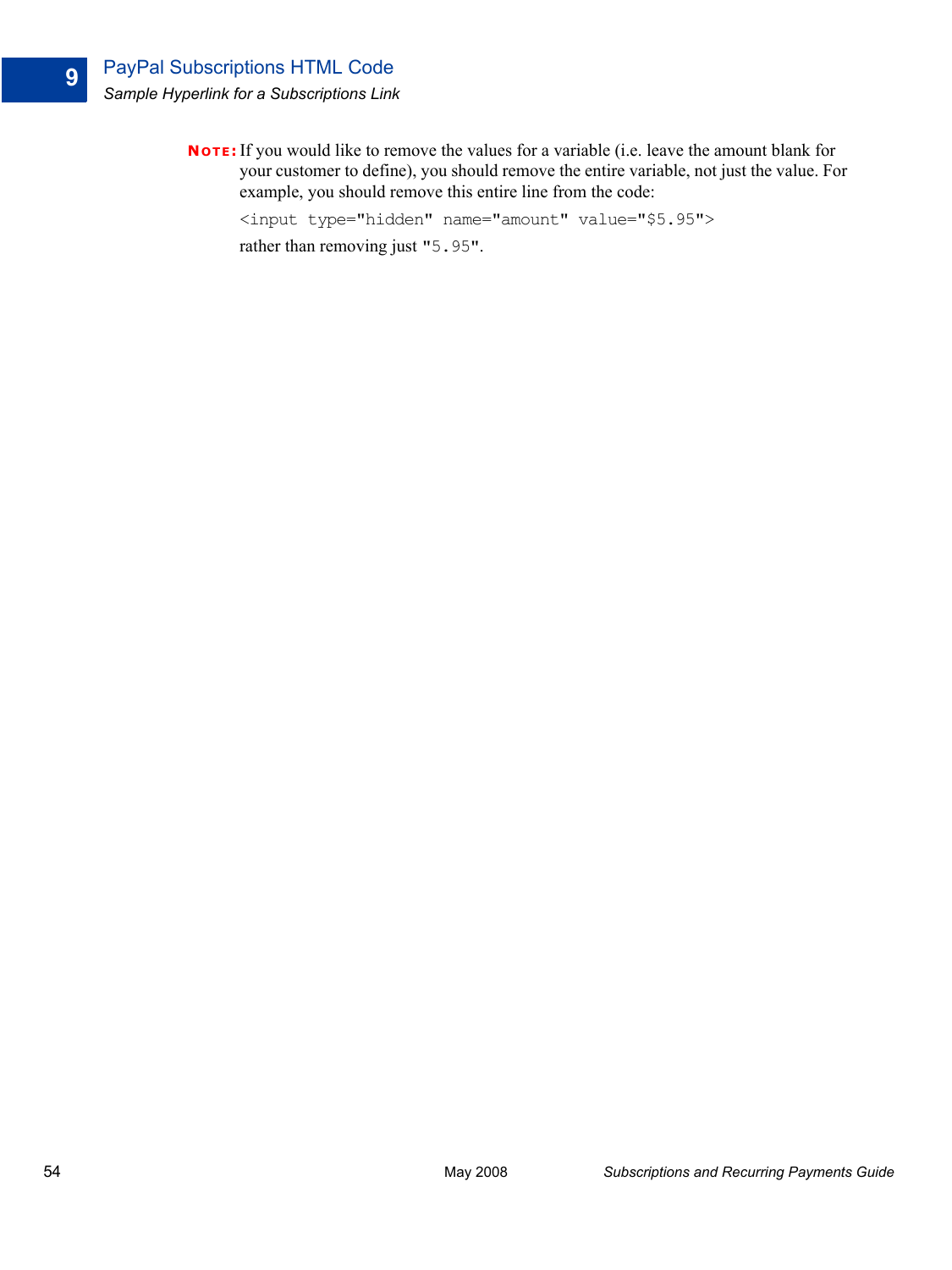**NOTE:** If you would like to remove the values for a variable (i.e. leave the amount blank for your customer to define), you should remove the entire variable, not just the value. For example, you should remove this entire line from the code:

<input type="hidden" name="amount" value="\$5.95"> rather than removing just "5.95".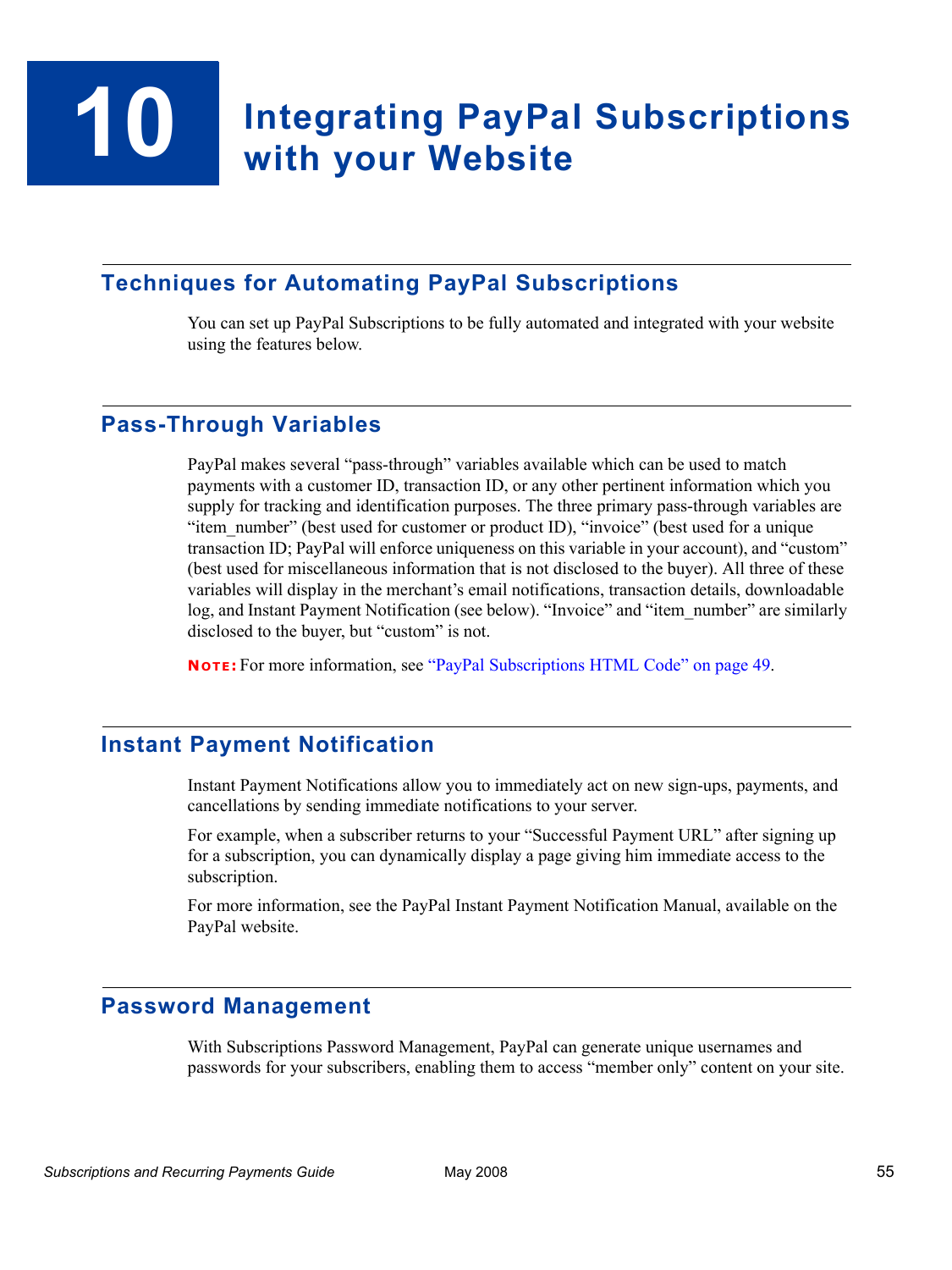# <span id="page-54-5"></span><span id="page-54-0"></span>**10 Integrating PayPal Subscriptions with your Website**

# <span id="page-54-1"></span>**Techniques for Automating PayPal Subscriptions**

You can set up PayPal Subscriptions to be fully automated and integrated with your website using the features below.

# <span id="page-54-2"></span>**Pass-Through Variables**

PayPal makes several "pass-through" variables available which can be used to match payments with a customer ID, transaction ID, or any other pertinent information which you supply for tracking and identification purposes. The three primary pass-through variables are "item\_number" (best used for customer or product ID), "invoice" (best used for a unique transaction ID; PayPal will enforce uniqueness on this variable in your account), and "custom" (best used for miscellaneous information that is not disclosed to the buyer). All three of these variables will display in the merchant's email notifications, transaction details, downloadable log, and Instant Payment Notification (see below). "Invoice" and "item\_number" are similarly disclosed to the buyer, but "custom" is not.

**NOTE:** For more information, see ["PayPal Subscriptions HTML Code" on page 49.](#page-48-3)

# <span id="page-54-3"></span>**Instant Payment Notification**

Instant Payment Notifications allow you to immediately act on new sign-ups, payments, and cancellations by sending immediate notifications to your server.

For example, when a subscriber returns to your "Successful Payment URL" after signing up for a subscription, you can dynamically display a page giving him immediate access to the subscription.

For more information, see the PayPal Instant Payment Notification Manual, available on the PayPal website.

# <span id="page-54-6"></span><span id="page-54-4"></span>**Password Management**

With Subscriptions Password Management, PayPal can generate unique usernames and passwords for your subscribers, enabling them to access "member only" content on your site.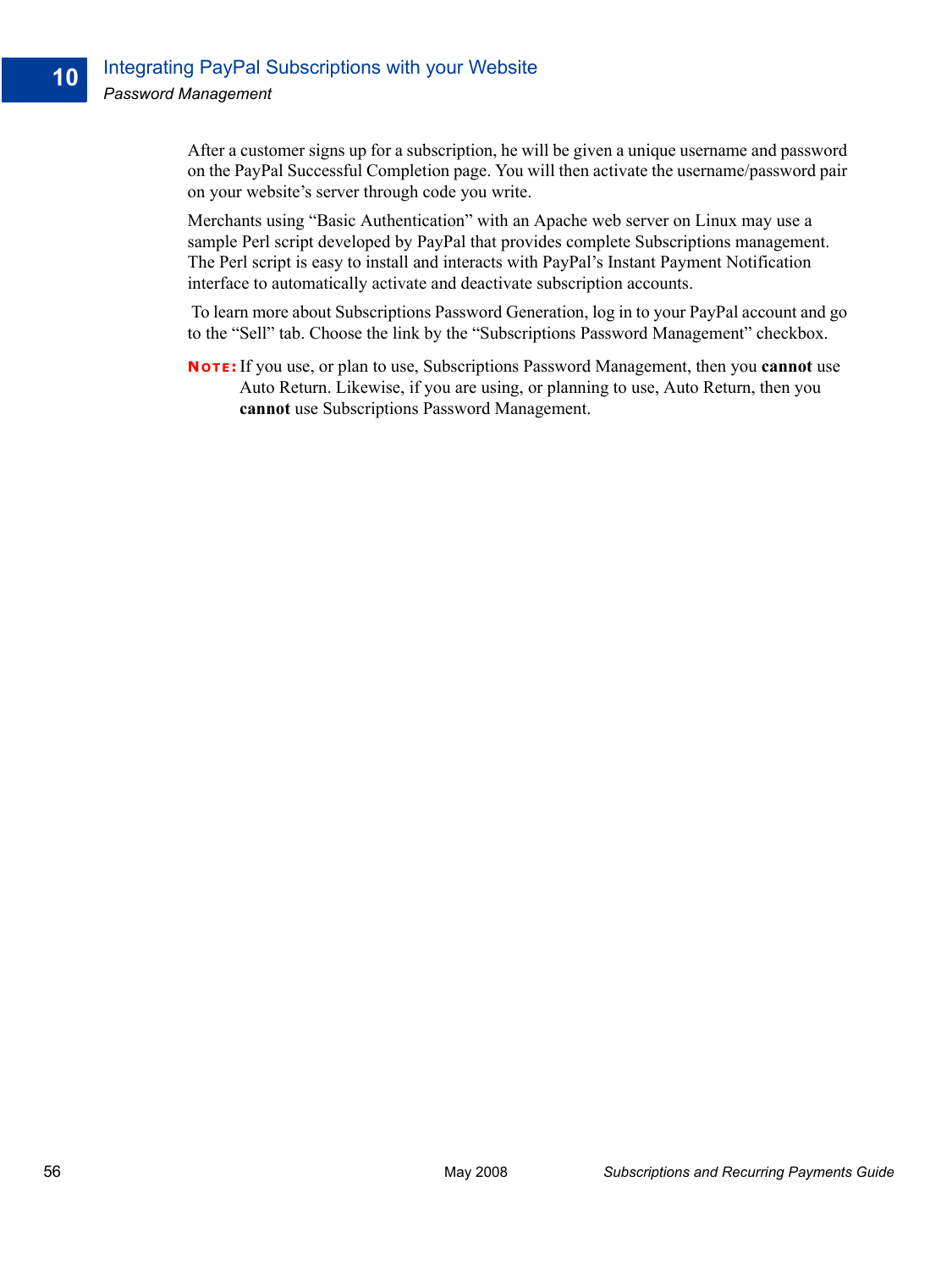After a customer signs up for a subscription, he will be given a unique username and password on the PayPal Successful Completion page. You will then activate the username/password pair on your website's server through code you write.

Merchants using "Basic Authentication" with an Apache web server on Linux may use a sample Perl script developed by PayPal that provides complete Subscriptions management. The Perl script is easy to install and interacts with PayPal's Instant Payment Notification interface to automatically activate and deactivate subscription accounts.

 To learn more about Subscriptions Password Generation, log in to your PayPal account and go to the "Sell" tab. Choose the link by the "Subscriptions Password Management" checkbox.

**NOTE:** If you use, or plan to use, Subscriptions Password Management, then you **cannot** use Auto Return. Likewise, if you are using, or planning to use, Auto Return, then you **cannot** use Subscriptions Password Management.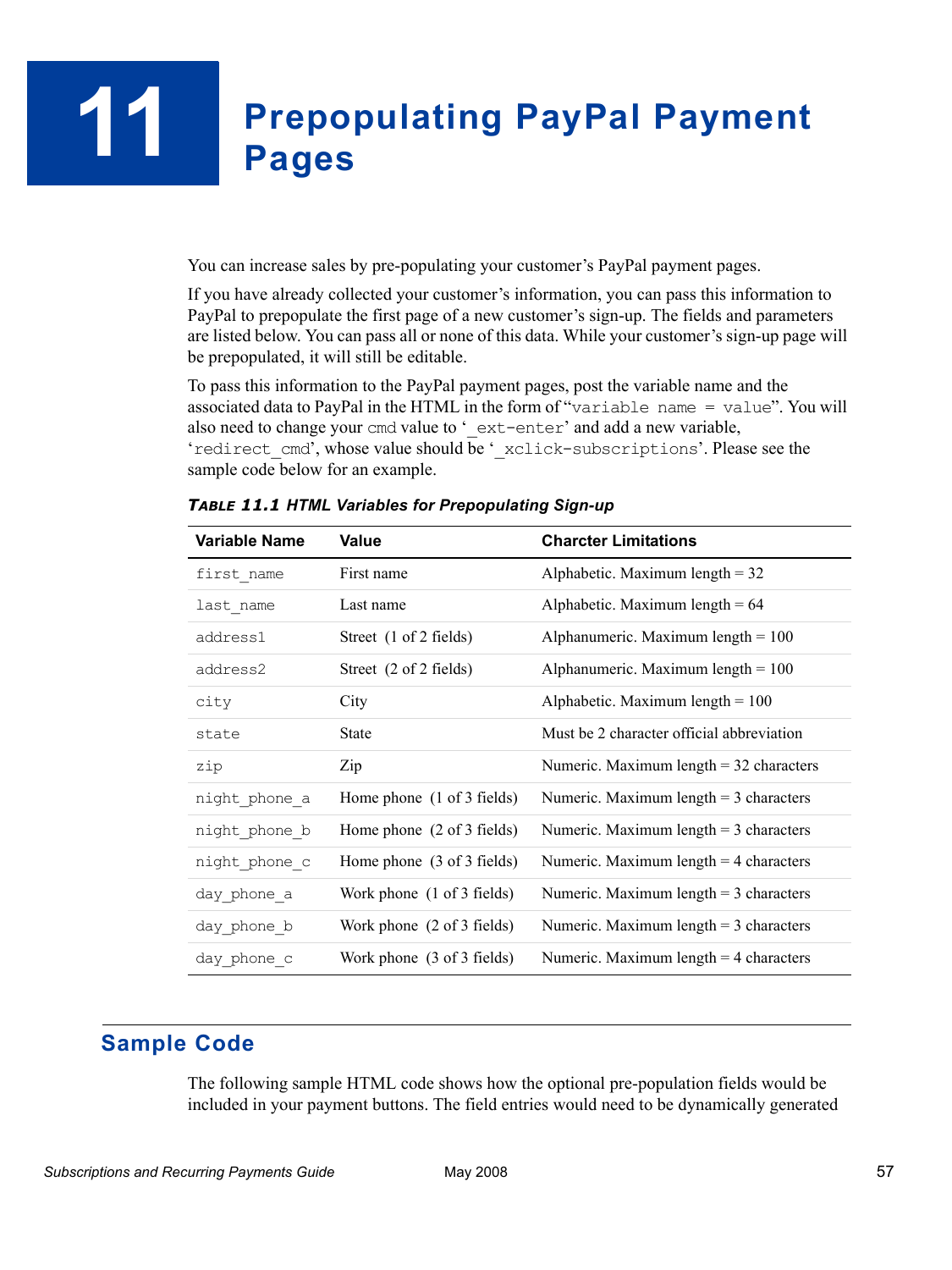# <span id="page-56-3"></span>**11 Prepopulating PayPal Payment Pages**

<span id="page-56-0"></span>You can increase sales by pre-populating your customer's PayPal payment pages.

If you have already collected your customer's information, you can pass this information to PayPal to prepopulate the first page of a new customer's sign-up. The fields and parameters are listed below. You can pass all or none of this data. While your customer's sign-up page will be prepopulated, it will still be editable.

To pass this information to the PayPal payment pages, post the variable name and the associated data to PayPal in the HTML in the form of "variable name = value". You will also need to change your cmd value to '\_ext-enter' and add a new variable, 'redirect cmd', whose value should be '\_xclick-subscriptions'. Please see the sample code below for an example.

| <b>Variable Name</b> | Value                                         | <b>Charcter Limitations</b>               |
|----------------------|-----------------------------------------------|-------------------------------------------|
| first name           | First name                                    | Alphabetic. Maximum length $= 32$         |
| last name            | Last name                                     | Alphabetic. Maximum length $= 64$         |
| address1             | Street (1 of 2 fields)                        | Alphanumeric. Maximum length $= 100$      |
| address2             | Street (2 of 2 fields)                        | Alphanumeric. Maximum length $= 100$      |
| city                 | City                                          | Alphabetic. Maximum length $= 100$        |
| state                | <b>State</b>                                  | Must be 2 character official abbreviation |
| zip                  | Zip                                           | Numeric. Maximum length $=$ 32 characters |
| night_phone a        | Home phone (1 of 3 fields)                    | Numeric. Maximum length $=$ 3 characters  |
| night phone b        | Home phone (2 of 3 fields)                    | Numeric. Maximum length $=$ 3 characters  |
| night phone c        | Home phone (3 of 3 fields)                    | Numeric. Maximum length $=$ 4 characters  |
| day phone a          | Work phone (1 of 3 fields)                    | Numeric. Maximum length $=$ 3 characters  |
| day phone b          | Work phone $(2 \text{ of } 3 \text{ fields})$ | Numeric. Maximum length $=$ 3 characters  |
| day phone c          | Work phone (3 of 3 fields)                    | Numeric. Maximum length $=$ 4 characters  |

<span id="page-56-2"></span>

# <span id="page-56-1"></span>**Sample Code**

The following sample HTML code shows how the optional pre-population fields would be included in your payment buttons. The field entries would need to be dynamically generated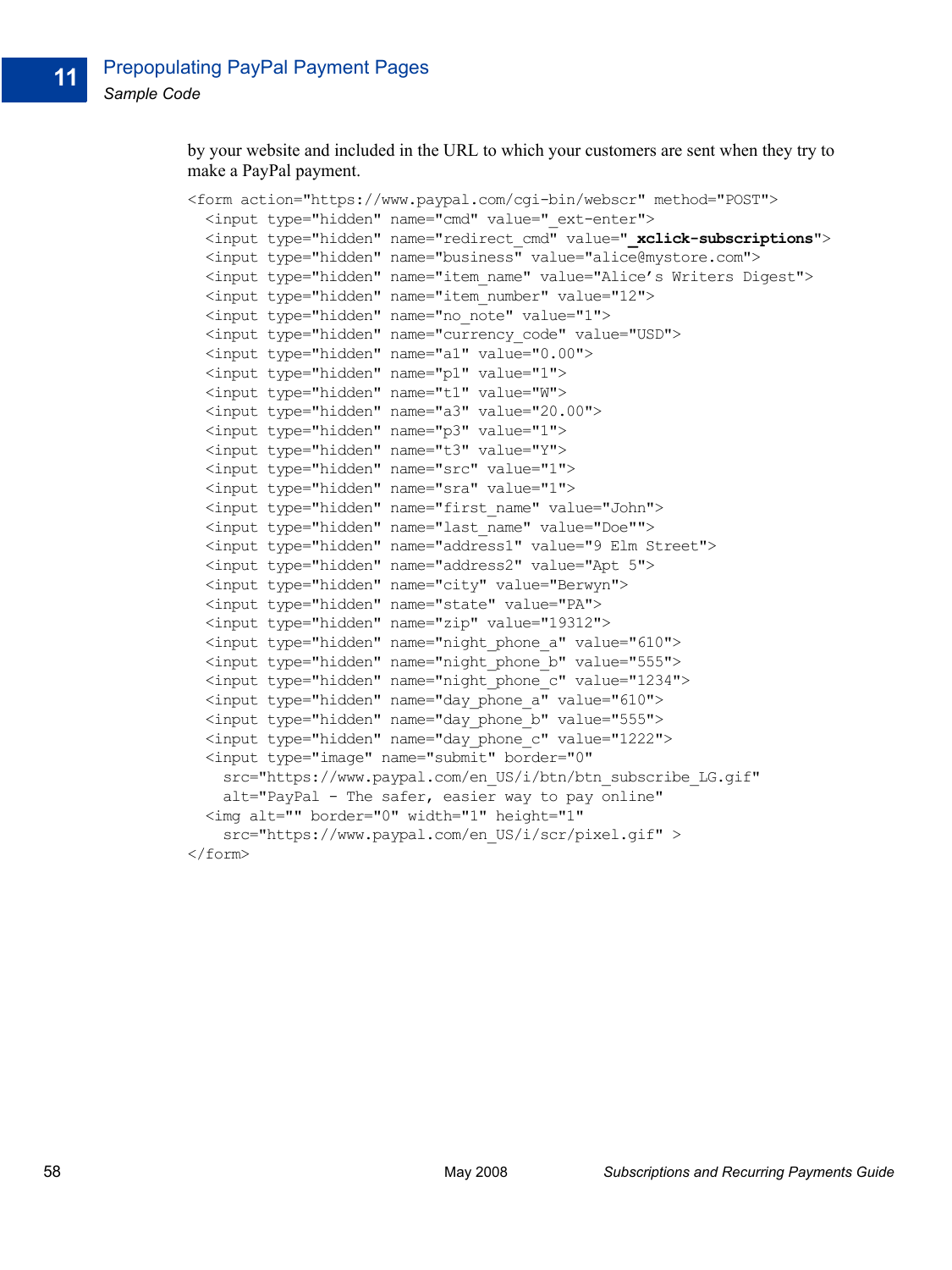by your website and included in the URL to which your customers are sent when they try to make a PayPal payment.

```
<form action="https://www.paypal.com/cgi-bin/webscr" method="POST">
 <input type="hidden" name="cmd" value="_ext-enter">
 <input type="hidden" name="redirect_cmd" value="_xclick-subscriptions">
 <input type="hidden" name="business" value="alice@mystore.com">
 <input type="hidden" name="item_name" value="Alice's Writers Digest">
 <input type="hidden" name="item_number" value="12">
 <input type="hidden" name="no_note" value="1">
 <input type="hidden" name="currency_code" value="USD">
 <input type="hidden" name="a1" value="0.00">
 <input type="hidden" name="p1" value="1">
 <input type="hidden" name="t1" value="W">
 <input type="hidden" name="a3" value="20.00">
 <input type="hidden" name="p3" value="1">
 <input type="hidden" name="t3" value="Y">
 <input type="hidden" name="src" value="1">
 <input type="hidden" name="sra" value="1">
 <input type="hidden" name="first_name" value="John">
 <input type="hidden" name="last_name" value="Doe"">
 <input type="hidden" name="address1" value="9 Elm Street">
 <input type="hidden" name="address2" value="Apt 5">
 <input type="hidden" name="city" value="Berwyn">
 <input type="hidden" name="state" value="PA">
 <input type="hidden" name="zip" value="19312">
 <input type="hidden" name="night_phone_a" value="610">
 <input type="hidden" name="night_phone_b" value="555">
 <input type="hidden" name="night_phone_c" value="1234">
 <input type="hidden" name="day_phone_a" value="610">
 <input type="hidden" name="day_phone_b" value="555">
 <input type="hidden" name="day_phone_c" value="1222">
 <input type="image" name="submit" border="0"
   src="https://www.paypal.com/en_US/i/btn/btn_subscribe_LG.gif"
   alt="PayPal - The safer, easier way to pay online"
 <img alt="" border="0" width="1" height="1"
   src="https://www.paypal.com/en US/i/scr/pixel.gif" >
</form>
```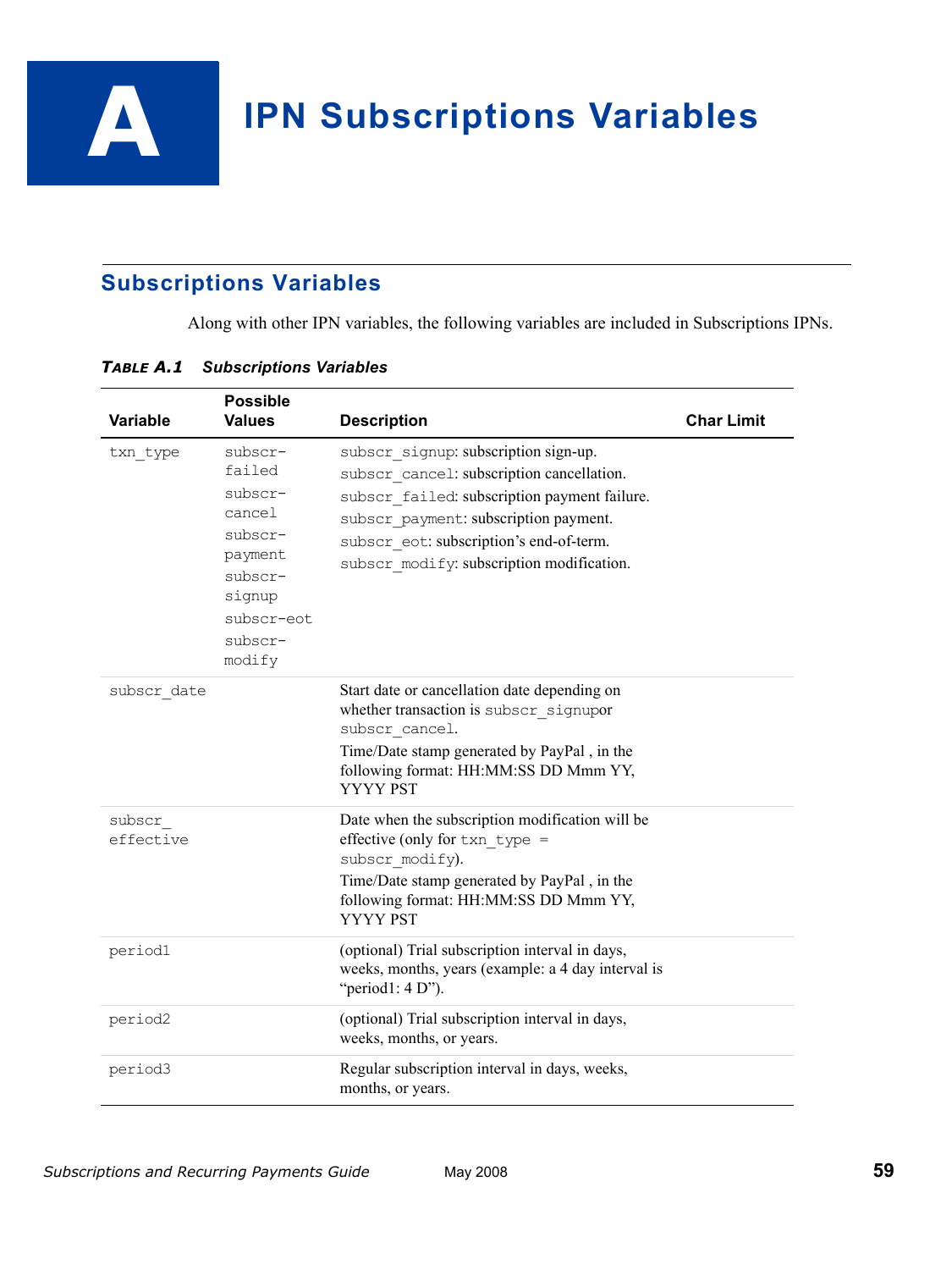<span id="page-58-3"></span><span id="page-58-0"></span>

# <span id="page-58-1"></span>**Subscriptions Variables**

Along with other IPN variables, the following variables are included in Subscriptions IPNs.

| <b>Variable</b>     | <b>Possible</b><br><b>Values</b>                                                                                      | <b>Description</b>                                                                                                                                                                                                                                                 | <b>Char Limit</b> |
|---------------------|-----------------------------------------------------------------------------------------------------------------------|--------------------------------------------------------------------------------------------------------------------------------------------------------------------------------------------------------------------------------------------------------------------|-------------------|
| txn type            | subscr-<br>failed<br>subscr<br>cancel<br>$subscr$ -<br>payment<br>subscr<br>signup<br>subscr-eot<br>subscr-<br>modify | subscr signup: subscription sign-up.<br>subscr cancel: subscription cancellation.<br>subscr failed: subscription payment failure.<br>subscr payment: subscription payment.<br>subscr eot: subscription's end-of-term.<br>subscr modify: subscription modification. |                   |
| subscr date         |                                                                                                                       | Start date or cancellation date depending on<br>whether transaction is subscr signupor<br>subscr cancel.<br>Time/Date stamp generated by PayPal, in the<br>following format: HH:MM:SS DD Mmm YY,<br>YYYY PST                                                       |                   |
| subscr<br>effective |                                                                                                                       | Date when the subscription modification will be<br>effective (only for $\tan$ $\tan$ $\tan$ =<br>subscr modify).<br>Time/Date stamp generated by PayPal, in the<br>following format: HH:MM:SS DD Mmm YY,<br>YYYY PST                                               |                   |
| period1             |                                                                                                                       | (optional) Trial subscription interval in days,<br>weeks, months, years (example: a 4 day interval is<br>"period1: 4 D").                                                                                                                                          |                   |
| period2             |                                                                                                                       | (optional) Trial subscription interval in days,<br>weeks, months, or years.                                                                                                                                                                                        |                   |
| period3             |                                                                                                                       | Regular subscription interval in days, weeks,<br>months, or years.                                                                                                                                                                                                 |                   |

<span id="page-58-2"></span>*TABLE A.1 Subscriptions Variables*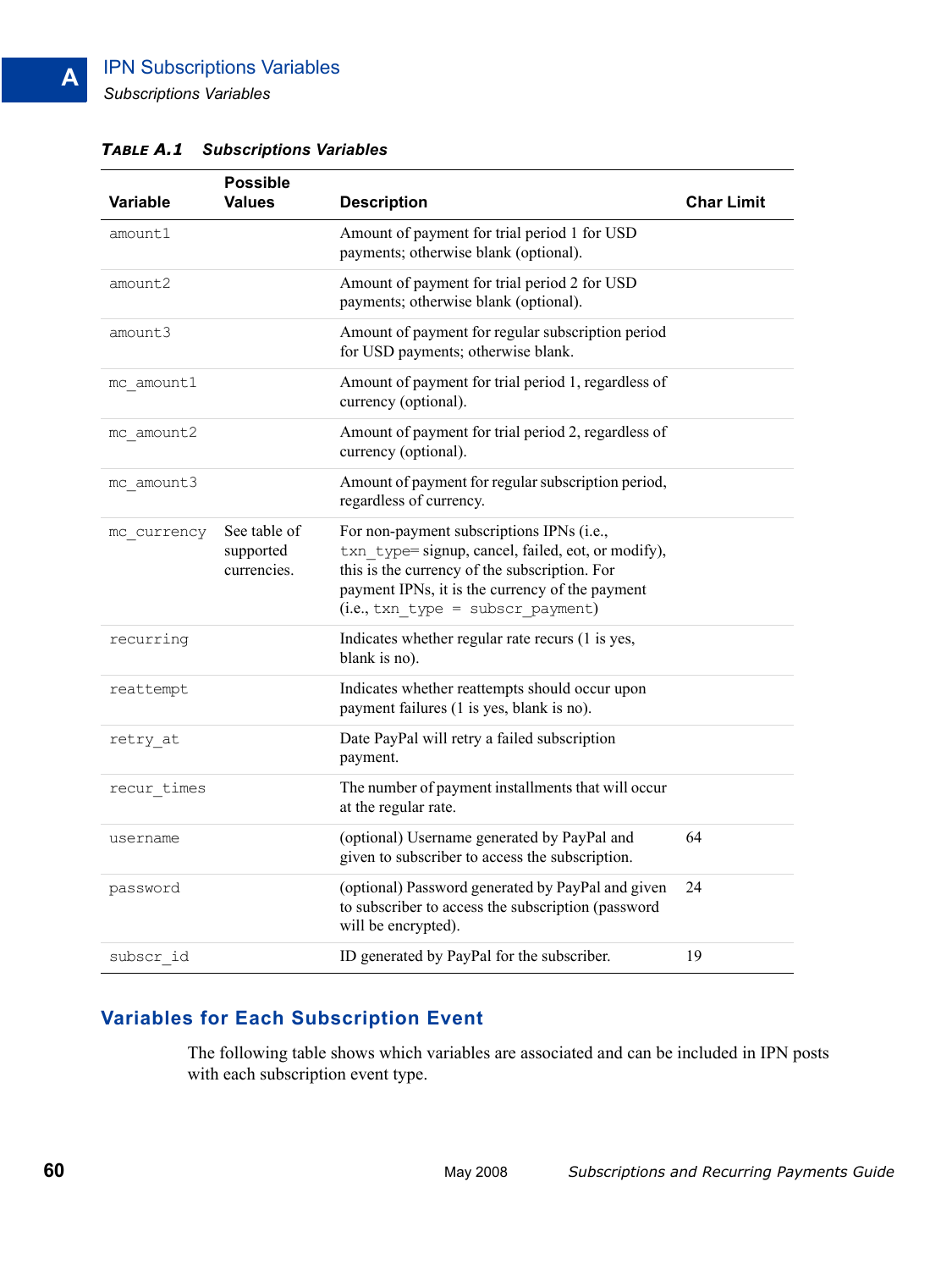| Variable    | <b>Possible</b><br><b>Values</b>         | <b>Description</b>                                                                                                                                                                                                                           | <b>Char Limit</b> |
|-------------|------------------------------------------|----------------------------------------------------------------------------------------------------------------------------------------------------------------------------------------------------------------------------------------------|-------------------|
| amount1     |                                          | Amount of payment for trial period 1 for USD<br>payments; otherwise blank (optional).                                                                                                                                                        |                   |
| amount2     |                                          | Amount of payment for trial period 2 for USD<br>payments; otherwise blank (optional).                                                                                                                                                        |                   |
| amount3     |                                          | Amount of payment for regular subscription period<br>for USD payments; otherwise blank.                                                                                                                                                      |                   |
| mc amount1  |                                          | Amount of payment for trial period 1, regardless of<br>currency (optional).                                                                                                                                                                  |                   |
| mc amount2  |                                          | Amount of payment for trial period 2, regardless of<br>currency (optional).                                                                                                                                                                  |                   |
| mc_amount3  |                                          | Amount of payment for regular subscription period,<br>regardless of currency.                                                                                                                                                                |                   |
| mc currency | See table of<br>supported<br>currencies. | For non-payment subscriptions IPNs (i.e.,<br>txn type=signup, cancel, failed, eot, or modify),<br>this is the currency of the subscription. For<br>payment IPNs, it is the currency of the payment<br>$(i.e., \tan_t type = subscr payment)$ |                   |
| recurring   |                                          | Indicates whether regular rate recurs (1 is yes,<br>blank is no).                                                                                                                                                                            |                   |
| reattempt   |                                          | Indicates whether reattempts should occur upon<br>payment failures (1 is yes, blank is no).                                                                                                                                                  |                   |
| retry at    |                                          | Date PayPal will retry a failed subscription<br>payment.                                                                                                                                                                                     |                   |
| recur times |                                          | The number of payment installments that will occur<br>at the regular rate.                                                                                                                                                                   |                   |
| username    |                                          | (optional) Username generated by PayPal and<br>given to subscriber to access the subscription.                                                                                                                                               | 64                |
| password    |                                          | (optional) Password generated by PayPal and given<br>to subscriber to access the subscription (password<br>will be encrypted).                                                                                                               | 24                |
| subscr id   |                                          | ID generated by PayPal for the subscriber.                                                                                                                                                                                                   | 19                |

#### *TABLE A.1 Subscriptions Variables*

# <span id="page-59-0"></span>**Variables for Each Subscription Event**

The following table shows which variables are associated and can be included in IPN posts with each subscription event type.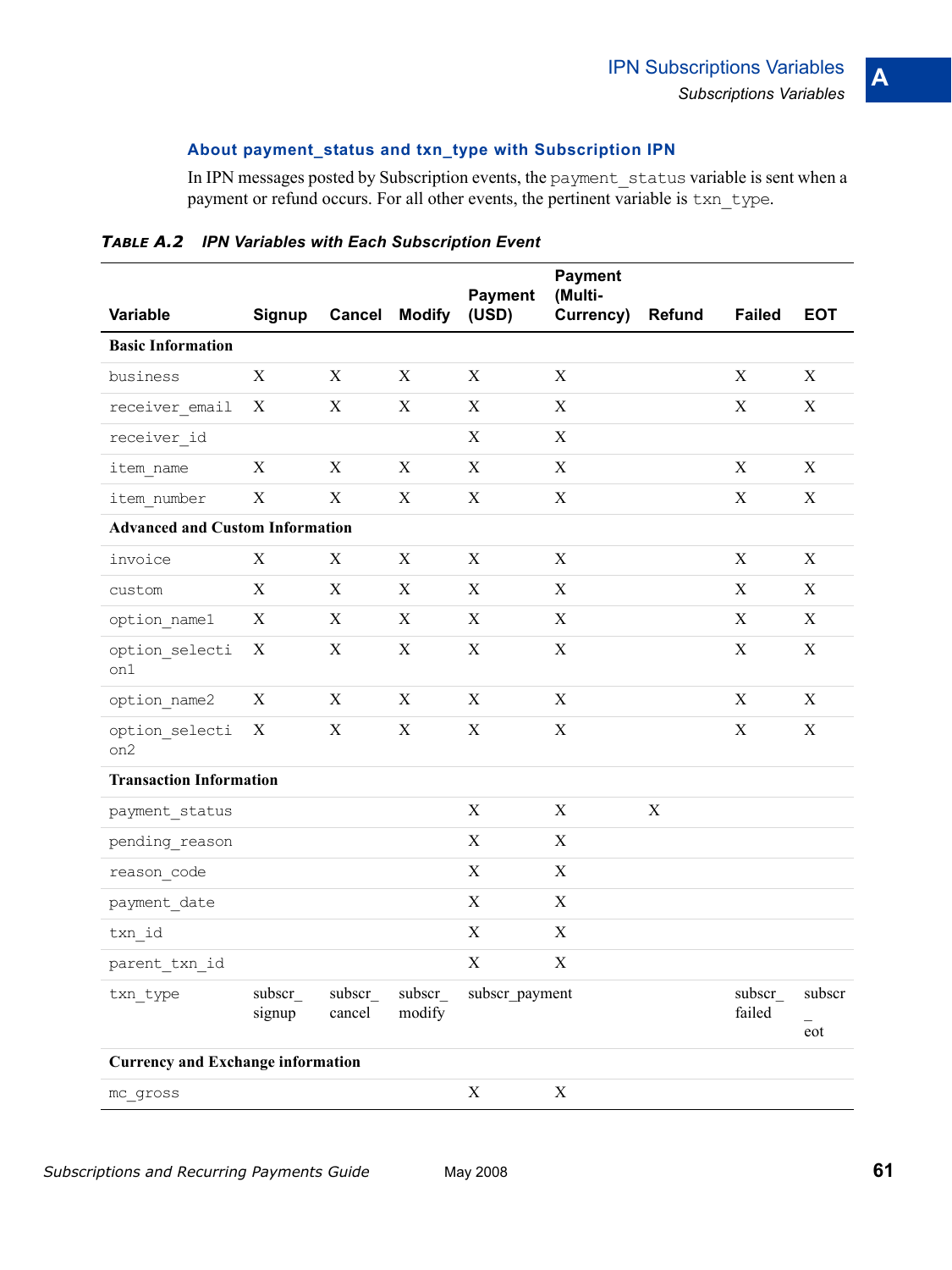#### **About payment\_status and txn\_type with Subscription IPN**

In IPN messages posted by Subscription events, the payment\_status variable is sent when a payment or refund occurs. For all other events, the pertinent variable is  $\tan$  type.

|                                          |                     |                     |                   | <b>Payment</b> | <b>Payment</b><br>(Multi- |        |                                 |             |
|------------------------------------------|---------------------|---------------------|-------------------|----------------|---------------------------|--------|---------------------------------|-------------|
| Variable                                 | <b>Signup</b>       | <b>Cancel</b>       | <b>Modify</b>     | (USD)          | Currency)                 | Refund | <b>Failed</b>                   | <b>EOT</b>  |
| <b>Basic Information</b>                 |                     |                     |                   |                |                           |        |                                 |             |
| business                                 | X                   | X                   | X                 | X              | X                         |        | X                               | X           |
| receiver email                           | X                   | X                   | $\mathbf X$       | X              | $\mathbf X$               |        | $\mathbf X$                     | $\mathbf X$ |
| receiver id                              |                     |                     |                   | X              | $\mathbf X$               |        |                                 |             |
| item_name                                | X                   | X                   | X                 | X              | X                         |        | X                               | X           |
| item number                              | X                   | X                   | X                 | X              | X                         |        | X                               | X           |
| <b>Advanced and Custom Information</b>   |                     |                     |                   |                |                           |        |                                 |             |
| invoice                                  | X                   | X                   | X                 | X              | X                         |        | X                               | X           |
| custom                                   | X                   | $\mathbf X$         | $\mathbf X$       | $\mathbf X$    | $\mathbf X$               |        | $\mathbf X$                     | $\mathbf X$ |
| option name1                             | $\mathbf X$         | X                   | $\mathbf X$       | X              | $\mathbf X$               |        | $\mathbf X$                     | X           |
| option_selecti<br>on1                    | X                   | X                   | X                 | X              | X                         |        | X                               | X           |
| option_name2                             | X                   | X                   | X                 | X              | $\mathbf X$               |        | $\mathbf X$                     | X           |
| option_selecti<br>on2                    | X                   | X                   | $\mathbf X$       | X              | X                         |        | $\mathbf X$                     | X           |
| <b>Transaction Information</b>           |                     |                     |                   |                |                           |        |                                 |             |
| payment status                           |                     |                     |                   | $\mathbf X$    | $\mathbf X$               | X      |                                 |             |
| pending reason                           |                     |                     |                   | $\mathbf X$    | X                         |        |                                 |             |
| reason_code                              |                     |                     |                   | $\mathbf X$    | $\mathbf X$               |        |                                 |             |
| payment_date                             |                     |                     |                   | X              | X                         |        |                                 |             |
| txn id                                   |                     |                     |                   | X              | X                         |        |                                 |             |
| parent txn id                            |                     |                     |                   | $\mathbf X$    | $\mathbf X$               |        |                                 |             |
| txn type                                 | $subscr_$<br>signup | $subscr_$<br>cancel | subscr_<br>modify | subscr_payment |                           |        | $subscr$ <sub>_</sub><br>failed | subscr      |
| <b>Currency and Exchange information</b> |                     |                     |                   |                |                           |        |                                 | eot         |
| mc gross                                 |                     |                     |                   | $\mathbf X$    | $\mathbf X$               |        |                                 |             |

<span id="page-60-0"></span>*TABLE A.2 IPN Variables with Each Subscription Event*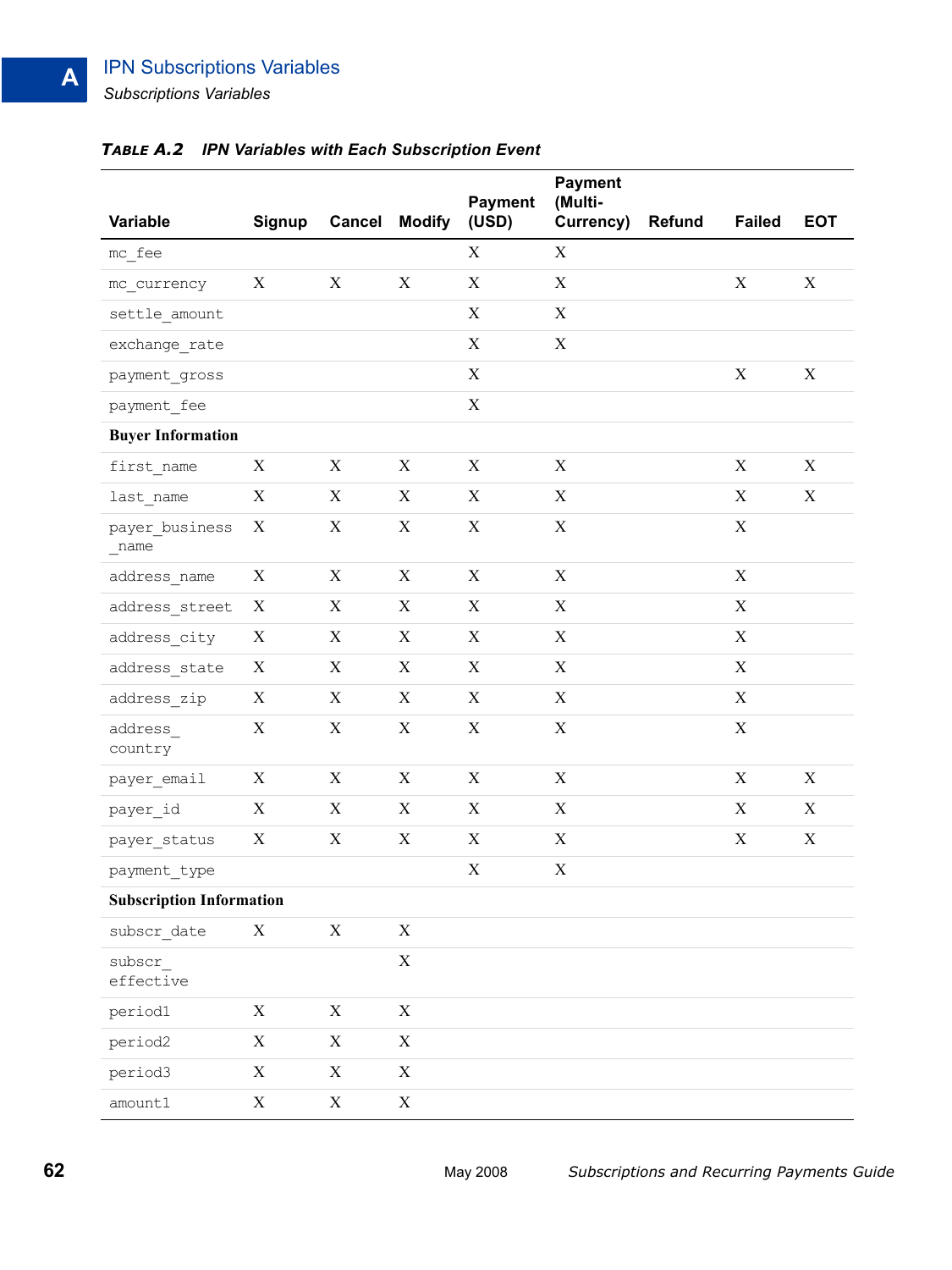|                                 |             |                      |                           | <b>Payment</b> | <b>Payment</b><br>(Multi- |        |                           |                           |
|---------------------------------|-------------|----------------------|---------------------------|----------------|---------------------------|--------|---------------------------|---------------------------|
| Variable                        | Signup      | <b>Cancel Modify</b> |                           | (USD)          | Currency)                 | Refund | <b>Failed</b>             | <b>EOT</b>                |
| mc fee                          |             |                      |                           | X              | $\mathbf X$               |        |                           |                           |
| mc currency                     | X           | X                    | X                         | X              | X                         |        | X                         | $\mathbf X$               |
| settle amount                   |             |                      |                           | X              | $\mathbf X$               |        |                           |                           |
| exchange_rate                   |             |                      |                           | $\mathbf X$    | $\mathbf X$               |        |                           |                           |
| payment gross                   |             |                      |                           | $\mathbf X$    |                           |        | $\mathbf X$               | $\mathbf X$               |
| payment fee                     |             |                      |                           | $\mathbf X$    |                           |        |                           |                           |
| <b>Buyer Information</b>        |             |                      |                           |                |                           |        |                           |                           |
| first name                      | X           | $\mathbf X$          | X                         | X              | X                         |        | X                         | $\mathbf X$               |
| last name                       | $\mathbf X$ | $\mathbf X$          | $\mathbf X$               | $\mathbf X$    | $\mathbf X$               |        | $\boldsymbol{\mathrm{X}}$ | $\boldsymbol{\mathrm{X}}$ |
| payer business<br>_name         | X           | X                    | $\mathbf X$               | $\mathbf X$    | $\boldsymbol{\mathrm{X}}$ |        | $\mathbf X$               |                           |
| address name                    | $\mathbf X$ | $\mathbf X$          | $\mathbf X$               | $\mathbf X$    | $\mathbf X$               |        | $\mathbf X$               |                           |
| address street                  | X           | X                    | $\mathbf X$               | X              | $\mathbf X$               |        | $\mathbf X$               |                           |
| address city                    | X           | $\mathbf X$          | X                         | X              | X                         |        | $\mathbf X$               |                           |
| address state                   | X           | $\mathbf X$          | X                         | X              | X                         |        | X                         |                           |
| address zip                     | $\mathbf X$ | $\mathbf X$          | X                         | X              | $\mathbf X$               |        | $\boldsymbol{\mathrm{X}}$ |                           |
| address<br>country              | X           | $\mathbf X$          | X                         | $\mathbf X$    | $\boldsymbol{\mathrm{X}}$ |        | $\mathbf X$               |                           |
| payer email                     | X           | $\mathbf X$          | $\mathbf X$               | $\mathbf X$    | $\mathbf X$               |        | $\mathbf X$               | $\mathbf X$               |
| payer id                        | X           | X                    | $\boldsymbol{\mathrm{X}}$ | X              | X                         |        | X                         | X                         |
| payer_status                    | X           | $\mathbf X$          | $\boldsymbol{\mathrm{X}}$ | X              | X                         |        | X                         | $\mathbf X$               |
| payment type                    |             |                      |                           | $\mathbf X$    | $\mathbf X$               |        |                           |                           |
| <b>Subscription Information</b> |             |                      |                           |                |                           |        |                           |                           |
| subscr date                     | $\mathbf X$ | $\mathbf X$          | $\mathbf X$               |                |                           |        |                           |                           |
| subscr<br>effective             |             |                      | $\mathbf X$               |                |                           |        |                           |                           |
| period1                         | $\mathbf X$ | $\mathbf X$          | $\mathbf X$               |                |                           |        |                           |                           |
| period2                         | X           | $\mathbf X$          | X                         |                |                           |        |                           |                           |
| period3                         | $\mathbf X$ | $\mathbf X$          | X                         |                |                           |        |                           |                           |
| amount1                         | X           | $\mathbf X$          | $\mathbf X$               |                |                           |        |                           |                           |

#### *TABLE A.2 IPN Variables with Each Subscription Event*